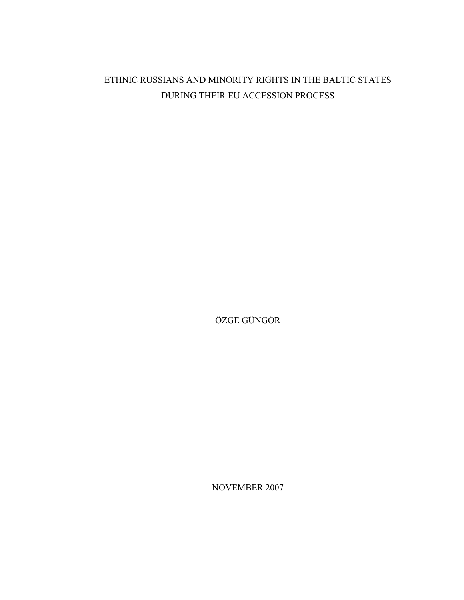# ETHNIC RUSSIANS AND MINORITY RIGHTS IN THE BALTIC STATES DURING THEIR EU ACCESSION PROCESS

ÖZGE GÜNGÖR

NOVEMBER 2007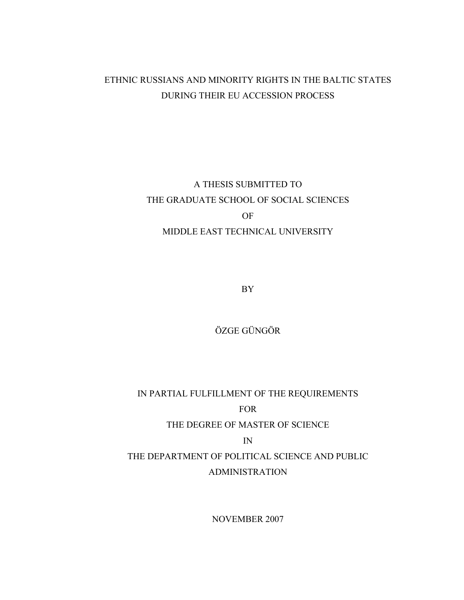## ETHNIC RUSSIANS AND MINORITY RIGHTS IN THE BALTIC STATES DURING THEIR EU ACCESSION PROCESS

# A THESIS SUBMITTED TO THE GRADUATE SCHOOL OF SOCIAL SCIENCES OF MIDDLE EAST TECHNICAL UNIVERSITY

BY

ÖZGE GÜNGÖR

IN PARTIAL FULFILLMENT OF THE REQUIREMENTS FOR THE DEGREE OF MASTER OF SCIENCE IN THE DEPARTMENT OF POLITICAL SCIENCE AND PUBLIC ADMINISTRATION

NOVEMBER 2007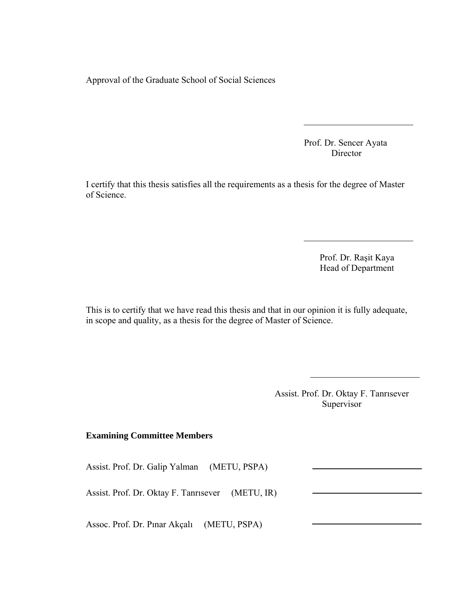Approval of the Graduate School of Social Sciences

Prof. Dr. Sencer Ayata Director

I certify that this thesis satisfies all the requirements as a thesis for the degree of Master of Science.

> Prof. Dr. Raşit Kaya Head of Department

This is to certify that we have read this thesis and that in our opinion it is fully adequate, in scope and quality, as a thesis for the degree of Master of Science.

3

Assist. Prof. Dr. Oktay F. Tanrısever Supervisor

### **Examining Committee Members**

Assist. Prof. Dr. Galip Yalman (METU, PSPA)

Assist. Prof. Dr. Oktay F. Tanrısever (METU, IR)

Assoc. Prof. Dr. Pınar Akçalı (METU, PSPA)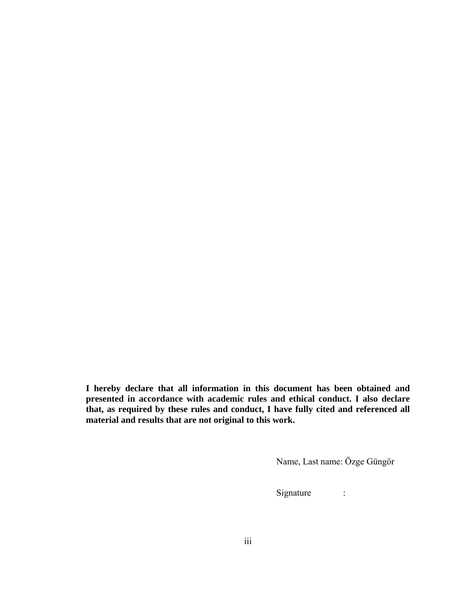**I hereby declare that all information in this document has been obtained and presented in accordance with academic rules and ethical conduct. I also declare that, as required by these rules and conduct, I have fully cited and referenced all material and results that are not original to this work.** 

Name, Last name: Özge Güngör

Signature :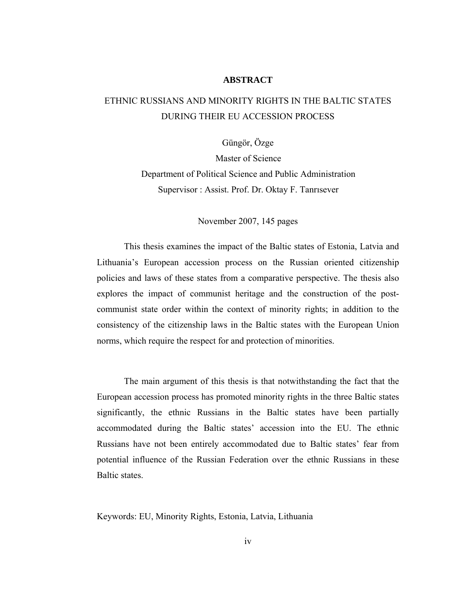#### **ABSTRACT**

## ETHNIC RUSSIANS AND MINORITY RIGHTS IN THE BALTIC STATES DURING THEIR EU ACCESSION PROCESS

Güngör, Özge

Master of Science Department of Political Science and Public Administration Supervisor : Assist. Prof. Dr. Oktay F. Tanrısever

November 2007, 145 pages

This thesis examines the impact of the Baltic states of Estonia, Latvia and Lithuania's European accession process on the Russian oriented citizenship policies and laws of these states from a comparative perspective. The thesis also explores the impact of communist heritage and the construction of the postcommunist state order within the context of minority rights; in addition to the consistency of the citizenship laws in the Baltic states with the European Union norms, which require the respect for and protection of minorities.

The main argument of this thesis is that notwithstanding the fact that the European accession process has promoted minority rights in the three Baltic states significantly, the ethnic Russians in the Baltic states have been partially accommodated during the Baltic states' accession into the EU. The ethnic Russians have not been entirely accommodated due to Baltic states' fear from potential influence of the Russian Federation over the ethnic Russians in these Baltic states.

Keywords: EU, Minority Rights, Estonia, Latvia, Lithuania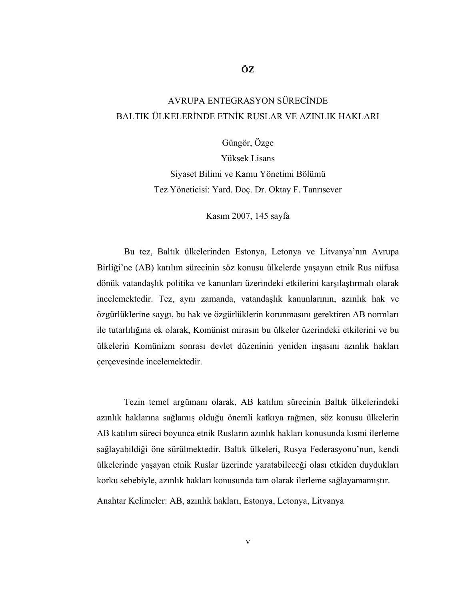# AVRUPA ENTEGRASYON SÜRECİNDE BALTIK ÜLKELERİNDE ETNİK RUSLAR VE AZINLIK HAKLARI

**ÖZ** 

Güngör, Özge

Yüksek Lisans Siyaset Bilimi ve Kamu Yönetimi Bölümü Tez Yöneticisi: Yard. Doç. Dr. Oktay F. Tanrısever

Kasım 2007, 145 sayfa

Bu tez, Baltık ülkelerinden Estonya, Letonya ve Litvanya'nın Avrupa Birliği'ne (AB) katılım sürecinin söz konusu ülkelerde yaşayan etnik Rus nüfusa dönük vatandaşlık politika ve kanunları üzerindeki etkilerini karşılaştırmalı olarak incelemektedir. Tez, aynı zamanda, vatandaşlık kanunlarının, azınlık hak ve özgürlüklerine saygı, bu hak ve özgürlüklerin korunmasını gerektiren AB normları ile tutarlılığına ek olarak, Komünist mirasın bu ülkeler üzerindeki etkilerini ve bu ülkelerin Komünizm sonrası devlet düzeninin yeniden inşasını azınlık hakları çerçevesinde incelemektedir.

Tezin temel argümanı olarak, AB katılım sürecinin Baltık ülkelerindeki azınlık haklarına sağlamış olduğu önemli katkıya rağmen, söz konusu ülkelerin AB katılım süreci boyunca etnik Rusların azınlık hakları konusunda kısmi ilerleme sağlayabildiği öne sürülmektedir. Baltık ülkeleri, Rusya Federasyonu'nun, kendi ülkelerinde yaşayan etnik Ruslar üzerinde yaratabileceği olası etkiden duydukları korku sebebiyle, azınlık hakları konusunda tam olarak ilerleme sağlayamamıştır.

Anahtar Kelimeler: AB, azınlık hakları, Estonya, Letonya, Litvanya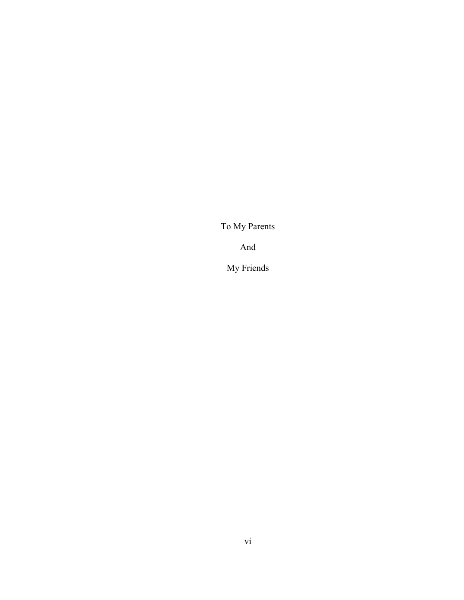To My Parents

And

My Friends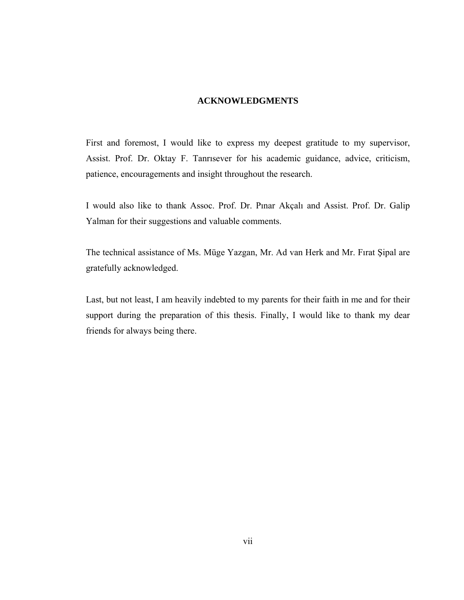### **ACKNOWLEDGMENTS**

First and foremost, I would like to express my deepest gratitude to my supervisor, Assist. Prof. Dr. Oktay F. Tanrısever for his academic guidance, advice, criticism, patience, encouragements and insight throughout the research.

I would also like to thank Assoc. Prof. Dr. Pınar Akçalı and Assist. Prof. Dr. Galip Yalman for their suggestions and valuable comments.

The technical assistance of Ms. Müge Yazgan, Mr. Ad van Herk and Mr. Fırat Şipal are gratefully acknowledged.

Last, but not least, I am heavily indebted to my parents for their faith in me and for their support during the preparation of this thesis. Finally, I would like to thank my dear friends for always being there.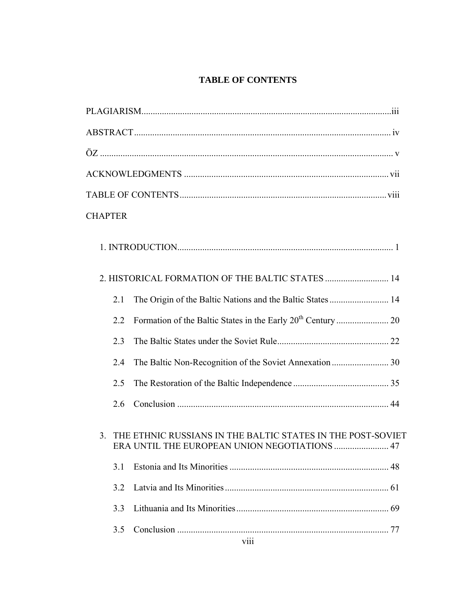### **TABLE OF CONTENTS**

| <b>CHAPTER</b> |                                                                                                              |  |
|----------------|--------------------------------------------------------------------------------------------------------------|--|
|                |                                                                                                              |  |
|                | 2. HISTORICAL FORMATION OF THE BALTIC STATES  14                                                             |  |
| 2.1            | The Origin of the Baltic Nations and the Baltic States 14                                                    |  |
| 2.2            |                                                                                                              |  |
| 2.3            |                                                                                                              |  |
| 2.4            |                                                                                                              |  |
| 2.5            |                                                                                                              |  |
| 2.6            |                                                                                                              |  |
| 3.             | THE ETHNIC RUSSIANS IN THE BALTIC STATES IN THE POST-SOVIET<br>ERA UNTIL THE EUROPEAN UNION NEGOTIATIONS  47 |  |
| 3.1            |                                                                                                              |  |
| 3.2            |                                                                                                              |  |
| 3.3            |                                                                                                              |  |
| 3.5            | 77                                                                                                           |  |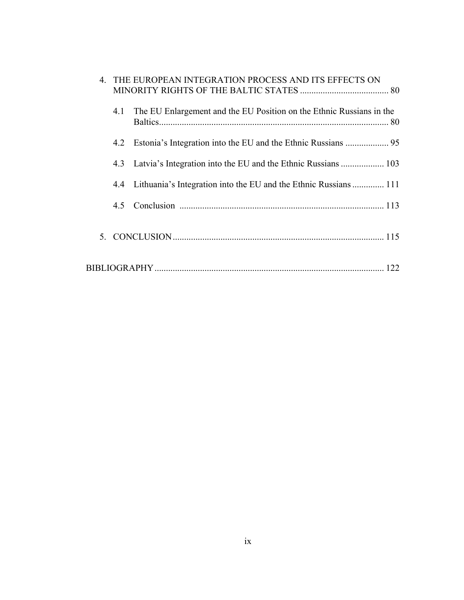|  |     | 4. THE EUROPEAN INTEGRATION PROCESS AND ITS EFFECTS ON               |
|--|-----|----------------------------------------------------------------------|
|  | 4.1 | The EU Enlargement and the EU Position on the Ethnic Russians in the |
|  | 4.2 |                                                                      |
|  | 4.3 |                                                                      |
|  | 4.4 | Lithuania's Integration into the EU and the Ethnic Russians  111     |
|  | 45  |                                                                      |
|  |     |                                                                      |
|  |     |                                                                      |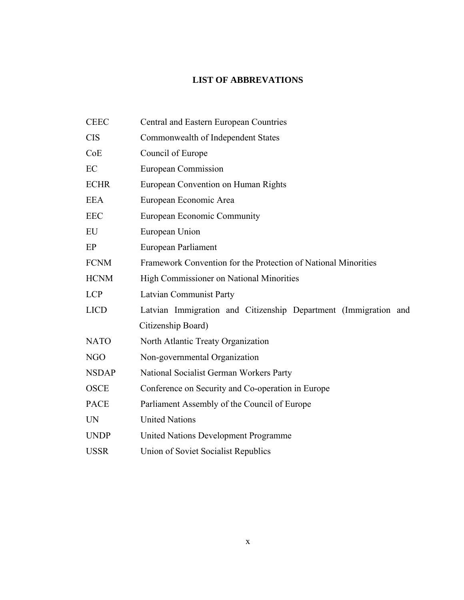### **LIST OF ABBREVATIONS**

| <b>CEEC</b>  | Central and Eastern European Countries                          |
|--------------|-----------------------------------------------------------------|
| <b>CIS</b>   | Commonwealth of Independent States                              |
| CoE          | Council of Europe                                               |
| EC           | European Commission                                             |
| <b>ECHR</b>  | European Convention on Human Rights                             |
| <b>EEA</b>   | European Economic Area                                          |
| <b>EEC</b>   | European Economic Community                                     |
| EU           | European Union                                                  |
| EP           | European Parliament                                             |
| <b>FCNM</b>  | Framework Convention for the Protection of National Minorities  |
| <b>HCNM</b>  | High Commissioner on National Minorities                        |
| <b>LCP</b>   | <b>Latvian Communist Party</b>                                  |
| <b>LICD</b>  | Latvian Immigration and Citizenship Department (Immigration and |
|              | Citizenship Board)                                              |
| <b>NATO</b>  | North Atlantic Treaty Organization                              |
| <b>NGO</b>   | Non-governmental Organization                                   |
| <b>NSDAP</b> | National Socialist German Workers Party                         |
| <b>OSCE</b>  | Conference on Security and Co-operation in Europe               |
| <b>PACE</b>  | Parliament Assembly of the Council of Europe                    |
| <b>UN</b>    | <b>United Nations</b>                                           |
| <b>UNDP</b>  | <b>United Nations Development Programme</b>                     |
| <b>USSR</b>  | Union of Soviet Socialist Republics                             |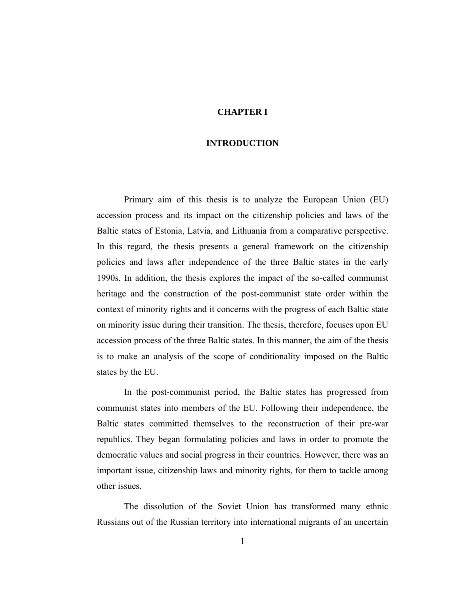### **CHAPTER I**

#### **INTRODUCTION**

Primary aim of this thesis is to analyze the European Union (EU) accession process and its impact on the citizenship policies and laws of the Baltic states of Estonia, Latvia, and Lithuania from a comparative perspective. In this regard, the thesis presents a general framework on the citizenship policies and laws after independence of the three Baltic states in the early 1990s. In addition, the thesis explores the impact of the so-called communist heritage and the construction of the post-communist state order within the context of minority rights and it concerns with the progress of each Baltic state on minority issue during their transition. The thesis, therefore, focuses upon EU accession process of the three Baltic states. In this manner, the aim of the thesis is to make an analysis of the scope of conditionality imposed on the Baltic states by the EU.

In the post-communist period, the Baltic states has progressed from communist states into members of the EU. Following their independence, the Baltic states committed themselves to the reconstruction of their pre-war republics. They began formulating policies and laws in order to promote the democratic values and social progress in their countries. However, there was an important issue, citizenship laws and minority rights, for them to tackle among other issues.

The dissolution of the Soviet Union has transformed many ethnic Russians out of the Russian territory into international migrants of an uncertain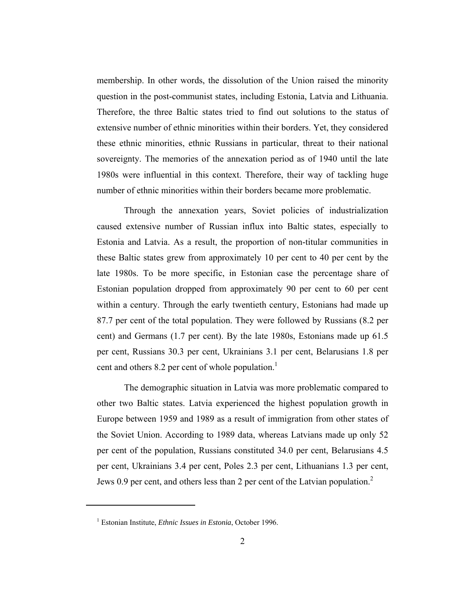membership. In other words, the dissolution of the Union raised the minority question in the post-communist states, including Estonia, Latvia and Lithuania. Therefore, the three Baltic states tried to find out solutions to the status of extensive number of ethnic minorities within their borders. Yet, they considered these ethnic minorities, ethnic Russians in particular, threat to their national sovereignty. The memories of the annexation period as of 1940 until the late 1980s were influential in this context. Therefore, their way of tackling huge number of ethnic minorities within their borders became more problematic.

Through the annexation years, Soviet policies of industrialization caused extensive number of Russian influx into Baltic states, especially to Estonia and Latvia. As a result, the proportion of non-titular communities in these Baltic states grew from approximately 10 per cent to 40 per cent by the late 1980s. To be more specific, in Estonian case the percentage share of Estonian population dropped from approximately 90 per cent to 60 per cent within a century. Through the early twentieth century, Estonians had made up 87.7 per cent of the total population. They were followed by Russians (8.2 per cent) and Germans (1.7 per cent). By the late 1980s, Estonians made up 61.5 per cent, Russians 30.3 per cent, Ukrainians 3.1 per cent, Belarusians 1.8 per cent and others 8.2 per cent of whole population.<sup>1</sup>

The demographic situation in Latvia was more problematic compared to other two Baltic states. Latvia experienced the highest population growth in Europe between 1959 and 1989 as a result of immigration from other states of the Soviet Union. According to 1989 data, whereas Latvians made up only 52 per cent of the population, Russians constituted 34.0 per cent, Belarusians 4.5 per cent, Ukrainians 3.4 per cent, Poles 2.3 per cent, Lithuanians 1.3 per cent, Jews 0.9 per cent, and others less than 2 per cent of the Latvian population.<sup>2</sup>

<sup>&</sup>lt;sup>1</sup> Estonian Institute, *Ethnic Issues in Estonia*, October 1996.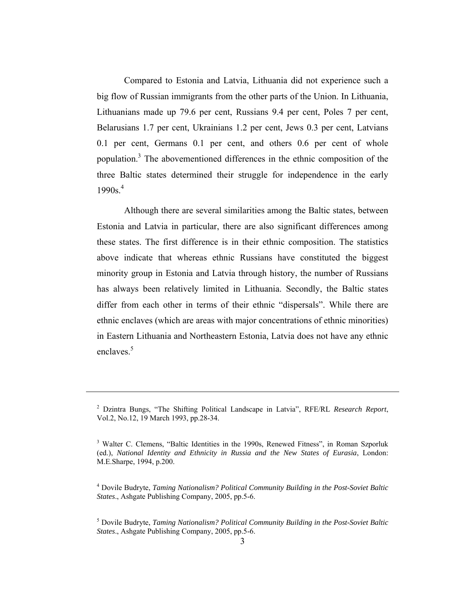Compared to Estonia and Latvia, Lithuania did not experience such a big flow of Russian immigrants from the other parts of the Union. In Lithuania, Lithuanians made up 79.6 per cent, Russians 9.4 per cent, Poles 7 per cent, Belarusians 1.7 per cent, Ukrainians 1.2 per cent, Jews 0.3 per cent, Latvians 0.1 per cent, Germans 0.1 per cent, and others 0.6 per cent of whole population.<sup>3</sup> The abovementioned differences in the ethnic composition of the three Baltic states determined their struggle for independence in the early 1990s.<sup>4</sup>

Although there are several similarities among the Baltic states, between Estonia and Latvia in particular, there are also significant differences among these states. The first difference is in their ethnic composition. The statistics above indicate that whereas ethnic Russians have constituted the biggest minority group in Estonia and Latvia through history, the number of Russians has always been relatively limited in Lithuania. Secondly, the Baltic states differ from each other in terms of their ethnic "dispersals". While there are ethnic enclaves (which are areas with major concentrations of ethnic minorities) in Eastern Lithuania and Northeastern Estonia, Latvia does not have any ethnic enclaves.<sup>5</sup>

<sup>2</sup> Dzintra Bungs, "The Shifting Political Landscape in Latvia", RFE/RL *Research Report*, Vol.2, No.12, 19 March 1993, pp.28-34.

<sup>&</sup>lt;sup>3</sup> Walter C. Clemens, "Baltic Identities in the 1990s, Renewed Fitness", in Roman Szporluk (ed.), *National Identity and Ethnicity in Russia and the New States of Eurasia*, London: M.E.Sharpe, 1994, p.200.

<sup>4</sup> Dovile Budryte, *Taming Nationalism? Political Community Building in the Post-Soviet Baltic States*., Ashgate Publishing Company, 2005, pp.5-6.

<sup>5</sup> Dovile Budryte, *Taming Nationalism? Political Community Building in the Post-Soviet Baltic States*., Ashgate Publishing Company, 2005, pp.5-6.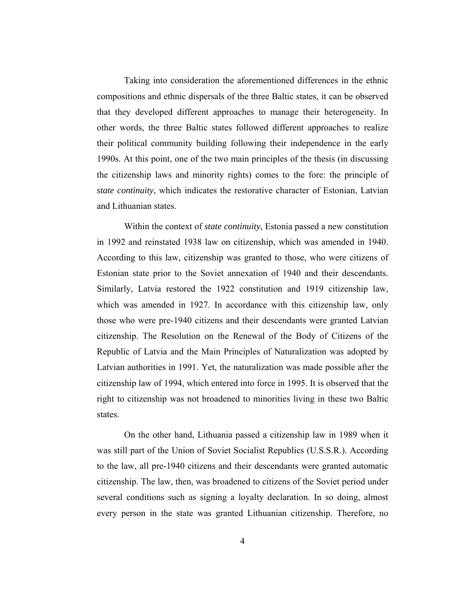Taking into consideration the aforementioned differences in the ethnic compositions and ethnic dispersals of the three Baltic states, it can be observed that they developed different approaches to manage their heterogeneity. In other words, the three Baltic states followed different approaches to realize their political community building following their independence in the early 1990s. At this point, one of the two main principles of the thesis (in discussing the citizenship laws and minority rights) comes to the fore: the principle of *state continuity*, which indicates the restorative character of Estonian, Latvian and Lithuanian states.

Within the context of *state continuity*, Estonia passed a new constitution in 1992 and reinstated 1938 law on citizenship, which was amended in 1940. According to this law, citizenship was granted to those, who were citizens of Estonian state prior to the Soviet annexation of 1940 and their descendants. Similarly, Latvia restored the 1922 constitution and 1919 citizenship law, which was amended in 1927. In accordance with this citizenship law, only those who were pre-1940 citizens and their descendants were granted Latvian citizenship. The Resolution on the Renewal of the Body of Citizens of the Republic of Latvia and the Main Principles of Naturalization was adopted by Latvian authorities in 1991. Yet, the naturalization was made possible after the citizenship law of 1994, which entered into force in 1995. It is observed that the right to citizenship was not broadened to minorities living in these two Baltic states.

On the other hand, Lithuania passed a citizenship law in 1989 when it was still part of the Union of Soviet Socialist Republics (U.S.S.R.). According to the law, all pre-1940 citizens and their descendants were granted automatic citizenship. The law, then, was broadened to citizens of the Soviet period under several conditions such as signing a loyalty declaration. In so doing, almost every person in the state was granted Lithuanian citizenship. Therefore, no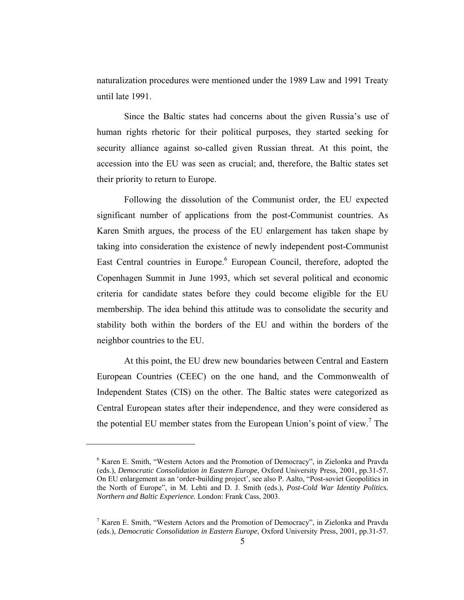naturalization procedures were mentioned under the 1989 Law and 1991 Treaty until late 1991.

Since the Baltic states had concerns about the given Russia's use of human rights rhetoric for their political purposes, they started seeking for security alliance against so-called given Russian threat. At this point, the accession into the EU was seen as crucial; and, therefore, the Baltic states set their priority to return to Europe.

Following the dissolution of the Communist order, the EU expected significant number of applications from the post-Communist countries. As Karen Smith argues, the process of the EU enlargement has taken shape by taking into consideration the existence of newly independent post-Communist East Central countries in Europe.<sup>6</sup> European Council, therefore, adopted the Copenhagen Summit in June 1993, which set several political and economic criteria for candidate states before they could become eligible for the EU membership. The idea behind this attitude was to consolidate the security and stability both within the borders of the EU and within the borders of the neighbor countries to the EU.

At this point, the EU drew new boundaries between Central and Eastern European Countries (CEEC) on the one hand, and the Commonwealth of Independent States (CIS) on the other. The Baltic states were categorized as Central European states after their independence, and they were considered as the potential EU member states from the European Union's point of view.<sup>7</sup> The

<sup>&</sup>lt;sup>6</sup> Karen E. Smith, "Western Actors and the Promotion of Democracy", in Zielonka and Pravda (eds.), *Democratic Consolidation in Eastern Europe*, Oxford University Press, 2001, pp.31-57. On EU enlargement as an 'order-building project', see also P. Aalto, "Post-soviet Geopolitics in the North of Europe", in M. Lehti and D. J. Smith (eds.), *Post-Cold War Identity Politics. Northern and Baltic Experience.* London: Frank Cass, 2003.

<sup>&</sup>lt;sup>7</sup> Karen E. Smith, "Western Actors and the Promotion of Democracy", in Zielonka and Pravda (eds.), *Democratic Consolidation in Eastern Europe*, Oxford University Press, 2001, pp.31-57.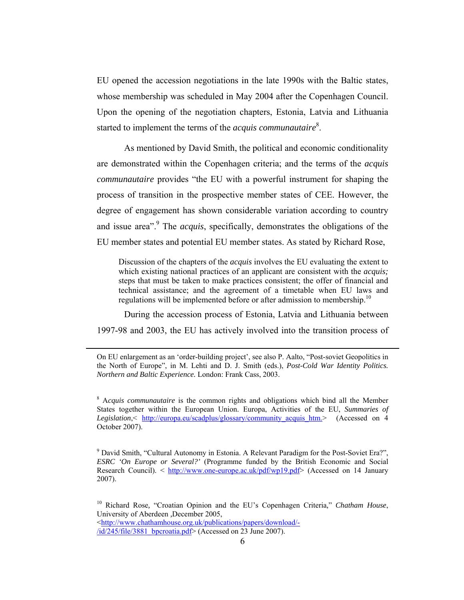EU opened the accession negotiations in the late 1990s with the Baltic states, whose membership was scheduled in May 2004 after the Copenhagen Council. Upon the opening of the negotiation chapters, Estonia, Latvia and Lithuania started to implement the terms of the *acquis communautaire*<sup>8</sup>.

As mentioned by David Smith, the political and economic conditionality are demonstrated within the Copenhagen criteria; and the terms of the *acquis communautaire* provides "the EU with a powerful instrument for shaping the process of transition in the prospective member states of CEE. However, the degree of engagement has shown considerable variation according to country and issue area<sup>". The *acquis*, specifically, demonstrates the obligations of the</sup> EU member states and potential EU member states. As stated by Richard Rose,

Discussion of the chapters of the *acquis* involves the EU evaluating the extent to which existing national practices of an applicant are consistent with the *acquis;*  steps that must be taken to make practices consistent; the offer of financial and technical assistance; and the agreement of a timetable when EU laws and regulations will be implemented before or after admission to membership.<sup>10</sup>

During the accession process of Estonia, Latvia and Lithuania between 1997-98 and 2003, the EU has actively involved into the transition process of

On EU enlargement as an 'order-building project', see also P. Aalto, "Post-soviet Geopolitics in the North of Europe", in M. Lehti and D. J. Smith (eds.), *Post-Cold War Identity Politics. Northern and Baltic Experience.* London: Frank Cass, 2003.

 $\overline{a}$ 

<sup>8</sup> Acquis communautaire is the common rights and obligations which bind all the Member States together within the European Union. Europa, Activities of the EU, *Summaries of Legislation*,< http://europa.eu/scadplus/glossary/community\_acquis\_htm.> (Accessed on 4 October 2007).

<sup>&</sup>lt;sup>9</sup> David Smith, "Cultural Autonomy in Estonia. A Relevant Paradigm for the Post-Soviet Era?", *ESRC 'On Europe or Several?'* (Programme funded by the British Economic and Social Research Council). < http://www.one-europe.ac.uk/pdf/wp19.pdf> (Accessed on 14 January 2007).

<sup>10</sup> Richard Rose*,* "Croatian Opinion and the EU's Copenhagen Criteria*,*" *Chatham House*, University of Aberdeen *,*December 2005, <http://www.chathamhouse.org.uk/publications/papers/download/-  $\sqrt{\frac{1}{d}}$ /245/file/3881 bpcroatia.pdf> (Accessed on 23 June 2007).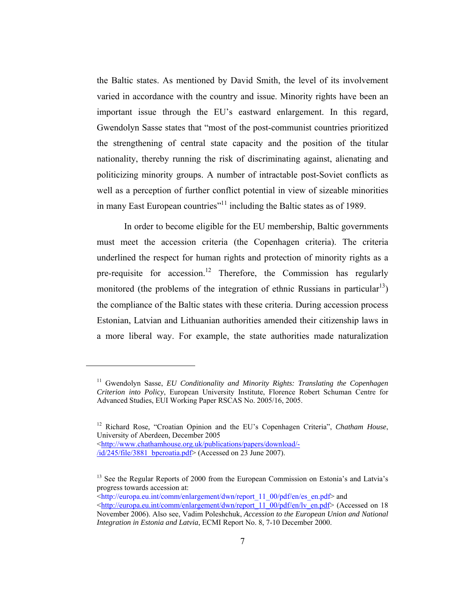the Baltic states. As mentioned by David Smith, the level of its involvement varied in accordance with the country and issue. Minority rights have been an important issue through the EU's eastward enlargement. In this regard, Gwendolyn Sasse states that "most of the post-communist countries prioritized the strengthening of central state capacity and the position of the titular nationality, thereby running the risk of discriminating against, alienating and politicizing minority groups. A number of intractable post-Soviet conflicts as well as a perception of further conflict potential in view of sizeable minorities in many East European countries<sup>"11</sup> including the Baltic states as of 1989.

In order to become eligible for the EU membership, Baltic governments must meet the accession criteria (the Copenhagen criteria). The criteria underlined the respect for human rights and protection of minority rights as a pre-requisite for accession.<sup>12</sup> Therefore, the Commission has regularly monitored (the problems of the integration of ethnic Russians in particular<sup>13</sup>) the compliance of the Baltic states with these criteria. During accession process Estonian, Latvian and Lithuanian authorities amended their citizenship laws in a more liberal way. For example, the state authorities made naturalization

<http://www.chathamhouse.org.uk/publications/papers/download/-/id/245/file/3881\_bpcroatia.pdf> (Accessed on 23 June 2007).

 $\overline{a}$ 

 $\frac{1}{\text{http://europa.eu.int/comm/enlargement/dwn/report 11-00/pdf/en/es-en.pdf}}$  and

<sup>11</sup> Gwendolyn Sasse, *EU Conditionality and Minority Rights: Translating the Copenhagen Criterion into Policy*, European University Institute, Florence Robert Schuman Centre for Advanced Studies, EUI Working Paper RSCAS No. 2005/16, 2005.

<sup>12</sup> Richard Rose*,* "Croatian Opinion and the EU's Copenhagen Criteria", *Chatham House*, University of Aberdeen*,* December 2005

<sup>&</sup>lt;sup>13</sup> See the Regular Reports of 2000 from the European Commission on Estonia's and Latvia's progress towards accession at:

<sup>&</sup>lt;http://europa.eu.int/comm/enlargement/dwn/report\_11\_00/pdf/en/lv\_en.pdf> (Accessed on 18 November 2006). Also see, Vadim Poleshchuk, *Accession to the European Union and National Integration in Estonia and Latvia*, ECMI Report No. 8, 7-10 December 2000.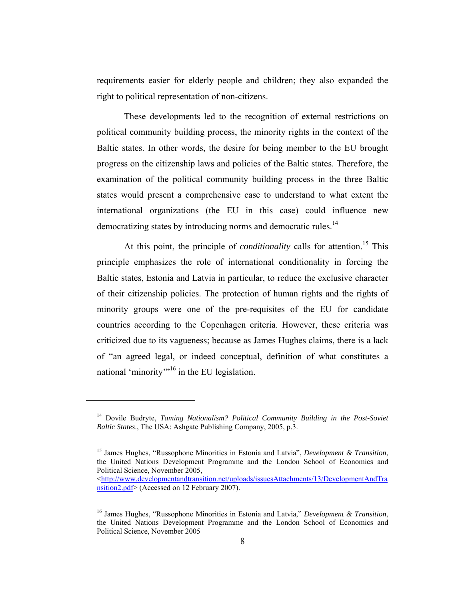requirements easier for elderly people and children; they also expanded the right to political representation of non-citizens.

These developments led to the recognition of external restrictions on political community building process, the minority rights in the context of the Baltic states. In other words, the desire for being member to the EU brought progress on the citizenship laws and policies of the Baltic states. Therefore, the examination of the political community building process in the three Baltic states would present a comprehensive case to understand to what extent the international organizations (the EU in this case) could influence new democratizing states by introducing norms and democratic rules.<sup>14</sup>

At this point, the principle of *conditionality* calls for attention.<sup>15</sup> This principle emphasizes the role of international conditionality in forcing the Baltic states, Estonia and Latvia in particular, to reduce the exclusive character of their citizenship policies. The protection of human rights and the rights of minority groups were one of the pre-requisites of the EU for candidate countries according to the Copenhagen criteria. However, these criteria was criticized due to its vagueness; because as James Hughes claims, there is a lack of "an agreed legal, or indeed conceptual, definition of what constitutes a national 'minority'<sup>"16</sup> in the EU legislation.

<sup>14</sup> Dovile Budryte, *Taming Nationalism? Political Community Building in the Post-Soviet Baltic States*., The USA: Ashgate Publishing Company, 2005, p.3.

<sup>15</sup> James Hughes, "Russophone Minorities in Estonia and Latvia", *Development & Transition*, the United Nations Development Programme and the London School of Economics and Political Science, November 2005,

<sup>&</sup>lt;http://www.developmentandtransition.net/uploads/issuesAttachments/13/DevelopmentAndTra nsition2.pdf> (Accessed on 12 February 2007).

<sup>16</sup> James Hughes, "Russophone Minorities in Estonia and Latvia," *Development & Transition*, the United Nations Development Programme and the London School of Economics and Political Science, November 2005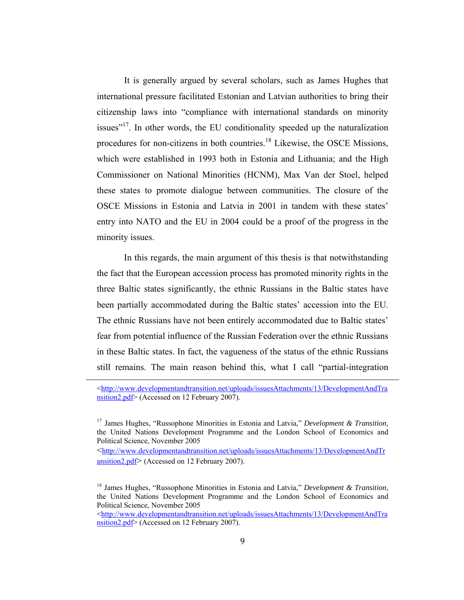It is generally argued by several scholars, such as James Hughes that international pressure facilitated Estonian and Latvian authorities to bring their citizenship laws into "compliance with international standards on minority issues"<sup>17</sup>. In other words, the EU conditionality speeded up the naturalization procedures for non-citizens in both countries.<sup>18</sup> Likewise, the OSCE Missions, which were established in 1993 both in Estonia and Lithuania; and the High Commissioner on National Minorities (HCNM), Max Van der Stoel, helped these states to promote dialogue between communities. The closure of the OSCE Missions in Estonia and Latvia in 2001 in tandem with these states' entry into NATO and the EU in 2004 could be a proof of the progress in the minority issues.

In this regards, the main argument of this thesis is that notwithstanding the fact that the European accession process has promoted minority rights in the three Baltic states significantly, the ethnic Russians in the Baltic states have been partially accommodated during the Baltic states' accession into the EU. The ethnic Russians have not been entirely accommodated due to Baltic states' fear from potential influence of the Russian Federation over the ethnic Russians in these Baltic states. In fact, the vagueness of the status of the ethnic Russians still remains. The main reason behind this, what I call "partial-integration

 $\overline{a}$ 

<http://www.developmentandtransition.net/uploads/issuesAttachments/13/DevelopmentAndTr ansition2.pdf> (Accessed on 12 February 2007).

<http://www.developmentandtransition.net/uploads/issuesAttachments/13/DevelopmentAndTra nsition2.pdf> (Accessed on 12 February 2007).

<sup>&</sup>lt;http://www.developmentandtransition.net/uploads/issuesAttachments/13/DevelopmentAndTra nsition2.pdf> (Accessed on 12 February 2007).

<sup>17</sup> James Hughes, "Russophone Minorities in Estonia and Latvia," *Development & Transition*, the United Nations Development Programme and the London School of Economics and Political Science, November 2005

<sup>18</sup> James Hughes, "Russophone Minorities in Estonia and Latvia," *Development & Transition*, the United Nations Development Programme and the London School of Economics and Political Science, November 2005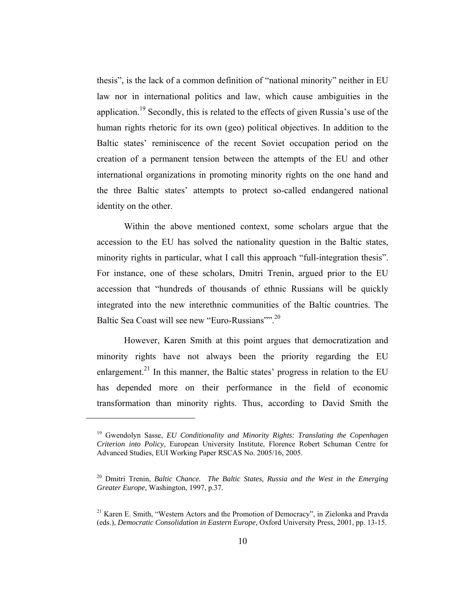thesis", is the lack of a common definition of "national minority" neither in EU law nor in international politics and law, which cause ambiguities in the application.<sup>19</sup> Secondly, this is related to the effects of given Russia's use of the human rights rhetoric for its own (geo) political objectives. In addition to the Baltic states' reminiscence of the recent Soviet occupation period on the creation of a permanent tension between the attempts of the EU and other international organizations in promoting minority rights on the one hand and the three Baltic states' attempts to protect so-called endangered national identity on the other.

Within the above mentioned context, some scholars argue that the accession to the EU has solved the nationality question in the Baltic states, minority rights in particular, what I call this approach "full-integration thesis". For instance, one of these scholars, Dmitri Trenin, argued prior to the EU accession that "hundreds of thousands of ethnic Russians will be quickly integrated into the new interethnic communities of the Baltic countries. The Baltic Sea Coast will see new "Euro-Russians"".<sup>20</sup>

However, Karen Smith at this point argues that democratization and minority rights have not always been the priority regarding the EU enlargement.<sup>21</sup> In this manner, the Baltic states' progress in relation to the EU has depended more on their performance in the field of economic transformation than minority rights. Thus, according to David Smith the

<sup>19</sup> Gwendolyn Sasse, *EU Conditionality and Minority Rights: Translating the Copenhagen Criterion into Policy*, European University Institute, Florence Robert Schuman Centre for Advanced Studies, EUI Working Paper RSCAS No. 2005/16, 2005.

<sup>&</sup>lt;sup>20</sup> Dmitri Trenin, *Baltic Chance. The Baltic States, Russia and the West in the Emerging Greater Europe*, Washington, 1997, p.37.

<sup>21</sup> Karen E. Smith, "Western Actors and the Promotion of Democracy", in Zielonka and Pravda (eds.), *Democratic Consolidation in Eastern Europe*, Oxford University Press, 2001, pp. 13-15.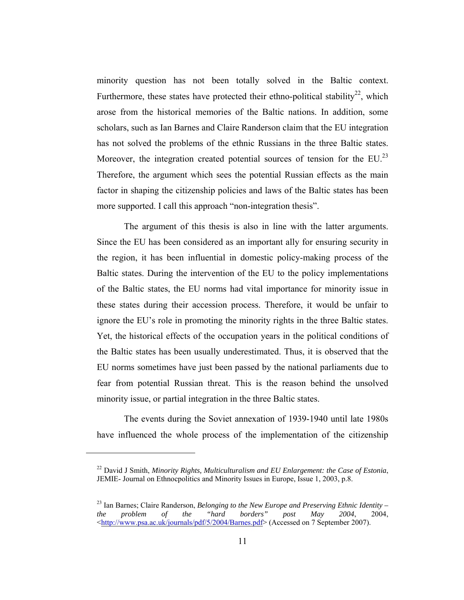minority question has not been totally solved in the Baltic context. Furthermore, these states have protected their ethno-political stability<sup>22</sup>, which arose from the historical memories of the Baltic nations. In addition, some scholars, such as Ian Barnes and Claire Randerson claim that the EU integration has not solved the problems of the ethnic Russians in the three Baltic states. Moreover, the integration created potential sources of tension for the  $EU^{23}$ Therefore, the argument which sees the potential Russian effects as the main factor in shaping the citizenship policies and laws of the Baltic states has been more supported. I call this approach "non-integration thesis".

The argument of this thesis is also in line with the latter arguments. Since the EU has been considered as an important ally for ensuring security in the region, it has been influential in domestic policy-making process of the Baltic states. During the intervention of the EU to the policy implementations of the Baltic states, the EU norms had vital importance for minority issue in these states during their accession process. Therefore, it would be unfair to ignore the EU's role in promoting the minority rights in the three Baltic states. Yet, the historical effects of the occupation years in the political conditions of the Baltic states has been usually underestimated. Thus, it is observed that the EU norms sometimes have just been passed by the national parliaments due to fear from potential Russian threat. This is the reason behind the unsolved minority issue, or partial integration in the three Baltic states.

The events during the Soviet annexation of 1939-1940 until late 1980s have influenced the whole process of the implementation of the citizenship

<sup>22</sup> David J Smith, *Minority Rights, Multiculturalism and EU Enlargement: the Case of Estonia*, JEMIE- Journal on Ethnocpolitics and Minority Issues in Europe, Issue 1, 2003, p.8.

<sup>&</sup>lt;sup>23</sup> Ian Barnes; Claire Randerson, *Belonging to the New Europe and Preserving Ethnic Identity – the problem of the "hard borders" post May 2004*, 2004, <http://www.psa.ac.uk/journals/pdf/5/2004/Barnes.pdf> (Accessed on 7 September 2007).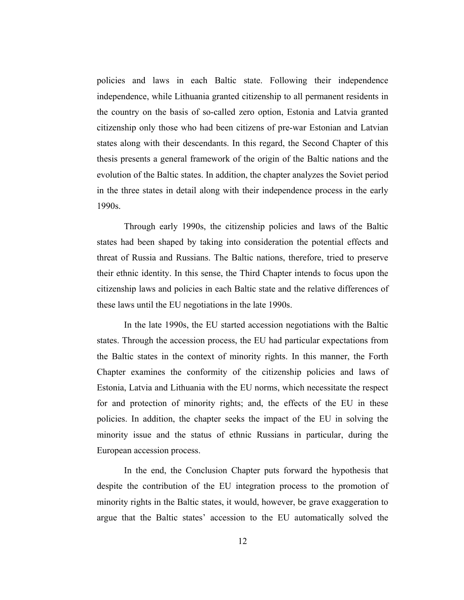policies and laws in each Baltic state. Following their independence independence, while Lithuania granted citizenship to all permanent residents in the country on the basis of so-called zero option, Estonia and Latvia granted citizenship only those who had been citizens of pre-war Estonian and Latvian states along with their descendants. In this regard, the Second Chapter of this thesis presents a general framework of the origin of the Baltic nations and the evolution of the Baltic states. In addition, the chapter analyzes the Soviet period in the three states in detail along with their independence process in the early 1990s.

Through early 1990s, the citizenship policies and laws of the Baltic states had been shaped by taking into consideration the potential effects and threat of Russia and Russians. The Baltic nations, therefore, tried to preserve their ethnic identity. In this sense, the Third Chapter intends to focus upon the citizenship laws and policies in each Baltic state and the relative differences of these laws until the EU negotiations in the late 1990s.

In the late 1990s, the EU started accession negotiations with the Baltic states. Through the accession process, the EU had particular expectations from the Baltic states in the context of minority rights. In this manner, the Forth Chapter examines the conformity of the citizenship policies and laws of Estonia, Latvia and Lithuania with the EU norms, which necessitate the respect for and protection of minority rights; and, the effects of the EU in these policies. In addition, the chapter seeks the impact of the EU in solving the minority issue and the status of ethnic Russians in particular, during the European accession process.

In the end, the Conclusion Chapter puts forward the hypothesis that despite the contribution of the EU integration process to the promotion of minority rights in the Baltic states, it would, however, be grave exaggeration to argue that the Baltic states' accession to the EU automatically solved the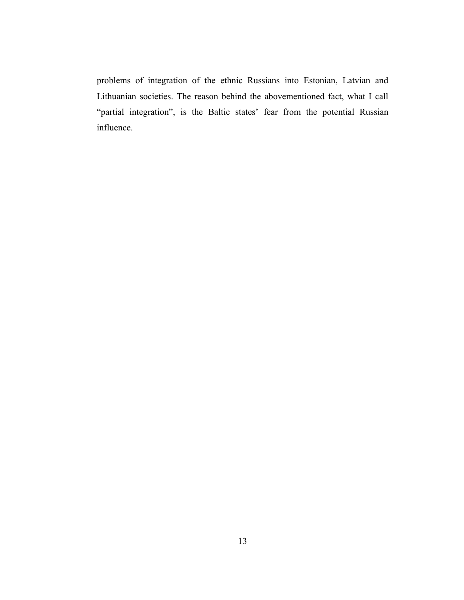problems of integration of the ethnic Russians into Estonian, Latvian and Lithuanian societies. The reason behind the abovementioned fact, what I call "partial integration", is the Baltic states' fear from the potential Russian influence.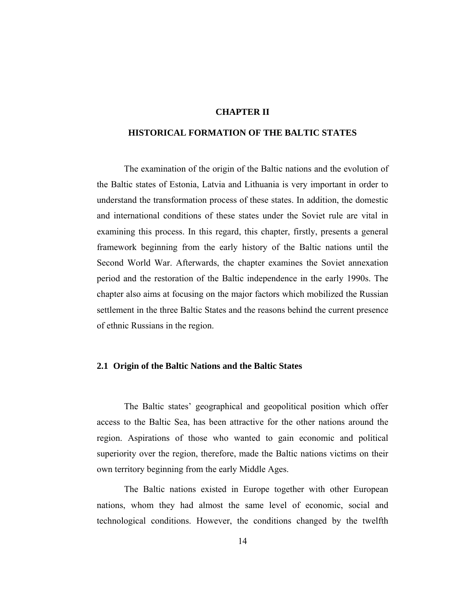#### **CHAPTER II**

#### **HISTORICAL FORMATION OF THE BALTIC STATES**

The examination of the origin of the Baltic nations and the evolution of the Baltic states of Estonia, Latvia and Lithuania is very important in order to understand the transformation process of these states. In addition, the domestic and international conditions of these states under the Soviet rule are vital in examining this process. In this regard, this chapter, firstly, presents a general framework beginning from the early history of the Baltic nations until the Second World War. Afterwards, the chapter examines the Soviet annexation period and the restoration of the Baltic independence in the early 1990s. The chapter also aims at focusing on the major factors which mobilized the Russian settlement in the three Baltic States and the reasons behind the current presence of ethnic Russians in the region.

#### **2.1 Origin of the Baltic Nations and the Baltic States**

The Baltic states' geographical and geopolitical position which offer access to the Baltic Sea, has been attractive for the other nations around the region. Aspirations of those who wanted to gain economic and political superiority over the region, therefore, made the Baltic nations victims on their own territory beginning from the early Middle Ages.

The Baltic nations existed in Europe together with other European nations, whom they had almost the same level of economic, social and technological conditions. However, the conditions changed by the twelfth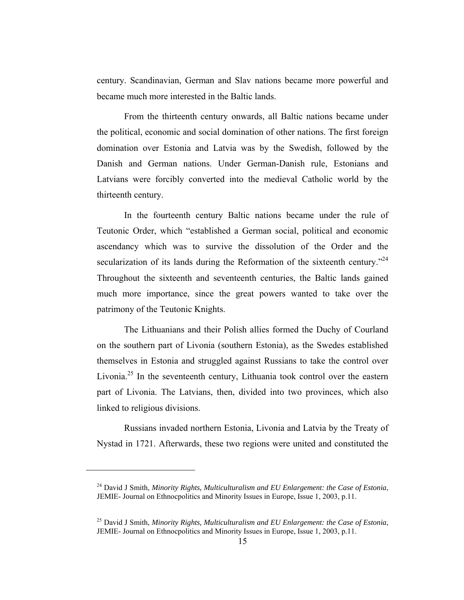century. Scandinavian, German and Slav nations became more powerful and became much more interested in the Baltic lands.

From the thirteenth century onwards, all Baltic nations became under the political, economic and social domination of other nations. The first foreign domination over Estonia and Latvia was by the Swedish, followed by the Danish and German nations. Under German-Danish rule, Estonians and Latvians were forcibly converted into the medieval Catholic world by the thirteenth century.

In the fourteenth century Baltic nations became under the rule of Teutonic Order, which "established a German social, political and economic ascendancy which was to survive the dissolution of the Order and the secularization of its lands during the Reformation of the sixteenth century.<sup> $24$ </sup> Throughout the sixteenth and seventeenth centuries, the Baltic lands gained much more importance, since the great powers wanted to take over the patrimony of the Teutonic Knights.

The Lithuanians and their Polish allies formed the Duchy of Courland on the southern part of Livonia (southern Estonia), as the Swedes established themselves in Estonia and struggled against Russians to take the control over Livonia.<sup>25</sup> In the seventeenth century, Lithuania took control over the eastern part of Livonia. The Latvians, then, divided into two provinces, which also linked to religious divisions.

Russians invaded northern Estonia, Livonia and Latvia by the Treaty of Nystad in 1721. Afterwards, these two regions were united and constituted the

<sup>24</sup> David J Smith, *Minority Rights, Multiculturalism and EU Enlargement: the Case of Estonia*, JEMIE- Journal on Ethnocpolitics and Minority Issues in Europe, Issue 1, 2003, p.11.

<sup>25</sup> David J Smith, *Minority Rights, Multiculturalism and EU Enlargement: the Case of Estonia*, JEMIE- Journal on Ethnocpolitics and Minority Issues in Europe, Issue 1, 2003, p.11.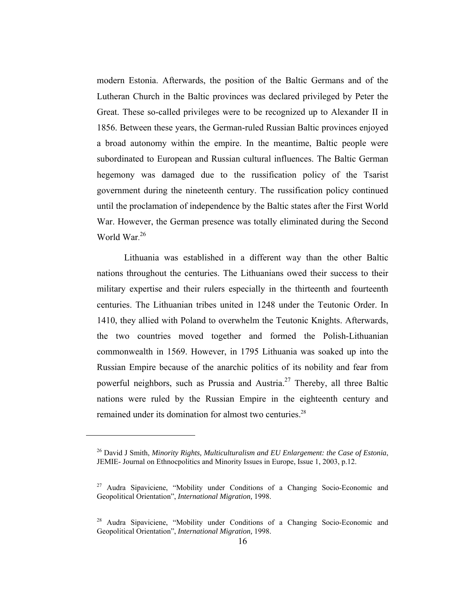modern Estonia. Afterwards, the position of the Baltic Germans and of the Lutheran Church in the Baltic provinces was declared privileged by Peter the Great. These so-called privileges were to be recognized up to Alexander II in 1856. Between these years, the German-ruled Russian Baltic provinces enjoyed a broad autonomy within the empire. In the meantime, Baltic people were subordinated to European and Russian cultural influences. The Baltic German hegemony was damaged due to the russification policy of the Tsarist government during the nineteenth century. The russification policy continued until the proclamation of independence by the Baltic states after the First World War. However, the German presence was totally eliminated during the Second World War. 26

Lithuania was established in a different way than the other Baltic nations throughout the centuries. The Lithuanians owed their success to their military expertise and their rulers especially in the thirteenth and fourteenth centuries. The Lithuanian tribes united in 1248 under the Teutonic Order. In 1410, they allied with Poland to overwhelm the Teutonic Knights. Afterwards, the two countries moved together and formed the Polish-Lithuanian commonwealth in 1569. However, in 1795 Lithuania was soaked up into the Russian Empire because of the anarchic politics of its nobility and fear from powerful neighbors, such as Prussia and Austria.<sup>27</sup> Thereby, all three Baltic nations were ruled by the Russian Empire in the eighteenth century and remained under its domination for almost two centuries.<sup>28</sup>

<sup>26</sup> David J Smith, *Minority Rights, Multiculturalism and EU Enlargement: the Case of Estonia*, JEMIE- Journal on Ethnocpolitics and Minority Issues in Europe, Issue 1, 2003, p.12.

<sup>27</sup> Audra Sipaviciene, "Mobility under Conditions of a Changing Socio-Economic and Geopolitical Orientation", *International Migration,* 1998.

<sup>28</sup> Audra Sipaviciene, "Mobility under Conditions of a Changing Socio-Economic and Geopolitical Orientation", *International Migration,* 1998.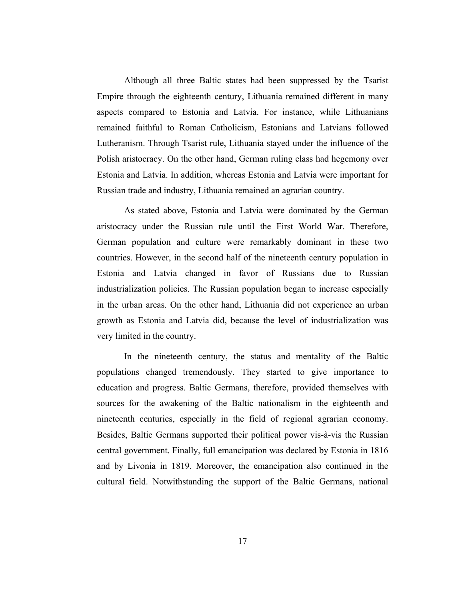Although all three Baltic states had been suppressed by the Tsarist Empire through the eighteenth century, Lithuania remained different in many aspects compared to Estonia and Latvia. For instance, while Lithuanians remained faithful to Roman Catholicism, Estonians and Latvians followed Lutheranism. Through Tsarist rule, Lithuania stayed under the influence of the Polish aristocracy. On the other hand, German ruling class had hegemony over Estonia and Latvia. In addition, whereas Estonia and Latvia were important for Russian trade and industry, Lithuania remained an agrarian country.

As stated above, Estonia and Latvia were dominated by the German aristocracy under the Russian rule until the First World War. Therefore, German population and culture were remarkably dominant in these two countries. However, in the second half of the nineteenth century population in Estonia and Latvia changed in favor of Russians due to Russian industrialization policies. The Russian population began to increase especially in the urban areas. On the other hand, Lithuania did not experience an urban growth as Estonia and Latvia did, because the level of industrialization was very limited in the country.

In the nineteenth century, the status and mentality of the Baltic populations changed tremendously. They started to give importance to education and progress. Baltic Germans, therefore, provided themselves with sources for the awakening of the Baltic nationalism in the eighteenth and nineteenth centuries, especially in the field of regional agrarian economy. Besides, Baltic Germans supported their political power vis-à-vis the Russian central government. Finally, full emancipation was declared by Estonia in 1816 and by Livonia in 1819. Moreover, the emancipation also continued in the cultural field. Notwithstanding the support of the Baltic Germans, national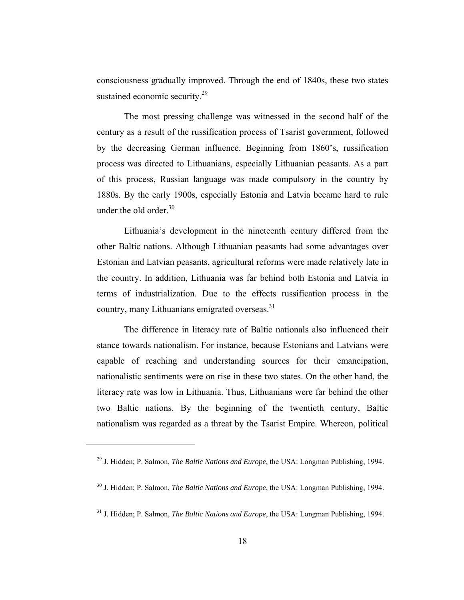consciousness gradually improved. Through the end of 1840s, these two states sustained economic security.<sup>29</sup>

The most pressing challenge was witnessed in the second half of the century as a result of the russification process of Tsarist government, followed by the decreasing German influence. Beginning from 1860's, russification process was directed to Lithuanians, especially Lithuanian peasants. As a part of this process, Russian language was made compulsory in the country by 1880s. By the early 1900s, especially Estonia and Latvia became hard to rule under the old order. $30$ 

Lithuania's development in the nineteenth century differed from the other Baltic nations. Although Lithuanian peasants had some advantages over Estonian and Latvian peasants, agricultural reforms were made relatively late in the country. In addition, Lithuania was far behind both Estonia and Latvia in terms of industrialization. Due to the effects russification process in the country, many Lithuanians emigrated overseas.<sup>31</sup>

The difference in literacy rate of Baltic nationals also influenced their stance towards nationalism. For instance, because Estonians and Latvians were capable of reaching and understanding sources for their emancipation, nationalistic sentiments were on rise in these two states. On the other hand, the literacy rate was low in Lithuania. Thus, Lithuanians were far behind the other two Baltic nations. By the beginning of the twentieth century, Baltic nationalism was regarded as a threat by the Tsarist Empire. Whereon, political

<sup>29</sup> J. Hidden; P. Salmon, *The Baltic Nations and Europe*, the USA: Longman Publishing, 1994.

<sup>30</sup> J. Hidden; P. Salmon, *The Baltic Nations and Europe*, the USA: Longman Publishing, 1994.

<sup>31</sup> J. Hidden; P. Salmon, *The Baltic Nations and Europe*, the USA: Longman Publishing, 1994.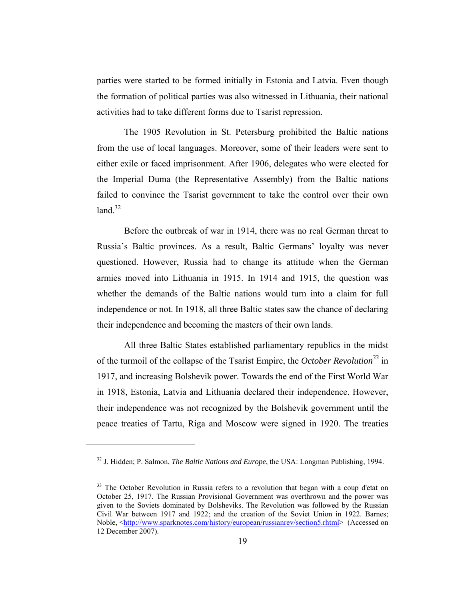parties were started to be formed initially in Estonia and Latvia. Even though the formation of political parties was also witnessed in Lithuania, their national activities had to take different forms due to Tsarist repression.

The 1905 Revolution in St. Petersburg prohibited the Baltic nations from the use of local languages. Moreover, some of their leaders were sent to either exile or faced imprisonment. After 1906, delegates who were elected for the Imperial Duma (the Representative Assembly) from the Baltic nations failed to convince the Tsarist government to take the control over their own land  $32$ 

Before the outbreak of war in 1914, there was no real German threat to Russia's Baltic provinces. As a result, Baltic Germans' loyalty was never questioned. However, Russia had to change its attitude when the German armies moved into Lithuania in 1915. In 1914 and 1915, the question was whether the demands of the Baltic nations would turn into a claim for full independence or not. In 1918, all three Baltic states saw the chance of declaring their independence and becoming the masters of their own lands.

All three Baltic States established parliamentary republics in the midst of the turmoil of the collapse of the Tsarist Empire, the *October Revolution33* in 1917, and increasing Bolshevik power. Towards the end of the First World War in 1918, Estonia, Latvia and Lithuania declared their independence. However, their independence was not recognized by the Bolshevik government until the peace treaties of Tartu, Riga and Moscow were signed in 1920. The treaties

<sup>32</sup> J. Hidden; P. Salmon, *The Baltic Nations and Europe*, the USA: Longman Publishing, 1994.

<sup>&</sup>lt;sup>33</sup> The October Revolution in Russia refers to a revolution that began with a coup d'etat on October 25, 1917. The Russian Provisional Government was overthrown and the power was given to the Soviets dominated by Bolsheviks. The Revolution was followed by the Russian Civil War between 1917 and 1922; and the creation of the Soviet Union in 1922. Barnes; Noble,  $\text{thtn:}/\text{www.sparknotes.com/history/eurobean/russianrev/section5.html}$  (Accessed on 12 December 2007).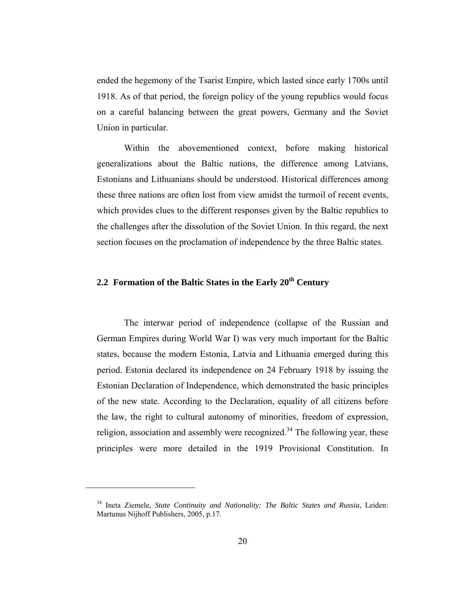ended the hegemony of the Tsarist Empire, which lasted since early 1700s until 1918. As of that period, the foreign policy of the young republics would focus on a careful balancing between the great powers, Germany and the Soviet Union in particular.

Within the abovementioned context, before making historical generalizations about the Baltic nations, the difference among Latvians, Estonians and Lithuanians should be understood. Historical differences among these three nations are often lost from view amidst the turmoil of recent events, which provides clues to the different responses given by the Baltic republics to the challenges after the dissolution of the Soviet Union. In this regard, the next section focuses on the proclamation of independence by the three Baltic states.

### **2.2 Formation of the Baltic States in the Early 20th Century**

The interwar period of independence (collapse of the Russian and German Empires during World War I) was very much important for the Baltic states, because the modern Estonia, Latvia and Lithuania emerged during this period. Estonia declared its independence on 24 February 1918 by issuing the Estonian Declaration of Independence, which demonstrated the basic principles of the new state. According to the Declaration, equality of all citizens before the law, the right to cultural autonomy of minorities, freedom of expression, religion, association and assembly were recognized.<sup>34</sup> The following year, these principles were more detailed in the 1919 Provisional Constitution. In

<sup>34</sup> Ineta Ziemele, *State Continuity and Nationality: The Baltic States and Russia*, Leiden: Martunus Nijhoff Publishers, 2005, p.17.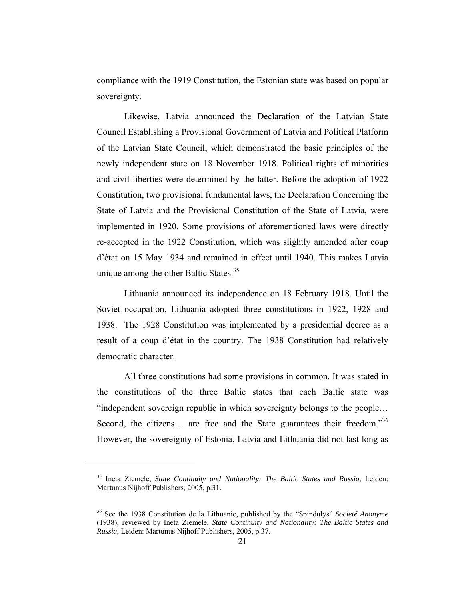compliance with the 1919 Constitution, the Estonian state was based on popular sovereignty.

Likewise, Latvia announced the Declaration of the Latvian State Council Establishing a Provisional Government of Latvia and Political Platform of the Latvian State Council, which demonstrated the basic principles of the newly independent state on 18 November 1918. Political rights of minorities and civil liberties were determined by the latter. Before the adoption of 1922 Constitution, two provisional fundamental laws, the Declaration Concerning the State of Latvia and the Provisional Constitution of the State of Latvia, were implemented in 1920. Some provisions of aforementioned laws were directly re-accepted in the 1922 Constitution, which was slightly amended after coup d'état on 15 May 1934 and remained in effect until 1940. This makes Latvia unique among the other Baltic States.<sup>35</sup>

Lithuania announced its independence on 18 February 1918. Until the Soviet occupation, Lithuania adopted three constitutions in 1922, 1928 and 1938. The 1928 Constitution was implemented by a presidential decree as a result of a coup d'état in the country. The 1938 Constitution had relatively democratic character.

All three constitutions had some provisions in common. It was stated in the constitutions of the three Baltic states that each Baltic state was "independent sovereign republic in which sovereignty belongs to the people… Second, the citizens... are free and the State guarantees their freedom."<sup>36</sup> However, the sovereignty of Estonia, Latvia and Lithuania did not last long as

<sup>35</sup> Ineta Ziemele, *State Continuity and Nationality: The Baltic States and Russia*, Leiden: Martunus Nijhoff Publishers, 2005, p.31.

<sup>36</sup> See the 1938 Constitution de la Lithuanie, published by the "Spindulys" *Societé Anonyme* (1938), reviewed by Ineta Ziemele, *State Continuity and Nationality: The Baltic States and Russia*, Leiden: Martunus Nijhoff Publishers, 2005, p.37.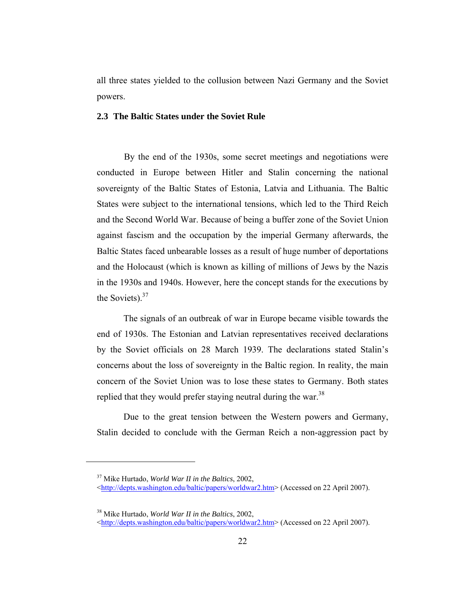all three states yielded to the collusion between Nazi Germany and the Soviet powers.

### **2.3 The Baltic States under the Soviet Rule**

By the end of the 1930s, some secret meetings and negotiations were conducted in Europe between Hitler and Stalin concerning the national sovereignty of the Baltic States of Estonia, Latvia and Lithuania. The Baltic States were subject to the international tensions, which led to the Third Reich and the Second World War. Because of being a buffer zone of the Soviet Union against fascism and the occupation by the imperial Germany afterwards, the Baltic States faced unbearable losses as a result of huge number of deportations and the Holocaust (which is known as killing of millions of Jews by the Nazis in the 1930s and 1940s. However, here the concept stands for the executions by the Soviets). $37$ 

The signals of an outbreak of war in Europe became visible towards the end of 1930s. The Estonian and Latvian representatives received declarations by the Soviet officials on 28 March 1939. The declarations stated Stalin's concerns about the loss of sovereignty in the Baltic region. In reality, the main concern of the Soviet Union was to lose these states to Germany. Both states replied that they would prefer staying neutral during the war.<sup>38</sup>

Due to the great tension between the Western powers and Germany, Stalin decided to conclude with the German Reich a non-aggression pact by

<sup>37</sup> Mike Hurtado, *World War II in the Baltics*, 2002,

<sup>&</sup>lt;http://depts.washington.edu/baltic/papers/worldwar2.htm> (Accessed on 22 April 2007).

<sup>38</sup> Mike Hurtado, *World War II in the Baltics*, 2002,

<sup>&</sup>lt;http://depts.washington.edu/baltic/papers/worldwar2.htm> (Accessed on 22 April 2007).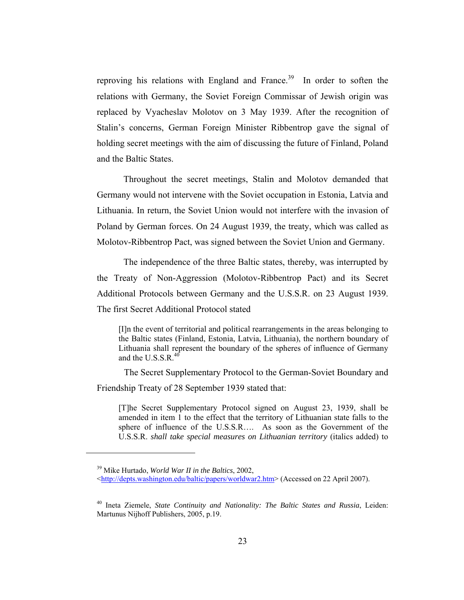reproving his relations with England and France.<sup>39</sup> In order to soften the relations with Germany, the Soviet Foreign Commissar of Jewish origin was replaced by Vyacheslav Molotov on 3 May 1939. After the recognition of Stalin's concerns, German Foreign Minister Ribbentrop gave the signal of holding secret meetings with the aim of discussing the future of Finland, Poland and the Baltic States.

Throughout the secret meetings, Stalin and Molotov demanded that Germany would not intervene with the Soviet occupation in Estonia, Latvia and Lithuania. In return, the Soviet Union would not interfere with the invasion of Poland by German forces. On 24 August 1939, the treaty, which was called as Molotov-Ribbentrop Pact, was signed between the Soviet Union and Germany.

The independence of the three Baltic states, thereby, was interrupted by the Treaty of Non-Aggression (Molotov-Ribbentrop Pact) and its Secret Additional Protocols between Germany and the U.S.S.R. on 23 August 1939. The first Secret Additional Protocol stated

[I]n the event of territorial and political rearrangements in the areas belonging to the Baltic states (Finland, Estonia, Latvia, Lithuania), the northern boundary of Lithuania shall represent the boundary of the spheres of influence of Germany and the U.S.S.R. $^{40}$ 

The Secret Supplementary Protocol to the German-Soviet Boundary and Friendship Treaty of 28 September 1939 stated that:

[T]he Secret Supplementary Protocol signed on August 23, 1939, shall be amended in item 1 to the effect that the territory of Lithuanian state falls to the sphere of influence of the U.S.S.R…. As soon as the Government of the U.S.S.R. *shall take special measures on Lithuanian territory* (italics added) to

<sup>39</sup> Mike Hurtado, *World War II in the Baltics*, 2002,

<sup>&</sup>lt;http://depts.washington.edu/baltic/papers/worldwar2.htm> (Accessed on 22 April 2007).

<sup>40</sup> Ineta Ziemele, *State Continuity and Nationality: The Baltic States and Russia*, Leiden: Martunus Nijhoff Publishers, 2005, p.19.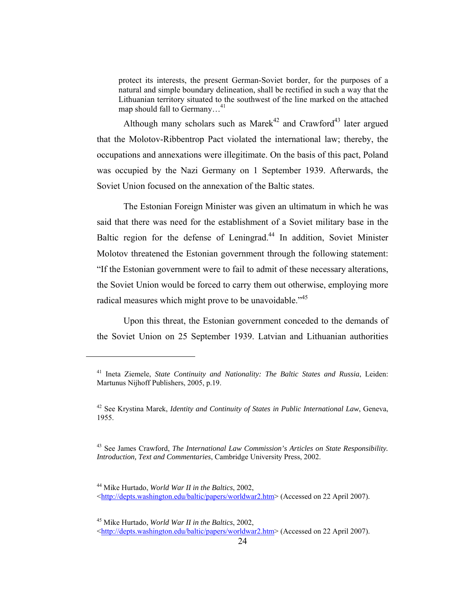protect its interests, the present German-Soviet border, for the purposes of a natural and simple boundary delineation, shall be rectified in such a way that the Lithuanian territory situated to the southwest of the line marked on the attached map should fall to Germany…41

Although many scholars such as Marek<sup>42</sup> and Crawford<sup>43</sup> later argued that the Molotov-Ribbentrop Pact violated the international law; thereby, the occupations and annexations were illegitimate. On the basis of this pact, Poland was occupied by the Nazi Germany on 1 September 1939. Afterwards, the Soviet Union focused on the annexation of the Baltic states.

The Estonian Foreign Minister was given an ultimatum in which he was said that there was need for the establishment of a Soviet military base in the Baltic region for the defense of Leningrad.<sup>44</sup> In addition, Soviet Minister Molotov threatened the Estonian government through the following statement: "If the Estonian government were to fail to admit of these necessary alterations, the Soviet Union would be forced to carry them out otherwise, employing more radical measures which might prove to be unavoidable."<sup>45</sup>

Upon this threat, the Estonian government conceded to the demands of the Soviet Union on 25 September 1939. Latvian and Lithuanian authorities

45 Mike Hurtado, *World War II in the Baltics*, 2002,

<sup>41</sup> Ineta Ziemele, *State Continuity and Nationality: The Baltic States and Russia*, Leiden: Martunus Nijhoff Publishers, 2005, p.19.

<sup>42</sup> See Krystina Marek, *Identity and Continuity of States in Public International Law*, Geneva, 1955.

<sup>43</sup> See James Crawford, *The International Law Commission's Articles on State Responsibility. Introduction, Text and Commentaries*, Cambridge University Press, 2002.

<sup>44</sup> Mike Hurtado, *World War II in the Baltics*, 2002,

<sup>&</sup>lt;http://depts.washington.edu/baltic/papers/worldwar2.htm> (Accessed on 22 April 2007).

<sup>&</sup>lt;http://depts.washington.edu/baltic/papers/worldwar2.htm> (Accessed on 22 April 2007).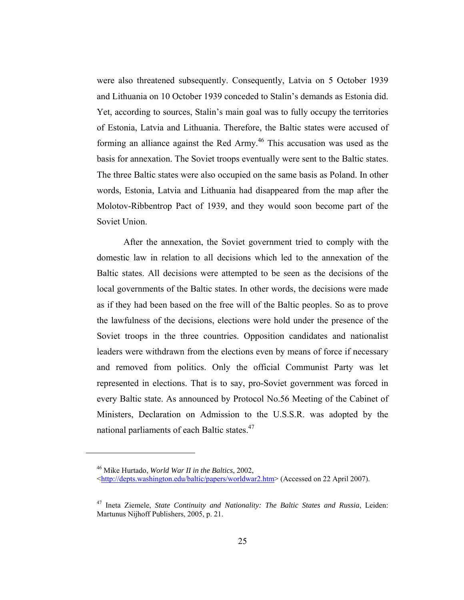were also threatened subsequently. Consequently, Latvia on 5 October 1939 and Lithuania on 10 October 1939 conceded to Stalin's demands as Estonia did. Yet, according to sources, Stalin's main goal was to fully occupy the territories of Estonia, Latvia and Lithuania. Therefore, the Baltic states were accused of forming an alliance against the Red Army.<sup>46</sup> This accusation was used as the basis for annexation. The Soviet troops eventually were sent to the Baltic states. The three Baltic states were also occupied on the same basis as Poland. In other words, Estonia, Latvia and Lithuania had disappeared from the map after the Molotov-Ribbentrop Pact of 1939, and they would soon become part of the Soviet Union.

After the annexation, the Soviet government tried to comply with the domestic law in relation to all decisions which led to the annexation of the Baltic states. All decisions were attempted to be seen as the decisions of the local governments of the Baltic states. In other words, the decisions were made as if they had been based on the free will of the Baltic peoples. So as to prove the lawfulness of the decisions, elections were hold under the presence of the Soviet troops in the three countries. Opposition candidates and nationalist leaders were withdrawn from the elections even by means of force if necessary and removed from politics. Only the official Communist Party was let represented in elections. That is to say, pro-Soviet government was forced in every Baltic state. As announced by Protocol No.56 Meeting of the Cabinet of Ministers, Declaration on Admission to the U.S.S.R. was adopted by the national parliaments of each Baltic states.<sup>47</sup>

<sup>46</sup> Mike Hurtado, *World War II in the Baltics*, 2002, <http://depts.washington.edu/baltic/papers/worldwar2.htm> (Accessed on 22 April 2007).

<sup>47</sup> Ineta Ziemele, *State Continuity and Nationality: The Baltic States and Russia*, Leiden: Martunus Nijhoff Publishers, 2005, p. 21.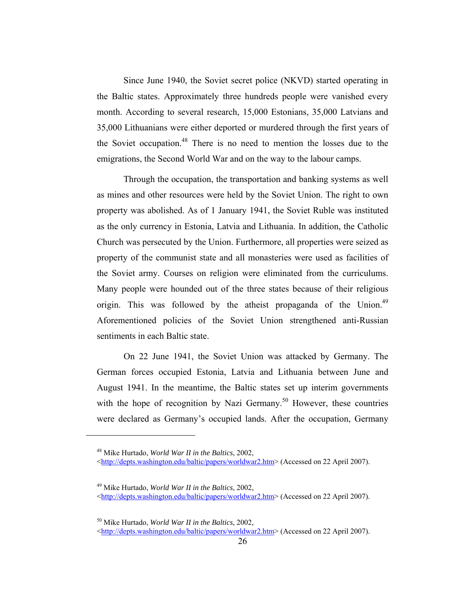Since June 1940, the Soviet secret police (NKVD) started operating in the Baltic states. Approximately three hundreds people were vanished every month. According to several research, 15,000 Estonians, 35,000 Latvians and 35,000 Lithuanians were either deported or murdered through the first years of the Soviet occupation.<sup>48</sup> There is no need to mention the losses due to the emigrations, the Second World War and on the way to the labour camps.

Through the occupation, the transportation and banking systems as well as mines and other resources were held by the Soviet Union. The right to own property was abolished. As of 1 January 1941, the Soviet Ruble was instituted as the only currency in Estonia, Latvia and Lithuania. In addition, the Catholic Church was persecuted by the Union. Furthermore, all properties were seized as property of the communist state and all monasteries were used as facilities of the Soviet army. Courses on religion were eliminated from the curriculums. Many people were hounded out of the three states because of their religious origin. This was followed by the atheist propaganda of the Union.<sup>49</sup> Aforementioned policies of the Soviet Union strengthened anti-Russian sentiments in each Baltic state.

On 22 June 1941, the Soviet Union was attacked by Germany. The German forces occupied Estonia, Latvia and Lithuania between June and August 1941. In the meantime, the Baltic states set up interim governments with the hope of recognition by Nazi Germany.<sup>50</sup> However, these countries were declared as Germany's occupied lands. After the occupation, Germany

<sup>48</sup> Mike Hurtado, *World War II in the Baltics*, 2002,

<sup>&</sup>lt;http://depts.washington.edu/baltic/papers/worldwar2.htm> (Accessed on 22 April 2007).

<sup>49</sup> Mike Hurtado, *World War II in the Baltics*, 2002, <http://depts.washington.edu/baltic/papers/worldwar2.htm> (Accessed on 22 April 2007).

<sup>50</sup> Mike Hurtado, *World War II in the Baltics*, 2002,

<sup>&</sup>lt;http://depts.washington.edu/baltic/papers/worldwar2.htm> (Accessed on 22 April 2007).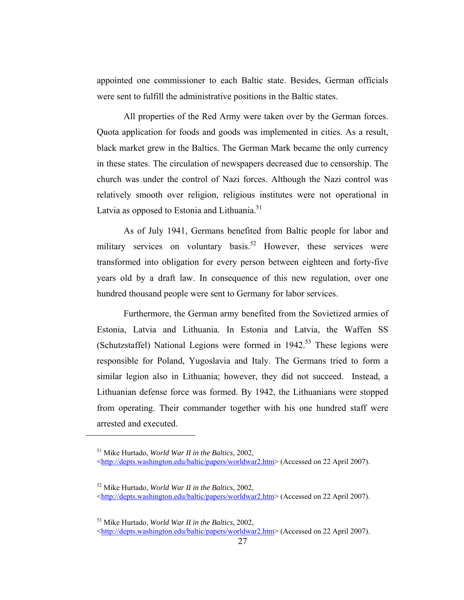appointed one commissioner to each Baltic state. Besides, German officials were sent to fulfill the administrative positions in the Baltic states.

All properties of the Red Army were taken over by the German forces. Quota application for foods and goods was implemented in cities. As a result, black market grew in the Baltics. The German Mark became the only currency in these states. The circulation of newspapers decreased due to censorship. The church was under the control of Nazi forces. Although the Nazi control was relatively smooth over religion, religious institutes were not operational in Latvia as opposed to Estonia and Lithuania.<sup>51</sup>

As of July 1941, Germans benefited from Baltic people for labor and military services on voluntary basis.<sup>52</sup> However, these services were transformed into obligation for every person between eighteen and forty-five years old by a draft law. In consequence of this new regulation, over one hundred thousand people were sent to Germany for labor services.

Furthermore, the German army benefited from the Sovietized armies of Estonia, Latvia and Lithuania. In Estonia and Latvia, the Waffen SS (Schutzstaffel) National Legions were formed in  $1942<sup>53</sup>$  These legions were responsible for Poland, Yugoslavia and Italy. The Germans tried to form a similar legion also in Lithuania; however, they did not succeed. Instead, a Lithuanian defense force was formed. By 1942, the Lithuanians were stopped from operating. Their commander together with his one hundred staff were arrested and executed.

<sup>51</sup> Mike Hurtado, *World War II in the Baltics*, 2002,

<sup>&</sup>lt;http://depts.washington.edu/baltic/papers/worldwar2.htm> (Accessed on 22 April 2007).

<sup>52</sup> Mike Hurtado, *World War II in the Baltics*, 2002, <http://depts.washington.edu/baltic/papers/worldwar2.htm> (Accessed on 22 April 2007).

<sup>53</sup> Mike Hurtado, *World War II in the Baltics*, 2002,

<sup>&</sup>lt;http://depts.washington.edu/baltic/papers/worldwar2.htm> (Accessed on 22 April 2007).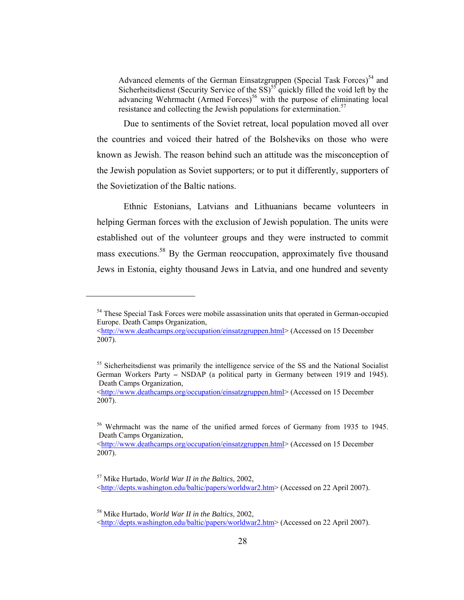Advanced elements of the German Einsatzgruppen (Special Task Forces)<sup>54</sup> and Sicherheitsdienst (Security Service of the  $SS$ )<sup>55</sup> quickly filled the void left by the advancing Wehrmacht (Armed Forces)<sup>56</sup> with the purpose of eliminating local resistance and collecting the Jewish populations for extermination.<sup>57</sup>

Due to sentiments of the Soviet retreat, local population moved all over the countries and voiced their hatred of the Bolsheviks on those who were known as Jewish. The reason behind such an attitude was the misconception of the Jewish population as Soviet supporters; or to put it differently, supporters of the Sovietization of the Baltic nations.

Ethnic Estonians, Latvians and Lithuanians became volunteers in helping German forces with the exclusion of Jewish population. The units were established out of the volunteer groups and they were instructed to commit mass executions.<sup>58</sup> By the German reoccupation, approximately five thousand Jews in Estonia, eighty thousand Jews in Latvia, and one hundred and seventy

<sup>&</sup>lt;sup>54</sup> These Special Task Forces were mobile assassination units that operated in German-occupied Europe. Death Camps Organization,

<sup>&</sup>lt;http://www.deathcamps.org/occupation/einsatzgruppen.html> (Accessed on 15 December 2007).

<sup>&</sup>lt;sup>55</sup> Sicherheitsdienst was primarily the intelligence service of the SS and the National Socialist German Workers Party **–** NSDAP (a political party in Germany between 1919 and 1945). Death Camps Organization,

<sup>&</sup>lt;http://www.deathcamps.org/occupation/einsatzgruppen.html> (Accessed on 15 December 2007).

<sup>&</sup>lt;sup>56</sup> Wehrmacht was the name of the unified armed forces of Germany from 1935 to 1945. Death Camps Organization,

<sup>&</sup>lt;http://www.deathcamps.org/occupation/einsatzgruppen.html> (Accessed on 15 December 2007).

<sup>57</sup> Mike Hurtado, *World War II in the Baltics*, 2002, <http://depts.washington.edu/baltic/papers/worldwar2.htm> (Accessed on 22 April 2007).

<sup>58</sup> Mike Hurtado, *World War II in the Baltics*, 2002,

<sup>&</sup>lt;http://depts.washington.edu/baltic/papers/worldwar2.htm> (Accessed on 22 April 2007).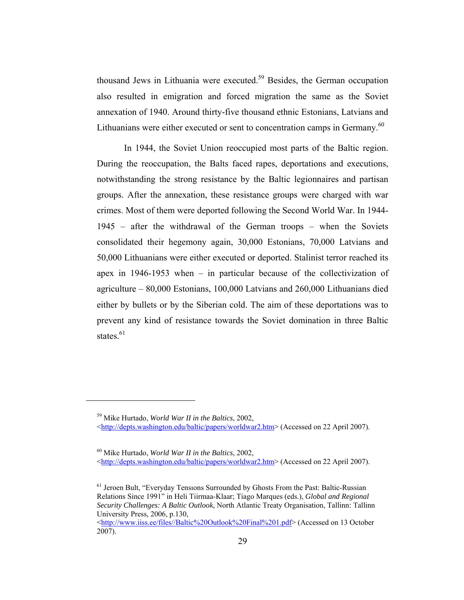thousand Jews in Lithuania were executed.<sup>59</sup> Besides, the German occupation also resulted in emigration and forced migration the same as the Soviet annexation of 1940. Around thirty-five thousand ethnic Estonians, Latvians and Lithuanians were either executed or sent to concentration camps in Germany.<sup>60</sup>

In 1944, the Soviet Union reoccupied most parts of the Baltic region. During the reoccupation, the Balts faced rapes, deportations and executions, notwithstanding the strong resistance by the Baltic legionnaires and partisan groups. After the annexation, these resistance groups were charged with war crimes. Most of them were deported following the Second World War. In 1944- 1945 – after the withdrawal of the German troops – when the Soviets consolidated their hegemony again, 30,000 Estonians, 70,000 Latvians and 50,000 Lithuanians were either executed or deported. Stalinist terror reached its apex in 1946-1953 when – in particular because of the collectivization of agriculture – 80,000 Estonians, 100,000 Latvians and 260,000 Lithuanians died either by bullets or by the Siberian cold. The aim of these deportations was to prevent any kind of resistance towards the Soviet domination in three Baltic states. $61$ 

59 Mike Hurtado, *World War II in the Baltics*, 2002, <http://depts.washington.edu/baltic/papers/worldwar2.htm> (Accessed on 22 April 2007).

60 Mike Hurtado, *World War II in the Baltics*, 2002,

<sup>&</sup>lt;http://depts.washington.edu/baltic/papers/worldwar2.htm> (Accessed on 22 April 2007).

<sup>61</sup> Jeroen Bult, "Everyday Tensıons Surrounded by Ghosts From the Past: Baltic-Russian Relations Since 1991" in Heli Tiirmaa-Klaar; Tiago Marques (eds.), *Global and Regional Security Challenges: A Baltic Outlook*, North Atlantic Treaty Organisation, Tallinn: Tallinn University Press, 2006, p.130,

<sup>&</sup>lt;http://www.iiss.ee/files//Baltic%20Outlook%20Final%201.pdf> (Accessed on 13 October 2007).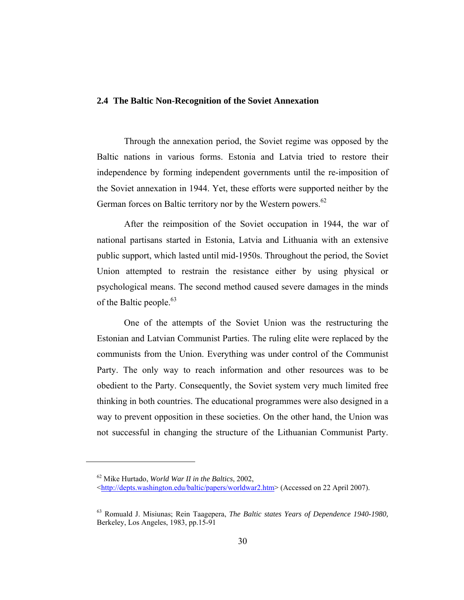#### **2.4 The Baltic Non-Recognition of the Soviet Annexation**

Through the annexation period, the Soviet regime was opposed by the Baltic nations in various forms. Estonia and Latvia tried to restore their independence by forming independent governments until the re-imposition of the Soviet annexation in 1944. Yet, these efforts were supported neither by the German forces on Baltic territory nor by the Western powers.<sup>62</sup>

After the reimposition of the Soviet occupation in 1944, the war of national partisans started in Estonia, Latvia and Lithuania with an extensive public support, which lasted until mid-1950s. Throughout the period, the Soviet Union attempted to restrain the resistance either by using physical or psychological means. The second method caused severe damages in the minds of the Baltic people. $63$ 

One of the attempts of the Soviet Union was the restructuring the Estonian and Latvian Communist Parties. The ruling elite were replaced by the communists from the Union. Everything was under control of the Communist Party. The only way to reach information and other resources was to be obedient to the Party. Consequently, the Soviet system very much limited free thinking in both countries. The educational programmes were also designed in a way to prevent opposition in these societies. On the other hand, the Union was not successful in changing the structure of the Lithuanian Communist Party.

<sup>62</sup> Mike Hurtado, *World War II in the Baltics*, 2002,

<sup>&</sup>lt;http://depts.washington.edu/baltic/papers/worldwar2.htm> (Accessed on 22 April 2007).

<sup>63</sup> Romuald J. Misiunas; Rein Taagepera, *The Baltic states Years of Dependence 1940-1980,* Berkeley, Los Angeles, 1983, pp.15-91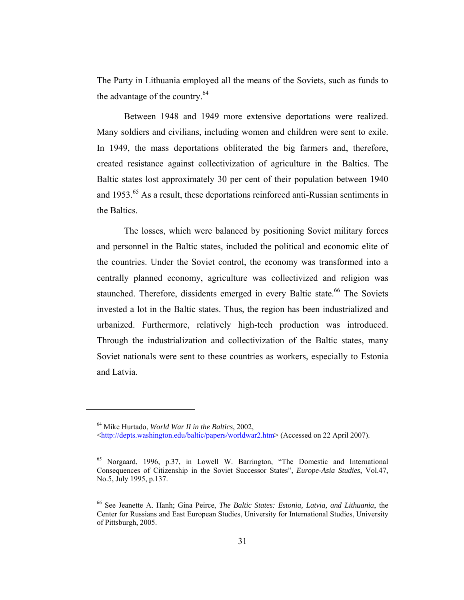The Party in Lithuania employed all the means of the Soviets, such as funds to the advantage of the country. $64$ 

Between 1948 and 1949 more extensive deportations were realized. Many soldiers and civilians, including women and children were sent to exile. In 1949, the mass deportations obliterated the big farmers and, therefore, created resistance against collectivization of agriculture in the Baltics. The Baltic states lost approximately 30 per cent of their population between 1940 and 1953.<sup>65</sup> As a result, these deportations reinforced anti-Russian sentiments in the Baltics.

The losses, which were balanced by positioning Soviet military forces and personnel in the Baltic states, included the political and economic elite of the countries. Under the Soviet control, the economy was transformed into a centrally planned economy, agriculture was collectivized and religion was staunched. Therefore, dissidents emerged in every Baltic state.<sup>66</sup> The Soviets invested a lot in the Baltic states. Thus, the region has been industrialized and urbanized. Furthermore, relatively high-tech production was introduced. Through the industrialization and collectivization of the Baltic states, many Soviet nationals were sent to these countries as workers, especially to Estonia and Latvia.

<sup>64</sup> Mike Hurtado, *World War II in the Baltics*, 2002,

<sup>&</sup>lt;http://depts.washington.edu/baltic/papers/worldwar2.htm> (Accessed on 22 April 2007).

<sup>65</sup> Norgaard, 1996, p.37, in Lowell W. Barrington, "The Domestic and International Consequences of Citizenship in the Soviet Successor States", *Europe-Asia Studies*, Vol.47, No.5, July 1995, p.137.

<sup>66</sup> See Jeanette A. Hanh; Gina Peirce, *The Baltic States: Estonia, Latvia, and Lithuania*, the Center for Russians and East European Studies, University for International Studies, University of Pittsburgh, 2005.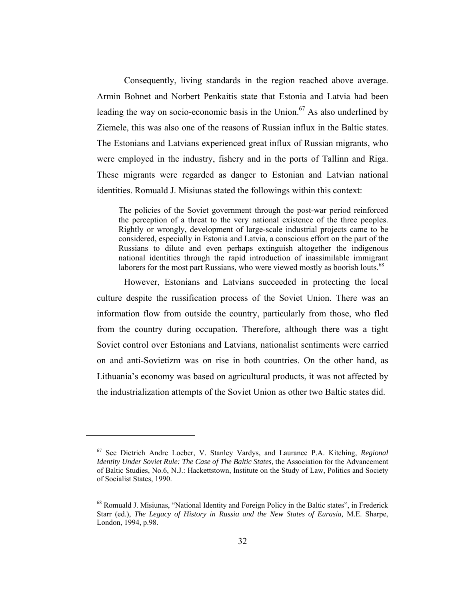Consequently, living standards in the region reached above average. Armin Bohnet and Norbert Penkaitis state that Estonia and Latvia had been leading the way on socio-economic basis in the Union.<sup>67</sup> As also underlined by Ziemele, this was also one of the reasons of Russian influx in the Baltic states. The Estonians and Latvians experienced great influx of Russian migrants, who were employed in the industry, fishery and in the ports of Tallinn and Riga. These migrants were regarded as danger to Estonian and Latvian national identities. Romuald J. Misiunas stated the followings within this context:

The policies of the Soviet government through the post-war period reinforced the perception of a threat to the very national existence of the three peoples. Rightly or wrongly, development of large-scale industrial projects came to be considered, especially in Estonia and Latvia, a conscious effort on the part of the Russians to dilute and even perhaps extinguish altogether the indigenous national identities through the rapid introduction of inassimilable immigrant laborers for the most part Russians, who were viewed mostly as boorish louts.<sup>68</sup>

However, Estonians and Latvians succeeded in protecting the local culture despite the russification process of the Soviet Union. There was an information flow from outside the country, particularly from those, who fled from the country during occupation. Therefore, although there was a tight Soviet control over Estonians and Latvians, nationalist sentiments were carried on and anti-Sovietizm was on rise in both countries. On the other hand, as Lithuania's economy was based on agricultural products, it was not affected by the industrialization attempts of the Soviet Union as other two Baltic states did.

<sup>67</sup> See Dietrich Andre Loeber, V. Stanley Vardys, and Laurance P.A. Kitching, *Regional Identity Under Soviet Rule: The Case of The Baltic States*, the Association for the Advancement of Baltic Studies, No.6, N.J.: Hackettstown, Institute on the Study of Law, Politics and Society of Socialist States, 1990.

<sup>68</sup> Romuald J. Misiunas, "National Identity and Foreign Policy in the Baltic states", in Frederick Starr (ed.), *The Legacy of History in Russia and the New States of Eurasia,* M.E. Sharpe, London, 1994, p.98.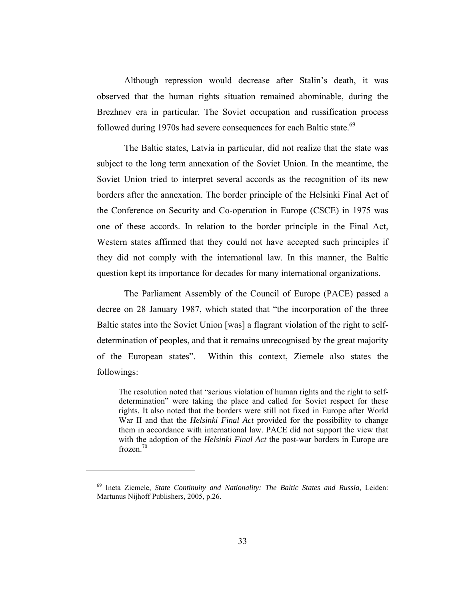Although repression would decrease after Stalin's death, it was observed that the human rights situation remained abominable, during the Brezhnev era in particular. The Soviet occupation and russification process followed during 1970s had severe consequences for each Baltic state.<sup>69</sup>

The Baltic states, Latvia in particular, did not realize that the state was subject to the long term annexation of the Soviet Union. In the meantime, the Soviet Union tried to interpret several accords as the recognition of its new borders after the annexation. The border principle of the Helsinki Final Act of the Conference on Security and Co-operation in Europe (CSCE) in 1975 was one of these accords. In relation to the border principle in the Final Act, Western states affirmed that they could not have accepted such principles if they did not comply with the international law. In this manner, the Baltic question kept its importance for decades for many international organizations.

The Parliament Assembly of the Council of Europe (PACE) passed a decree on 28 January 1987, which stated that "the incorporation of the three Baltic states into the Soviet Union [was] a flagrant violation of the right to selfdetermination of peoples, and that it remains unrecognised by the great majority of the European states". Within this context, Ziemele also states the followings:

The resolution noted that "serious violation of human rights and the right to selfdetermination" were taking the place and called for Soviet respect for these rights. It also noted that the borders were still not fixed in Europe after World War II and that the *Helsinki Final Act* provided for the possibility to change them in accordance with international law. PACE did not support the view that with the adoption of the *Helsinki Final Act* the post-war borders in Europe are frozen.70

<sup>69</sup> Ineta Ziemele, *State Continuity and Nationality: The Baltic States and Russia*, Leiden: Martunus Nijhoff Publishers, 2005, p.26.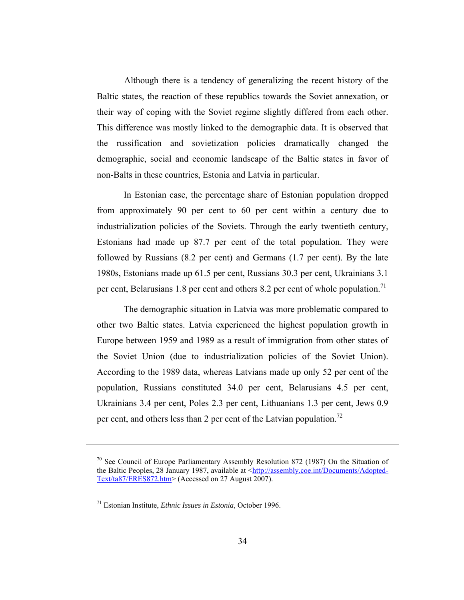Although there is a tendency of generalizing the recent history of the Baltic states, the reaction of these republics towards the Soviet annexation, or their way of coping with the Soviet regime slightly differed from each other. This difference was mostly linked to the demographic data. It is observed that the russification and sovietization policies dramatically changed the demographic, social and economic landscape of the Baltic states in favor of non-Balts in these countries, Estonia and Latvia in particular.

In Estonian case, the percentage share of Estonian population dropped from approximately 90 per cent to 60 per cent within a century due to industrialization policies of the Soviets. Through the early twentieth century, Estonians had made up 87.7 per cent of the total population. They were followed by Russians (8.2 per cent) and Germans (1.7 per cent). By the late 1980s, Estonians made up 61.5 per cent, Russians 30.3 per cent, Ukrainians 3.1 per cent, Belarusians 1.8 per cent and others 8.2 per cent of whole population.<sup>71</sup>

The demographic situation in Latvia was more problematic compared to other two Baltic states. Latvia experienced the highest population growth in Europe between 1959 and 1989 as a result of immigration from other states of the Soviet Union (due to industrialization policies of the Soviet Union). According to the 1989 data, whereas Latvians made up only 52 per cent of the population, Russians constituted 34.0 per cent, Belarusians 4.5 per cent, Ukrainians 3.4 per cent, Poles 2.3 per cent, Lithuanians 1.3 per cent, Jews 0.9 per cent, and others less than 2 per cent of the Latvian population.<sup>72</sup>

<sup>&</sup>lt;sup>70</sup> See Council of Europe Parliamentary Assembly Resolution 872 (1987) On the Situation of the Baltic Peoples, 28 January 1987, available at <http://assembly.coe.int/Documents/Adopted-Text/ta87/ERES872.htm> (Accessed on 27 August 2007).

<sup>71</sup> Estonian Institute, *Ethnic Issues in Estonia*, October 1996.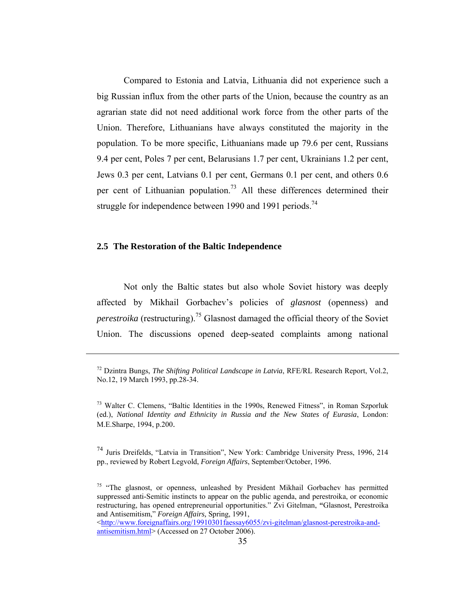Compared to Estonia and Latvia, Lithuania did not experience such a big Russian influx from the other parts of the Union, because the country as an agrarian state did not need additional work force from the other parts of the Union. Therefore, Lithuanians have always constituted the majority in the population. To be more specific, Lithuanians made up 79.6 per cent, Russians 9.4 per cent, Poles 7 per cent, Belarusians 1.7 per cent, Ukrainians 1.2 per cent, Jews 0.3 per cent, Latvians 0.1 per cent, Germans 0.1 per cent, and others 0.6 per cent of Lithuanian population.<sup>73</sup> All these differences determined their struggle for independence between 1990 and 1991 periods.<sup>74</sup>

#### **2.5 The Restoration of the Baltic Independence**

 $\overline{a}$ 

Not only the Baltic states but also whole Soviet history was deeply affected by Mikhail Gorbachev's policies of *glasnost* (openness) and *perestroika* (restructuring).<sup>75</sup> Glasnost damaged the official theory of the Soviet Union. The discussions opened deep-seated complaints among national

<http://www.foreignaffairs.org/19910301faessay6055/zvi-gitelman/glasnost-perestroika-andantisemitism.html> (Accessed on 27 October 2006).

<sup>72</sup> Dzintra Bungs, *The Shifting Political Landscape in Latvia*, RFE/RL Research Report, Vol.2, No.12, 19 March 1993, pp.28-34.

<sup>&</sup>lt;sup>73</sup> Walter C. Clemens, "Baltic Identities in the 1990s, Renewed Fitness", in Roman Szporluk (ed.), *National Identity and Ethnicity in Russia and the New States of Eurasia*, London: M.E.Sharpe, 1994, p.200.

<sup>74</sup> Juris Dreifelds, "Latvia in Transition", New York: Cambridge University Press, 1996, 214 pp., reviewed by Robert Legvold, *Foreign Affairs*, September/October, 1996.

 $75$  "The glasnost, or openness, unleashed by President Mikhail Gorbachev has permitted suppressed anti-Semitic instincts to appear on the public agenda, and perestroika, or economic restructuring, has opened entrepreneurial opportunities." Zvi Gitelman, **"**Glasnost, Perestroika and Antisemitism," *Foreign Affairs,* Spring, 1991,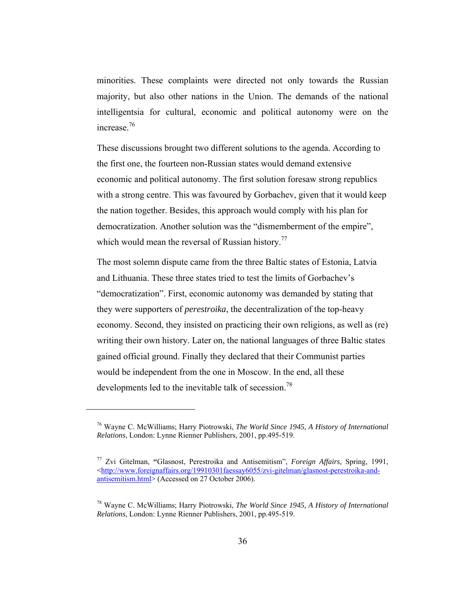minorities. These complaints were directed not only towards the Russian majority, but also other nations in the Union. The demands of the national intelligentsia for cultural, economic and political autonomy were on the increase<sup>76</sup>

These discussions brought two different solutions to the agenda. According to the first one, the fourteen non-Russian states would demand extensive economic and political autonomy. The first solution foresaw strong republics with a strong centre. This was favoured by Gorbachev, given that it would keep the nation together. Besides, this approach would comply with his plan for democratization. Another solution was the "dismemberment of the empire", which would mean the reversal of Russian history.<sup>77</sup>

The most solemn dispute came from the three Baltic states of Estonia, Latvia and Lithuania. These three states tried to test the limits of Gorbachev's "democratization". First, economic autonomy was demanded by stating that they were supporters of *perestroika*, the decentralization of the top-heavy economy. Second, they insisted on practicing their own religions, as well as (re) writing their own history. Later on, the national languages of three Baltic states gained official ground. Finally they declared that their Communist parties would be independent from the one in Moscow. In the end, all these developments led to the inevitable talk of secession.<sup>78</sup>

<sup>76</sup> Wayne C. McWilliams; Harry Piotrowski, *The World Since 1945, A History of International Relations*, London: Lynne Rienner Publishers, 2001, pp.495-519.

<sup>77</sup> Zvi Gitelman, **"**Glasnost, Perestroika and Antisemitism", *Foreign Affairs,* Spring, 1991, <http://www.foreignaffairs.org/19910301faessay6055/zvi-gitelman/glasnost-perestroika-andantisemitism.html> (Accessed on 27 October 2006).

<sup>78</sup> Wayne C. McWilliams; Harry Piotrowski, *The World Since 1945, A History of International Relations*, London: Lynne Rienner Publishers, 2001, pp.495-519.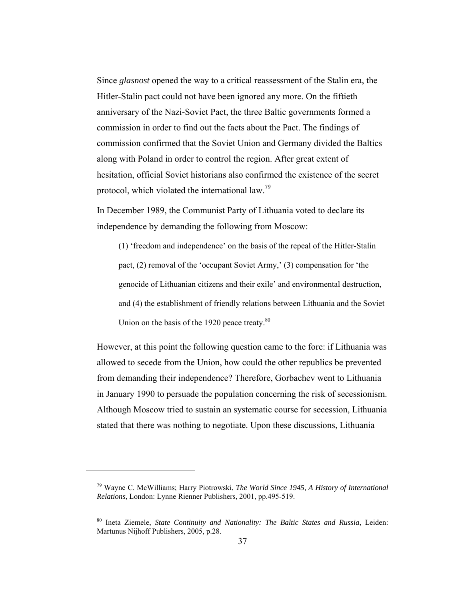Since *glasnost* opened the way to a critical reassessment of the Stalin era, the Hitler-Stalin pact could not have been ignored any more. On the fiftieth anniversary of the Nazi-Soviet Pact, the three Baltic governments formed a commission in order to find out the facts about the Pact. The findings of commission confirmed that the Soviet Union and Germany divided the Baltics along with Poland in order to control the region. After great extent of hesitation, official Soviet historians also confirmed the existence of the secret protocol, which violated the international law.<sup>79</sup>

In December 1989, the Communist Party of Lithuania voted to declare its independence by demanding the following from Moscow:

(1) 'freedom and independence' on the basis of the repeal of the Hitler-Stalin pact, (2) removal of the 'occupant Soviet Army,' (3) compensation for 'the genocide of Lithuanian citizens and their exile' and environmental destruction, and (4) the establishment of friendly relations between Lithuania and the Soviet Union on the basis of the 1920 peace treaty.<sup>80</sup>

However, at this point the following question came to the fore: if Lithuania was allowed to secede from the Union, how could the other republics be prevented from demanding their independence? Therefore, Gorbachev went to Lithuania in January 1990 to persuade the population concerning the risk of secessionism. Although Moscow tried to sustain an systematic course for secession, Lithuania stated that there was nothing to negotiate. Upon these discussions, Lithuania

<sup>79</sup> Wayne C. McWilliams; Harry Piotrowski, *The World Since 1945, A History of International Relations*, London: Lynne Rienner Publishers, 2001, pp.495-519.

<sup>80</sup> Ineta Ziemele, *State Continuity and Nationality: The Baltic States and Russia*, Leiden: Martunus Nijhoff Publishers, 2005, p.28.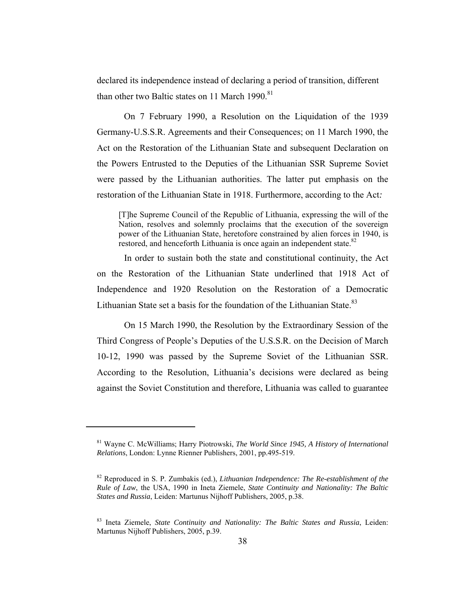declared its independence instead of declaring a period of transition, different than other two Baltic states on 11 March 1990.<sup>81</sup>

On 7 February 1990, a Resolution on the Liquidation of the 1939 Germany-U.S.S.R. Agreements and their Consequences; on 11 March 1990, the Act on the Restoration of the Lithuanian State and subsequent Declaration on the Powers Entrusted to the Deputies of the Lithuanian SSR Supreme Soviet were passed by the Lithuanian authorities. The latter put emphasis on the restoration of the Lithuanian State in 1918. Furthermore, according to the Act*:* 

[T]he Supreme Council of the Republic of Lithuania, expressing the will of the Nation, resolves and solemnly proclaims that the execution of the sovereign power of the Lithuanian State, heretofore constrained by alien forces in 1940, is restored, and henceforth Lithuania is once again an independent state.<sup>82</sup>

In order to sustain both the state and constitutional continuity, the Act on the Restoration of the Lithuanian State underlined that 1918 Act of Independence and 1920 Resolution on the Restoration of a Democratic Lithuanian State set a basis for the foundation of the Lithuanian State.<sup>83</sup>

On 15 March 1990, the Resolution by the Extraordinary Session of the Third Congress of People's Deputies of the U.S.S.R. on the Decision of March 10-12, 1990 was passed by the Supreme Soviet of the Lithuanian SSR. According to the Resolution, Lithuania's decisions were declared as being against the Soviet Constitution and therefore, Lithuania was called to guarantee

<sup>81</sup> Wayne C. McWilliams; Harry Piotrowski, *The World Since 1945, A History of International Relations*, London: Lynne Rienner Publishers, 2001, pp.495-519.

<sup>82</sup> Reproduced in S. P. Zumbakis (ed.), *Lithuanian Independence: The Re-establishment of the Rule of Law*, the USA, 1990 in Ineta Ziemele, *State Continuity and Nationality: The Baltic States and Russia*, Leiden: Martunus Nijhoff Publishers, 2005, p.38.

<sup>83</sup> Ineta Ziemele, *State Continuity and Nationality: The Baltic States and Russia*, Leiden: Martunus Nijhoff Publishers, 2005, p.39.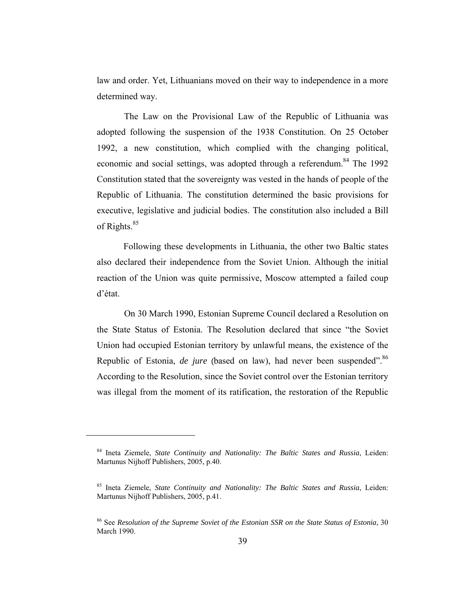law and order. Yet, Lithuanians moved on their way to independence in a more determined way.

The Law on the Provisional Law of the Republic of Lithuania was adopted following the suspension of the 1938 Constitution. On 25 October 1992, a new constitution, which complied with the changing political, economic and social settings, was adopted through a referendum.<sup>84</sup> The 1992 Constitution stated that the sovereignty was vested in the hands of people of the Republic of Lithuania. The constitution determined the basic provisions for executive, legislative and judicial bodies. The constitution also included a Bill of Rights. $85$ 

Following these developments in Lithuania, the other two Baltic states also declared their independence from the Soviet Union. Although the initial reaction of the Union was quite permissive, Moscow attempted a failed coup d'état.

On 30 March 1990, Estonian Supreme Council declared a Resolution on the State Status of Estonia. The Resolution declared that since "the Soviet Union had occupied Estonian territory by unlawful means, the existence of the Republic of Estonia, *de jure* (based on law), had never been suspended".<sup>86</sup> According to the Resolution, since the Soviet control over the Estonian territory was illegal from the moment of its ratification, the restoration of the Republic

<sup>84</sup> Ineta Ziemele, *State Continuity and Nationality: The Baltic States and Russia*, Leiden: Martunus Nijhoff Publishers, 2005, p.40.

<sup>85</sup> Ineta Ziemele, *State Continuity and Nationality: The Baltic States and Russia*, Leiden: Martunus Nijhoff Publishers, 2005, p.41.

<sup>86</sup> See *Resolution of the Supreme Soviet of the Estonian SSR on the State Status of Estonia*, 30 March 1990.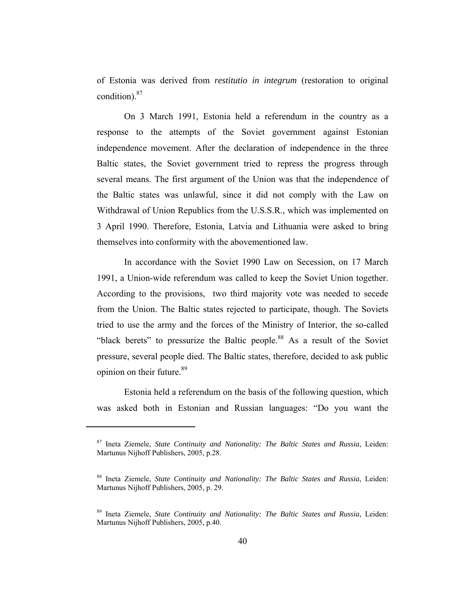of Estonia was derived from *restitutio in integrum* (restoration to original condition).87

On 3 March 1991, Estonia held a referendum in the country as a response to the attempts of the Soviet government against Estonian independence movement. After the declaration of independence in the three Baltic states, the Soviet government tried to repress the progress through several means. The first argument of the Union was that the independence of the Baltic states was unlawful, since it did not comply with the Law on Withdrawal of Union Republics from the U.S.S.R., which was implemented on 3 April 1990. Therefore, Estonia, Latvia and Lithuania were asked to bring themselves into conformity with the abovementioned law.

In accordance with the Soviet 1990 Law on Secession, on 17 March 1991, a Union-wide referendum was called to keep the Soviet Union together. According to the provisions, two third majority vote was needed to secede from the Union. The Baltic states rejected to participate, though. The Soviets tried to use the army and the forces of the Ministry of Interior, the so-called "black berets" to pressurize the Baltic people.<sup>88</sup> As a result of the Soviet pressure, several people died. The Baltic states, therefore, decided to ask public opinion on their future.<sup>89</sup>

Estonia held a referendum on the basis of the following question, which was asked both in Estonian and Russian languages: "Do you want the

<sup>87</sup> Ineta Ziemele, *State Continuity and Nationality: The Baltic States and Russia*, Leiden: Martunus Nijhoff Publishers, 2005, p.28.

<sup>88</sup> Ineta Ziemele, *State Continuity and Nationality: The Baltic States and Russia*, Leiden: Martunus Nijhoff Publishers, 2005, p. 29.

<sup>89</sup> Ineta Ziemele, *State Continuity and Nationality: The Baltic States and Russia*, Leiden: Martunus Nijhoff Publishers, 2005, p.40.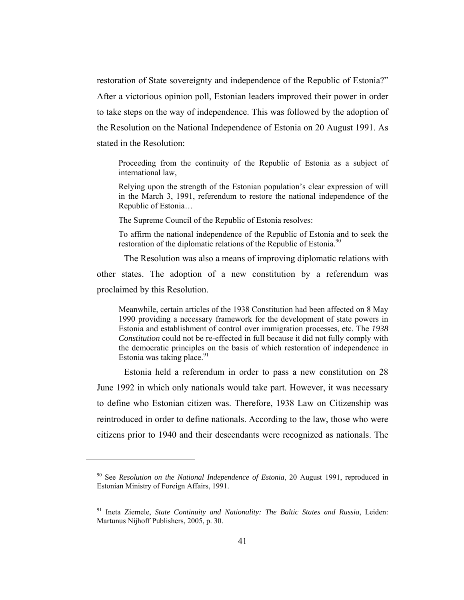restoration of State sovereignty and independence of the Republic of Estonia?" After a victorious opinion poll, Estonian leaders improved their power in order to take steps on the way of independence. This was followed by the adoption of the Resolution on the National Independence of Estonia on 20 August 1991. As stated in the Resolution:

Proceeding from the continuity of the Republic of Estonia as a subject of international law,

Relying upon the strength of the Estonian population's clear expression of will in the March 3, 1991, referendum to restore the national independence of the Republic of Estonia…

The Supreme Council of the Republic of Estonia resolves:

To affirm the national independence of the Republic of Estonia and to seek the restoration of the diplomatic relations of the Republic of Estonia.<sup>90</sup>

The Resolution was also a means of improving diplomatic relations with

other states. The adoption of a new constitution by a referendum was proclaimed by this Resolution.

Meanwhile, certain articles of the 1938 Constitution had been affected on 8 May 1990 providing a necessary framework for the development of state powers in Estonia and establishment of control over immigration processes, etc. The *1938 Constitution* could not be re-effected in full because it did not fully comply with the democratic principles on the basis of which restoration of independence in Estonia was taking place. $91$ 

Estonia held a referendum in order to pass a new constitution on 28 June 1992 in which only nationals would take part. However, it was necessary to define who Estonian citizen was. Therefore, 1938 Law on Citizenship was reintroduced in order to define nationals. According to the law, those who were citizens prior to 1940 and their descendants were recognized as nationals. The

<sup>90</sup> See *Resolution on the National Independence of Estonia*, 20 August 1991, reproduced in Estonian Ministry of Foreign Affairs, 1991.

<sup>91</sup> Ineta Ziemele, *State Continuity and Nationality: The Baltic States and Russia*, Leiden: Martunus Nijhoff Publishers, 2005, p. 30.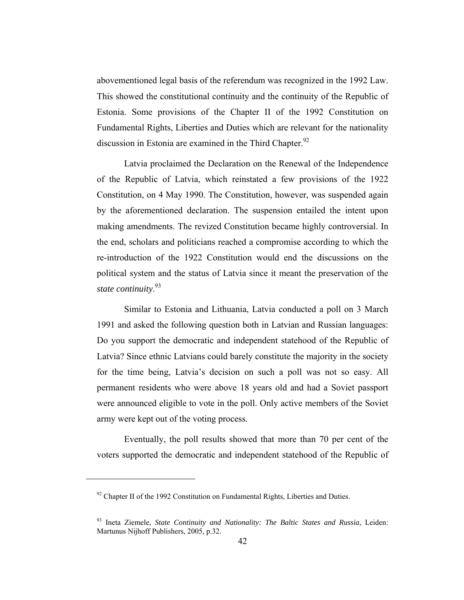abovementioned legal basis of the referendum was recognized in the 1992 Law. This showed the constitutional continuity and the continuity of the Republic of Estonia. Some provisions of the Chapter II of the 1992 Constitution on Fundamental Rights, Liberties and Duties which are relevant for the nationality discussion in Estonia are examined in the Third Chapter. $92$ 

Latvia proclaimed the Declaration on the Renewal of the Independence of the Republic of Latvia, which reinstated a few provisions of the 1922 Constitution, on 4 May 1990. The Constitution, however, was suspended again by the aforementioned declaration. The suspension entailed the intent upon making amendments. The revized Constitution became highly controversial. In the end, scholars and politicians reached a compromise according to which the re-introduction of the 1922 Constitution would end the discussions on the political system and the status of Latvia since it meant the preservation of the *state continuity*. 93

Similar to Estonia and Lithuania, Latvia conducted a poll on 3 March 1991 and asked the following question both in Latvian and Russian languages: Do you support the democratic and independent statehood of the Republic of Latvia? Since ethnic Latvians could barely constitute the majority in the society for the time being, Latvia's decision on such a poll was not so easy. All permanent residents who were above 18 years old and had a Soviet passport were announced eligible to vote in the poll. Only active members of the Soviet army were kept out of the voting process.

Eventually, the poll results showed that more than 70 per cent of the voters supported the democratic and independent statehood of the Republic of

 $92$  Chapter II of the 1992 Constitution on Fundamental Rights, Liberties and Duties.

<sup>93</sup> Ineta Ziemele, *State Continuity and Nationality: The Baltic States and Russia*, Leiden: Martunus Nijhoff Publishers, 2005, p.32.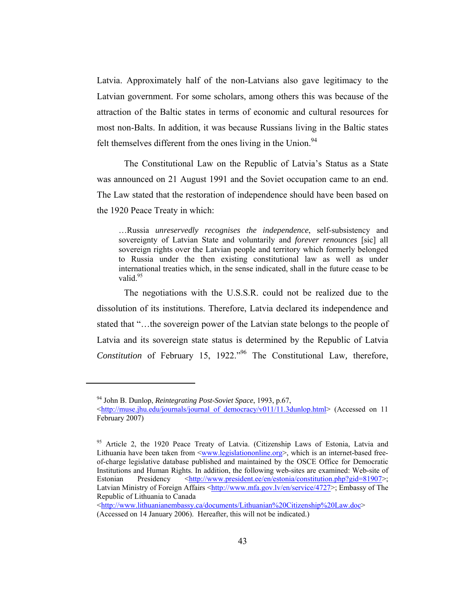Latvia. Approximately half of the non-Latvians also gave legitimacy to the Latvian government. For some scholars, among others this was because of the attraction of the Baltic states in terms of economic and cultural resources for most non-Balts. In addition, it was because Russians living in the Baltic states felt themselves different from the ones living in the Union.<sup>94</sup>

The Constitutional Law on the Republic of Latvia's Status as a State was announced on 21 August 1991 and the Soviet occupation came to an end. The Law stated that the restoration of independence should have been based on the 1920 Peace Treaty in which:

…Russia *unreservedly recognises the independence*, self-subsistency and sovereignty of Latvian State and voluntarily and *forever renounces* [sic] all sovereign rights over the Latvian people and territory which formerly belonged to Russia under the then existing constitutional law as well as under international treaties which, in the sense indicated, shall in the future cease to be valid.<sup>95</sup>

The negotiations with the U.S.S.R. could not be realized due to the dissolution of its institutions. Therefore, Latvia declared its independence and stated that "…the sovereign power of the Latvian state belongs to the people of Latvia and its sovereign state status is determined by the Republic of Latvia *Constitution* of February 15, 1922."<sup>96</sup> The Constitutional Law, therefore,

<sup>94</sup> John B. Dunlop, *Reintegrating Post-Soviet Space*, 1993, p.67,

<sup>&</sup>lt;http://muse.jhu.edu/journals/journal\_of\_democracy/v011/11.3dunlop.html> (Accessed on 11 February 2007)

<sup>&</sup>lt;sup>95</sup> Article 2, the 1920 Peace Treaty of Latvia. (Citizenship Laws of Estonia, Latvia and Lithuania have been taken from  $\langle$ www.legislationonline.org>, which is an internet-based freeof-charge legislative database published and maintained by the OSCE Office for Democratic Institutions and Human Rights. In addition, the following web-sites are examined: Web-site of Estonian Presidency <http://www.president.ee/en/estonia/constitution.php?gid=81907>; Latvian Ministry of Foreign Affairs <http://www.mfa.gov.lv/en/service/4727>; Embassy of The Republic of Lithuania to Canada

<sup>&</sup>lt;http://www.lithuanianembassy.ca/documents/Lithuanian%20Citizenship%20Law.doc> (Accessed on 14 January 2006). Hereafter, this will not be indicated.)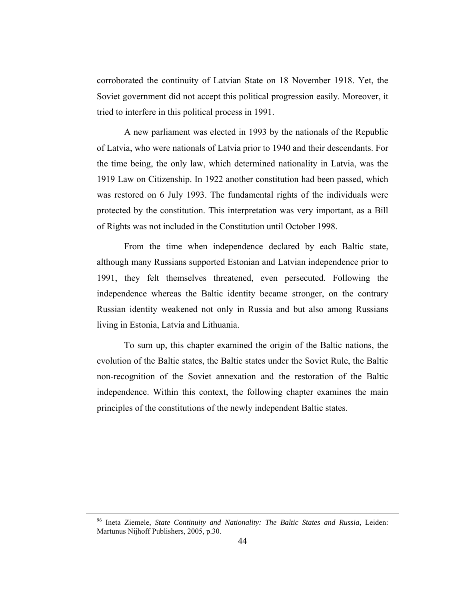corroborated the continuity of Latvian State on 18 November 1918. Yet, the Soviet government did not accept this political progression easily. Moreover, it tried to interfere in this political process in 1991.

A new parliament was elected in 1993 by the nationals of the Republic of Latvia, who were nationals of Latvia prior to 1940 and their descendants. For the time being, the only law, which determined nationality in Latvia, was the 1919 Law on Citizenship. In 1922 another constitution had been passed, which was restored on 6 July 1993. The fundamental rights of the individuals were protected by the constitution. This interpretation was very important, as a Bill of Rights was not included in the Constitution until October 1998.

From the time when independence declared by each Baltic state, although many Russians supported Estonian and Latvian independence prior to 1991, they felt themselves threatened, even persecuted. Following the independence whereas the Baltic identity became stronger, on the contrary Russian identity weakened not only in Russia and but also among Russians living in Estonia, Latvia and Lithuania.

To sum up, this chapter examined the origin of the Baltic nations, the evolution of the Baltic states, the Baltic states under the Soviet Rule, the Baltic non-recognition of the Soviet annexation and the restoration of the Baltic independence. Within this context, the following chapter examines the main principles of the constitutions of the newly independent Baltic states.

<sup>96</sup> Ineta Ziemele, *State Continuity and Nationality: The Baltic States and Russia*, Leiden: Martunus Nijhoff Publishers, 2005, p.30.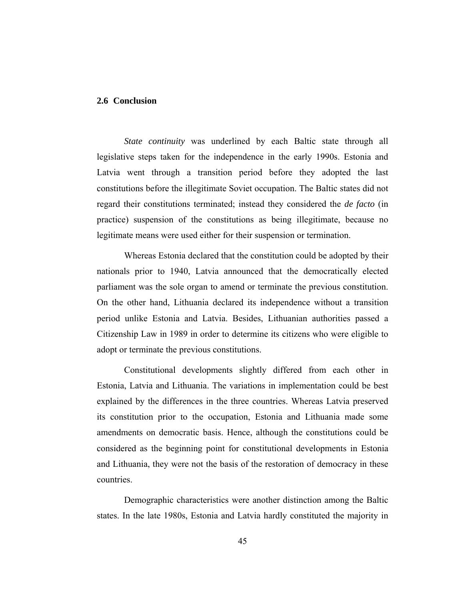## **2.6 Conclusion**

*State continuity* was underlined by each Baltic state through all legislative steps taken for the independence in the early 1990s. Estonia and Latvia went through a transition period before they adopted the last constitutions before the illegitimate Soviet occupation. The Baltic states did not regard their constitutions terminated; instead they considered the *de facto* (in practice) suspension of the constitutions as being illegitimate, because no legitimate means were used either for their suspension or termination.

Whereas Estonia declared that the constitution could be adopted by their nationals prior to 1940, Latvia announced that the democratically elected parliament was the sole organ to amend or terminate the previous constitution. On the other hand, Lithuania declared its independence without a transition period unlike Estonia and Latvia. Besides, Lithuanian authorities passed a Citizenship Law in 1989 in order to determine its citizens who were eligible to adopt or terminate the previous constitutions.

Constitutional developments slightly differed from each other in Estonia, Latvia and Lithuania. The variations in implementation could be best explained by the differences in the three countries. Whereas Latvia preserved its constitution prior to the occupation, Estonia and Lithuania made some amendments on democratic basis. Hence, although the constitutions could be considered as the beginning point for constitutional developments in Estonia and Lithuania, they were not the basis of the restoration of democracy in these countries.

Demographic characteristics were another distinction among the Baltic states. In the late 1980s, Estonia and Latvia hardly constituted the majority in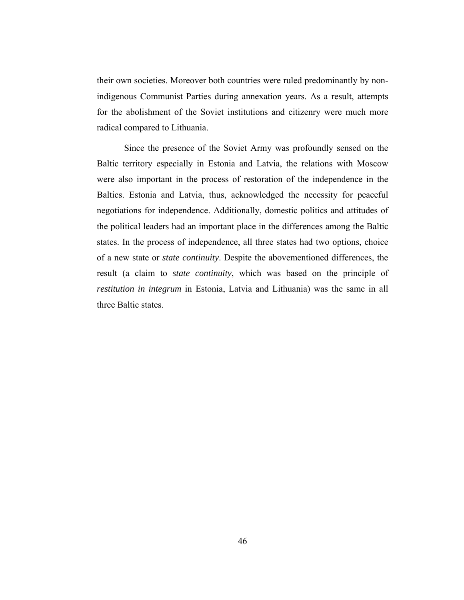their own societies. Moreover both countries were ruled predominantly by nonindigenous Communist Parties during annexation years. As a result, attempts for the abolishment of the Soviet institutions and citizenry were much more radical compared to Lithuania.

Since the presence of the Soviet Army was profoundly sensed on the Baltic territory especially in Estonia and Latvia, the relations with Moscow were also important in the process of restoration of the independence in the Baltics. Estonia and Latvia, thus, acknowledged the necessity for peaceful negotiations for independence. Additionally, domestic politics and attitudes of the political leaders had an important place in the differences among the Baltic states. In the process of independence, all three states had two options, choice of a new state or *state continuity*. Despite the abovementioned differences, the result (a claim to *state continuity*, which was based on the principle of *restitution in integrum* in Estonia, Latvia and Lithuania) was the same in all three Baltic states.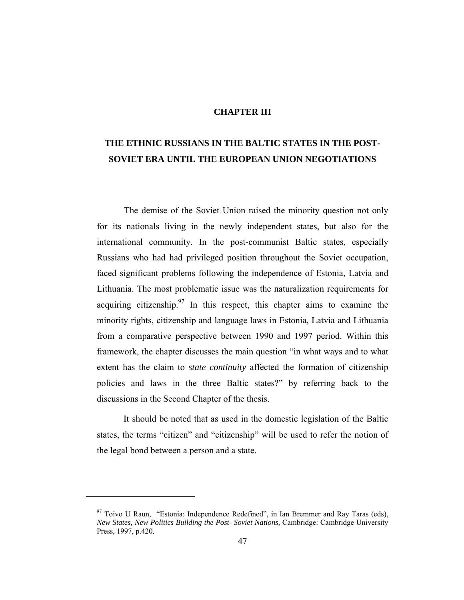### **CHAPTER III**

# **THE ETHNIC RUSSIANS IN THE BALTIC STATES IN THE POST-SOVIET ERA UNTIL THE EUROPEAN UNION NEGOTIATIONS**

The demise of the Soviet Union raised the minority question not only for its nationals living in the newly independent states, but also for the international community. In the post-communist Baltic states, especially Russians who had had privileged position throughout the Soviet occupation, faced significant problems following the independence of Estonia, Latvia and Lithuania. The most problematic issue was the naturalization requirements for acquiring citizenship.<sup>97</sup> In this respect, this chapter aims to examine the minority rights, citizenship and language laws in Estonia, Latvia and Lithuania from a comparative perspective between 1990 and 1997 period. Within this framework, the chapter discusses the main question "in what ways and to what extent has the claim to *state continuity* affected the formation of citizenship policies and laws in the three Baltic states?" by referring back to the discussions in the Second Chapter of the thesis.

It should be noted that as used in the domestic legislation of the Baltic states, the terms "citizen" and "citizenship" will be used to refer the notion of the legal bond between a person and a state.

 $97$  Toivo U Raun, "Estonia: Independence Redefined", in Ian Bremmer and Ray Taras (eds), *New States, New Politics Building the Post- Soviet Nations,* Cambridge: Cambridge University Press, 1997, p.420.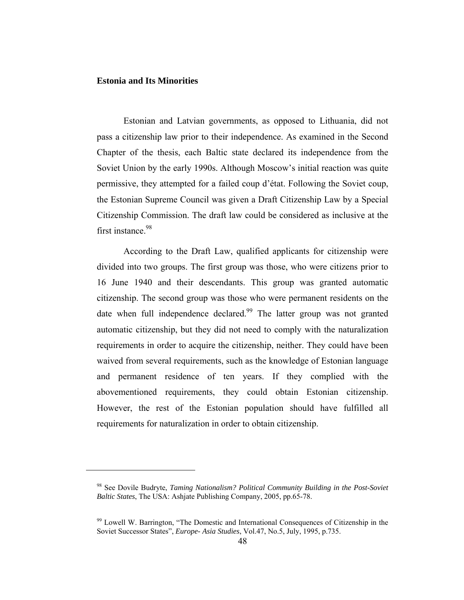#### **Estonia and Its Minorities**

 $\overline{a}$ 

Estonian and Latvian governments, as opposed to Lithuania, did not pass a citizenship law prior to their independence. As examined in the Second Chapter of the thesis, each Baltic state declared its independence from the Soviet Union by the early 1990s. Although Moscow's initial reaction was quite permissive, they attempted for a failed coup d'état. Following the Soviet coup, the Estonian Supreme Council was given a Draft Citizenship Law by a Special Citizenship Commission. The draft law could be considered as inclusive at the first instance  $98$ 

According to the Draft Law, qualified applicants for citizenship were divided into two groups. The first group was those, who were citizens prior to 16 June 1940 and their descendants. This group was granted automatic citizenship. The second group was those who were permanent residents on the date when full independence declared.<sup>99</sup> The latter group was not granted automatic citizenship, but they did not need to comply with the naturalization requirements in order to acquire the citizenship, neither. They could have been waived from several requirements, such as the knowledge of Estonian language and permanent residence of ten years. If they complied with the abovementioned requirements, they could obtain Estonian citizenship. However, the rest of the Estonian population should have fulfilled all requirements for naturalization in order to obtain citizenship.

<sup>98</sup> See Dovile Budryte, *Taming Nationalism? Political Community Building in the Post-Soviet Baltic States*, The USA: Ashjate Publishing Company, 2005, pp.65-78.

<sup>99</sup> Lowell W. Barrington, "The Domestic and International Consequences of Citizenship in the Soviet Successor States", *Europe- Asia Studies*, Vol.47, No.5, July, 1995, p.735.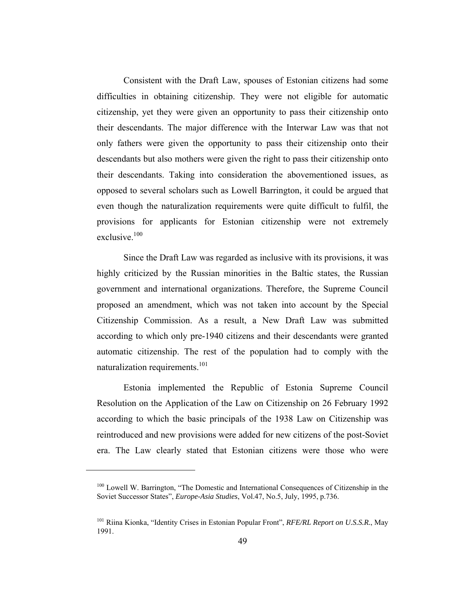Consistent with the Draft Law, spouses of Estonian citizens had some difficulties in obtaining citizenship. They were not eligible for automatic citizenship, yet they were given an opportunity to pass their citizenship onto their descendants. The major difference with the Interwar Law was that not only fathers were given the opportunity to pass their citizenship onto their descendants but also mothers were given the right to pass their citizenship onto their descendants. Taking into consideration the abovementioned issues, as opposed to several scholars such as Lowell Barrington, it could be argued that even though the naturalization requirements were quite difficult to fulfil, the provisions for applicants for Estonian citizenship were not extremely exclusive.<sup>100</sup>

Since the Draft Law was regarded as inclusive with its provisions, it was highly criticized by the Russian minorities in the Baltic states, the Russian government and international organizations. Therefore, the Supreme Council proposed an amendment, which was not taken into account by the Special Citizenship Commission. As a result, a New Draft Law was submitted according to which only pre-1940 citizens and their descendants were granted automatic citizenship. The rest of the population had to comply with the naturalization requirements.<sup>101</sup>

Estonia implemented the Republic of Estonia Supreme Council Resolution on the Application of the Law on Citizenship on 26 February 1992 according to which the basic principals of the 1938 Law on Citizenship was reintroduced and new provisions were added for new citizens of the post-Soviet era. The Law clearly stated that Estonian citizens were those who were

<sup>&</sup>lt;sup>100</sup> Lowell W. Barrington, "The Domestic and International Consequences of Citizenship in the Soviet Successor States", *Europe-Asia Studies*, Vol.47, No.5, July, 1995, p.736.

<sup>101</sup> Riina Kionka, "Identity Crises in Estonian Popular Front", *RFE/RL Report on U.S.S.R.*, May 1991.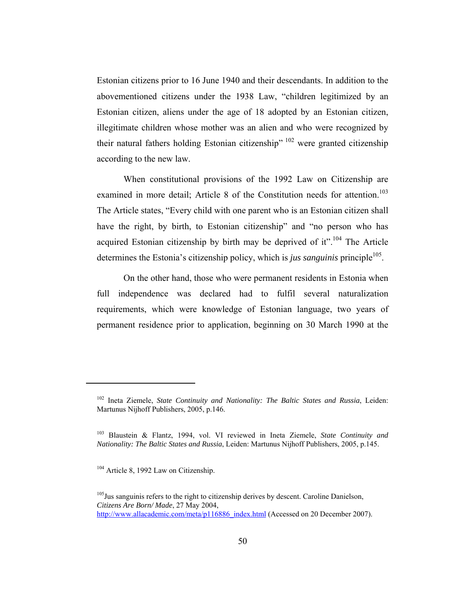Estonian citizens prior to 16 June 1940 and their descendants. In addition to the abovementioned citizens under the 1938 Law, "children legitimized by an Estonian citizen, aliens under the age of 18 adopted by an Estonian citizen, illegitimate children whose mother was an alien and who were recognized by their natural fathers holding Estonian citizenship<sup>"</sup> <sup>102</sup> were granted citizenship according to the new law.

When constitutional provisions of the 1992 Law on Citizenship are examined in more detail; Article 8 of the Constitution needs for attention.<sup>103</sup> The Article states, "Every child with one parent who is an Estonian citizen shall have the right, by birth, to Estonian citizenship" and "no person who has acquired Estonian citizenship by birth may be deprived of it".<sup>104</sup> The Article determines the Estonia's citizenship policy, which is *jus sanguinis* principle<sup>105</sup>.

On the other hand, those who were permanent residents in Estonia when full independence was declared had to fulfil several naturalization requirements, which were knowledge of Estonian language, two years of permanent residence prior to application, beginning on 30 March 1990 at the

<sup>102</sup> Ineta Ziemele, *State Continuity and Nationality: The Baltic States and Russia*, Leiden: Martunus Nijhoff Publishers, 2005, p.146.

<sup>103</sup> Blaustein & Flantz, 1994, vol. VI reviewed in Ineta Ziemele, *State Continuity and Nationality: The Baltic States and Russia*, Leiden: Martunus Nijhoff Publishers, 2005, p.145.

<sup>&</sup>lt;sup>104</sup> Article 8, 1992 Law on Citizenship.

 $105$  Jus sanguinis refers to the right to citizenship derives by descent. Caroline Danielson, *Citizens Are Born/ Made*, 27 May 2004, http://www.allacademic.com/meta/p116886\_index.html (Accessed on 20 December 2007).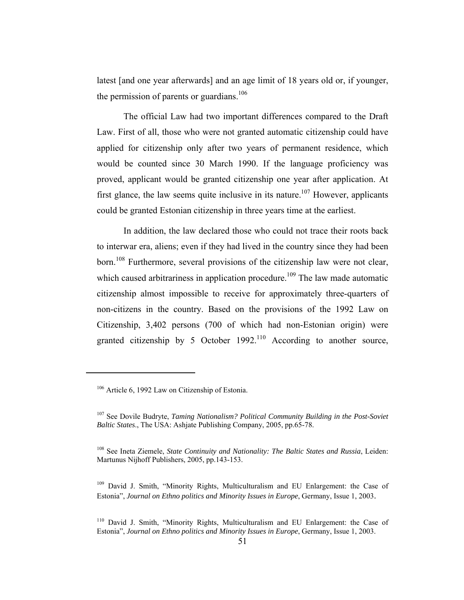latest [and one year afterwards] and an age limit of 18 years old or, if younger, the permission of parents or guardians. $106$ 

The official Law had two important differences compared to the Draft Law. First of all, those who were not granted automatic citizenship could have applied for citizenship only after two years of permanent residence, which would be counted since 30 March 1990. If the language proficiency was proved, applicant would be granted citizenship one year after application. At first glance, the law seems quite inclusive in its nature.<sup>107</sup> However, applicants could be granted Estonian citizenship in three years time at the earliest.

In addition, the law declared those who could not trace their roots back to interwar era, aliens; even if they had lived in the country since they had been born.<sup>108</sup> Furthermore, several provisions of the citizenship law were not clear, which caused arbitrariness in application procedure.<sup>109</sup> The law made automatic citizenship almost impossible to receive for approximately three-quarters of non-citizens in the country. Based on the provisions of the 1992 Law on Citizenship, 3,402 persons (700 of which had non-Estonian origin) were granted citizenship by 5 October  $1992$ .<sup>110</sup> According to another source,

<sup>106</sup> Article 6, 1992 Law on Citizenship of Estonia.

<sup>107</sup> See Dovile Budryte, *Taming Nationalism? Political Community Building in the Post-Soviet Baltic States*., The USA: Ashjate Publishing Company, 2005, pp.65-78.

<sup>108</sup> See Ineta Ziemele, *State Continuity and Nationality: The Baltic States and Russia*, Leiden: Martunus Nijhoff Publishers, 2005, pp.143-153.

<sup>109</sup> David J. Smith, "Minority Rights, Multiculturalism and EU Enlargement: the Case of Estonia", *Journal on Ethno politics and Minority Issues in Europe*, Germany, Issue 1, 2003.

<sup>110</sup> David J. Smith, "Minority Rights, Multiculturalism and EU Enlargement: the Case of Estonia", *Journal on Ethno politics and Minority Issues in Europe*, Germany, Issue 1, 2003.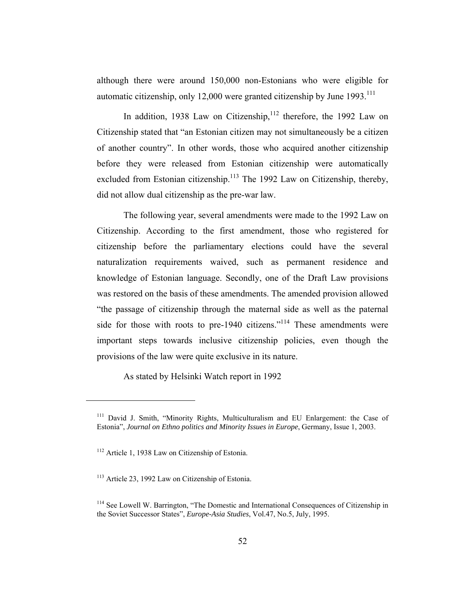although there were around 150,000 non-Estonians who were eligible for automatic citizenship, only 12,000 were granted citizenship by June 1993.<sup>111</sup>

In addition, 1938 Law on Citizenship, $112$  therefore, the 1992 Law on Citizenship stated that "an Estonian citizen may not simultaneously be a citizen of another country". In other words, those who acquired another citizenship before they were released from Estonian citizenship were automatically excluded from Estonian citizenship.<sup>113</sup> The 1992 Law on Citizenship, thereby, did not allow dual citizenship as the pre-war law.

The following year, several amendments were made to the 1992 Law on Citizenship. According to the first amendment, those who registered for citizenship before the parliamentary elections could have the several naturalization requirements waived, such as permanent residence and knowledge of Estonian language. Secondly, one of the Draft Law provisions was restored on the basis of these amendments. The amended provision allowed "the passage of citizenship through the maternal side as well as the paternal side for those with roots to pre-1940 citizens."<sup>114</sup> These amendments were important steps towards inclusive citizenship policies, even though the provisions of the law were quite exclusive in its nature.

As stated by Helsinki Watch report in 1992

<sup>&</sup>lt;sup>111</sup> David J. Smith, "Minority Rights, Multiculturalism and EU Enlargement: the Case of Estonia", *Journal on Ethno politics and Minority Issues in Europe*, Germany, Issue 1, 2003.

<sup>&</sup>lt;sup>112</sup> Article 1, 1938 Law on Citizenship of Estonia.

<sup>&</sup>lt;sup>113</sup> Article 23, 1992 Law on Citizenship of Estonia.

<sup>&</sup>lt;sup>114</sup> See Lowell W. Barrington, "The Domestic and International Consequences of Citizenship in the Soviet Successor States", *Europe-Asia Studies*, Vol.47, No.5, July, 1995.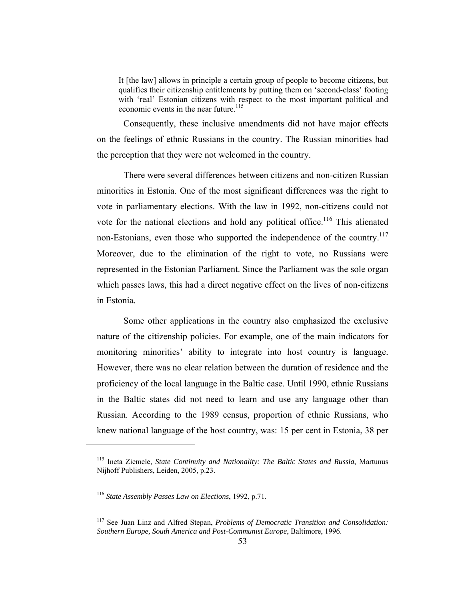It [the law] allows in principle a certain group of people to become citizens, but qualifies their citizenship entitlements by putting them on 'second-class' footing with 'real' Estonian citizens with respect to the most important political and economic events in the near future.<sup>115</sup>

Consequently, these inclusive amendments did not have major effects on the feelings of ethnic Russians in the country. The Russian minorities had the perception that they were not welcomed in the country.

There were several differences between citizens and non-citizen Russian minorities in Estonia. One of the most significant differences was the right to vote in parliamentary elections. With the law in 1992, non-citizens could not vote for the national elections and hold any political office.<sup>116</sup> This alienated non-Estonians, even those who supported the independence of the country.<sup>117</sup> Moreover, due to the elimination of the right to vote, no Russians were represented in the Estonian Parliament. Since the Parliament was the sole organ which passes laws, this had a direct negative effect on the lives of non-citizens in Estonia.

Some other applications in the country also emphasized the exclusive nature of the citizenship policies. For example, one of the main indicators for monitoring minorities' ability to integrate into host country is language. However, there was no clear relation between the duration of residence and the proficiency of the local language in the Baltic case. Until 1990, ethnic Russians in the Baltic states did not need to learn and use any language other than Russian. According to the 1989 census, proportion of ethnic Russians, who knew national language of the host country, was: 15 per cent in Estonia, 38 per

<sup>115</sup> Ineta Ziemele, *State Continuity and Nationality: The Baltic States and Russia*, Martunus Nijhoff Publishers, Leiden, 2005, p.23.

<sup>116</sup> *State Assembly Passes Law on Elections*, 1992, p.71.

<sup>117</sup> See Juan Linz and Alfred Stepan, *Problems of Democratic Transition and Consolidation: Southern Europe, South America and Post-Communist Europe*, Baltimore, 1996.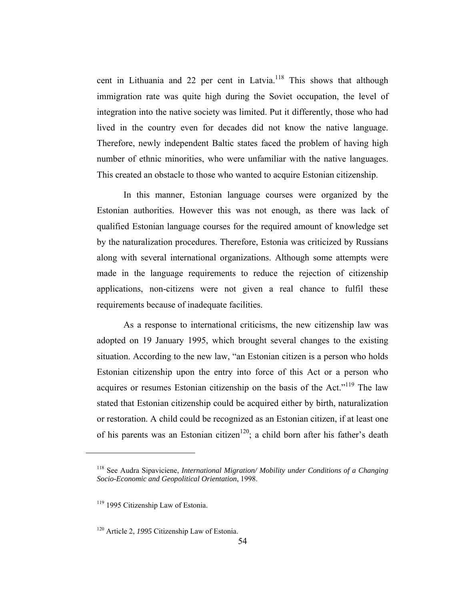cent in Lithuania and 22 per cent in Latvia.<sup>118</sup> This shows that although immigration rate was quite high during the Soviet occupation, the level of integration into the native society was limited. Put it differently, those who had lived in the country even for decades did not know the native language. Therefore, newly independent Baltic states faced the problem of having high number of ethnic minorities, who were unfamiliar with the native languages. This created an obstacle to those who wanted to acquire Estonian citizenship.

In this manner, Estonian language courses were organized by the Estonian authorities. However this was not enough, as there was lack of qualified Estonian language courses for the required amount of knowledge set by the naturalization procedures. Therefore, Estonia was criticized by Russians along with several international organizations. Although some attempts were made in the language requirements to reduce the rejection of citizenship applications, non-citizens were not given a real chance to fulfil these requirements because of inadequate facilities.

As a response to international criticisms, the new citizenship law was adopted on 19 January 1995, which brought several changes to the existing situation. According to the new law, "an Estonian citizen is a person who holds Estonian citizenship upon the entry into force of this Act or a person who acquires or resumes Estonian citizenship on the basis of the Act."<sup>119</sup> The law stated that Estonian citizenship could be acquired either by birth, naturalization or restoration. A child could be recognized as an Estonian citizen, if at least one of his parents was an Estonian citizen<sup>120</sup>; a child born after his father's death

<sup>118</sup> See Audra Sipaviciene, *International Migration/ Mobility under Conditions of a Changing Socio-Economic and Geopolitical Orientation*, 1998.

<sup>&</sup>lt;sup>119</sup> 1995 Citizenship Law of Estonia.

<sup>120</sup> Article 2, *1995* Citizenship Law of Estonia.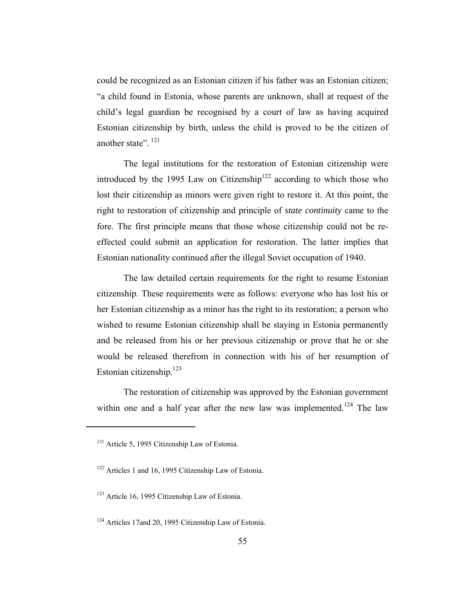could be recognized as an Estonian citizen if his father was an Estonian citizen; "a child found in Estonia, whose parents are unknown, shall at request of the child's legal guardian be recognised by a court of law as having acquired Estonian citizenship by birth, unless the child is proved to be the citizen of another state". <sup>121</sup>

The legal institutions for the restoration of Estonian citizenship were introduced by the 1995 Law on Citizenship<sup>122</sup> according to which those who lost their citizenship as minors were given right to restore it. At this point, the right to restoration of citizenship and principle of *state continuity* came to the fore. The first principle means that those whose citizenship could not be reeffected could submit an application for restoration. The latter implies that Estonian nationality continued after the illegal Soviet occupation of 1940.

The law detailed certain requirements for the right to resume Estonian citizenship. These requirements were as follows: everyone who has lost his or her Estonian citizenship as a minor has the right to its restoration; a person who wished to resume Estonian citizenship shall be staying in Estonia permanently and be released from his or her previous citizenship or prove that he or she would be released therefrom in connection with his of her resumption of Estonian citizenship. $^{123}$ 

The restoration of citizenship was approved by the Estonian government within one and a half year after the new law was implemented.<sup>124</sup> The law

<sup>&</sup>lt;sup>121</sup> Article 5, 1995 Citizenship Law of Estonia.

<sup>122</sup> Articles 1 and 16, 1995 Citizenship Law of Estonia.

<sup>123</sup> Article 16, 1995 Citizenship Law of Estonia.

<sup>&</sup>lt;sup>124</sup> Articles 17and 20, 1995 Citizenship Law of Estonia.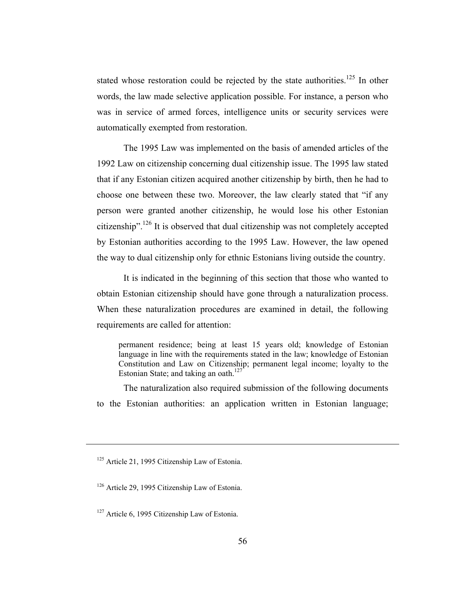stated whose restoration could be rejected by the state authorities.<sup>125</sup> In other words, the law made selective application possible. For instance, a person who was in service of armed forces, intelligence units or security services were automatically exempted from restoration.

The 1995 Law was implemented on the basis of amended articles of the 1992 Law on citizenship concerning dual citizenship issue. The 1995 law stated that if any Estonian citizen acquired another citizenship by birth, then he had to choose one between these two. Moreover, the law clearly stated that "if any person were granted another citizenship, he would lose his other Estonian citizenship".<sup>126</sup> It is observed that dual citizenship was not completely accepted by Estonian authorities according to the 1995 Law. However, the law opened the way to dual citizenship only for ethnic Estonians living outside the country.

It is indicated in the beginning of this section that those who wanted to obtain Estonian citizenship should have gone through a naturalization process. When these naturalization procedures are examined in detail, the following requirements are called for attention:

permanent residence; being at least 15 years old; knowledge of Estonian language in line with the requirements stated in the law; knowledge of Estonian Constitution and Law on Citizenship; permanent legal income; loyalty to the Estonian State; and taking an oath.<sup>127</sup>

The naturalization also required submission of the following documents to the Estonian authorities: an application written in Estonian language;

<sup>&</sup>lt;sup>125</sup> Article 21, 1995 Citizenship Law of Estonia.

<sup>126</sup> Article 29, 1995 Citizenship Law of Estonia.

<sup>&</sup>lt;sup>127</sup> Article 6, 1995 Citizenship Law of Estonia.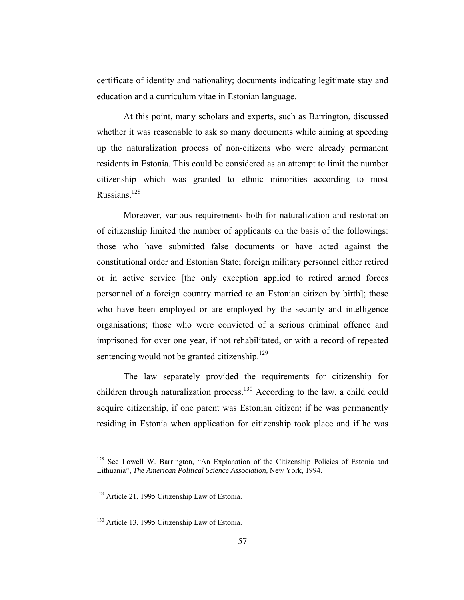certificate of identity and nationality; documents indicating legitimate stay and education and a curriculum vitae in Estonian language.

At this point, many scholars and experts, such as Barrington, discussed whether it was reasonable to ask so many documents while aiming at speeding up the naturalization process of non-citizens who were already permanent residents in Estonia. This could be considered as an attempt to limit the number citizenship which was granted to ethnic minorities according to most Russians $128$ 

Moreover, various requirements both for naturalization and restoration of citizenship limited the number of applicants on the basis of the followings: those who have submitted false documents or have acted against the constitutional order and Estonian State; foreign military personnel either retired or in active service [the only exception applied to retired armed forces personnel of a foreign country married to an Estonian citizen by birth]; those who have been employed or are employed by the security and intelligence organisations; those who were convicted of a serious criminal offence and imprisoned for over one year, if not rehabilitated, or with a record of repeated sentencing would not be granted citizenship.<sup>129</sup>

The law separately provided the requirements for citizenship for children through naturalization process.<sup>130</sup> According to the law, a child could acquire citizenship, if one parent was Estonian citizen; if he was permanently residing in Estonia when application for citizenship took place and if he was

<sup>&</sup>lt;sup>128</sup> See Lowell W. Barrington, "An Explanation of the Citizenship Policies of Estonia and Lithuania", *The American Political Science Association,* New York, 1994.

<sup>129</sup> Article 21, 1995 Citizenship Law of Estonia.

<sup>&</sup>lt;sup>130</sup> Article 13, 1995 Citizenship Law of Estonia.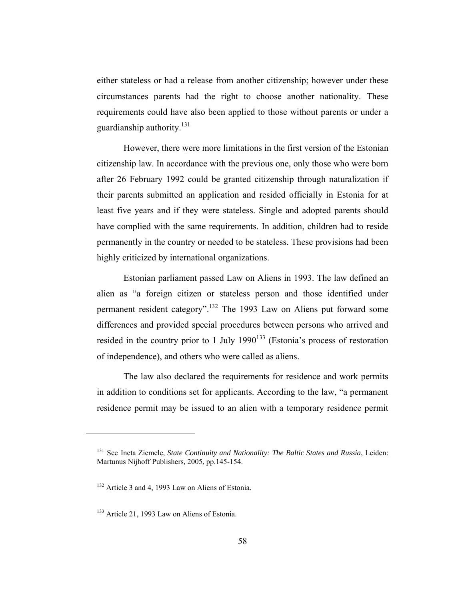either stateless or had a release from another citizenship; however under these circumstances parents had the right to choose another nationality. These requirements could have also been applied to those without parents or under a guardianship authority.<sup>131</sup>

However, there were more limitations in the first version of the Estonian citizenship law. In accordance with the previous one, only those who were born after 26 February 1992 could be granted citizenship through naturalization if their parents submitted an application and resided officially in Estonia for at least five years and if they were stateless. Single and adopted parents should have complied with the same requirements. In addition, children had to reside permanently in the country or needed to be stateless. These provisions had been highly criticized by international organizations.

Estonian parliament passed Law on Aliens in 1993. The law defined an alien as "a foreign citizen or stateless person and those identified under permanent resident category".132 The 1993 Law on Aliens put forward some differences and provided special procedures between persons who arrived and resided in the country prior to 1 July  $1990^{133}$  (Estonia's process of restoration of independence), and others who were called as aliens.

The law also declared the requirements for residence and work permits in addition to conditions set for applicants. According to the law, "a permanent residence permit may be issued to an alien with a temporary residence permit

<sup>131</sup> See Ineta Ziemele, *State Continuity and Nationality: The Baltic States and Russia*, Leiden: Martunus Nijhoff Publishers, 2005, pp.145-154.

<sup>132</sup> Article 3 and 4, 1993 Law on Aliens of Estonia.

<sup>&</sup>lt;sup>133</sup> Article 21, 1993 Law on Aliens of Estonia.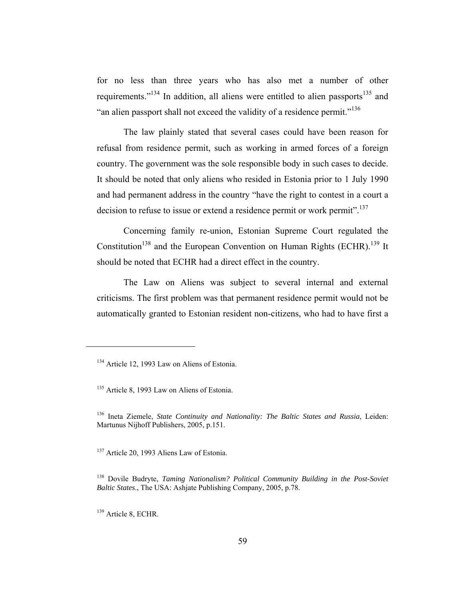for no less than three years who has also met a number of other requirements."<sup>134</sup> In addition, all aliens were entitled to alien passports<sup>135</sup> and "an alien passport shall not exceed the validity of a residence permit."<sup>136</sup>

The law plainly stated that several cases could have been reason for refusal from residence permit, such as working in armed forces of a foreign country. The government was the sole responsible body in such cases to decide. It should be noted that only aliens who resided in Estonia prior to 1 July 1990 and had permanent address in the country "have the right to contest in a court a decision to refuse to issue or extend a residence permit or work permit".<sup>137</sup>

Concerning family re-union, Estonian Supreme Court regulated the Constitution<sup>138</sup> and the European Convention on Human Rights (ECHR).<sup>139</sup> It should be noted that ECHR had a direct effect in the country.

The Law on Aliens was subject to several internal and external criticisms. The first problem was that permanent residence permit would not be automatically granted to Estonian resident non-citizens, who had to have first a

<sup>&</sup>lt;sup>134</sup> Article 12, 1993 Law on Aliens of Estonia.

<sup>&</sup>lt;sup>135</sup> Article 8, 1993 Law on Aliens of Estonia.

<sup>136</sup> Ineta Ziemele, *State Continuity and Nationality: The Baltic States and Russia*, Leiden: Martunus Nijhoff Publishers, 2005, p.151.

<sup>&</sup>lt;sup>137</sup> Article 20, 1993 Aliens Law of Estonia.

<sup>138</sup> Dovile Budryte, *Taming Nationalism? Political Community Building in the Post-Soviet Baltic States*., The USA: Ashjate Publishing Company, 2005, p.78.

<sup>&</sup>lt;sup>139</sup> Article 8, ECHR.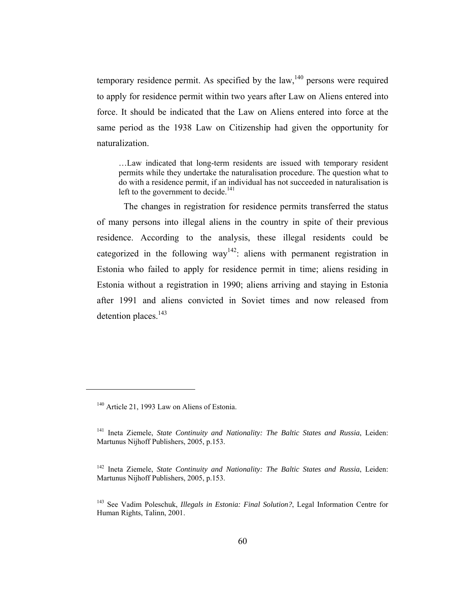temporary residence permit. As specified by the  $law$ ,<sup>140</sup> persons were required to apply for residence permit within two years after Law on Aliens entered into force. It should be indicated that the Law on Aliens entered into force at the same period as the 1938 Law on Citizenship had given the opportunity for naturalization.

…Law indicated that long-term residents are issued with temporary resident permits while they undertake the naturalisation procedure. The question what to do with a residence permit, if an individual has not succeeded in naturalisation is left to the government to decide.<sup>141</sup>

The changes in registration for residence permits transferred the status of many persons into illegal aliens in the country in spite of their previous residence. According to the analysis, these illegal residents could be categorized in the following way<sup>142</sup>: aliens with permanent registration in Estonia who failed to apply for residence permit in time; aliens residing in Estonia without a registration in 1990; aliens arriving and staying in Estonia after 1991 and aliens convicted in Soviet times and now released from detention places.<sup>143</sup>

<sup>&</sup>lt;sup>140</sup> Article 21, 1993 Law on Aliens of Estonia.

<sup>141</sup> Ineta Ziemele, *State Continuity and Nationality: The Baltic States and Russia*, Leiden: Martunus Nijhoff Publishers, 2005, p.153.

<sup>142</sup> Ineta Ziemele, *State Continuity and Nationality: The Baltic States and Russia*, Leiden: Martunus Nijhoff Publishers, 2005, p.153.

<sup>143</sup> See Vadim Poleschuk, *Illegals in Estonia: Final Solution?*, Legal Information Centre for Human Rights, Talinn, 2001.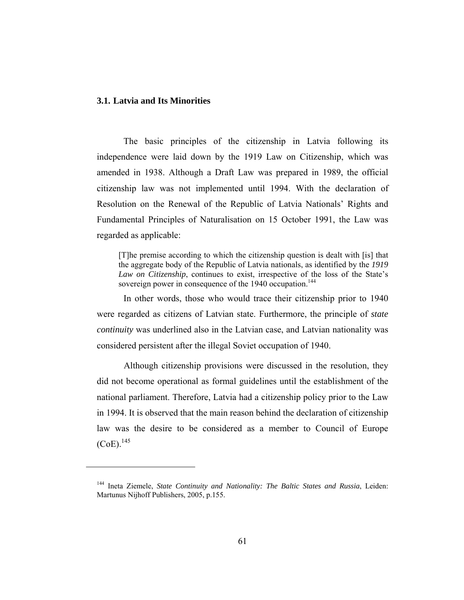## **3.1. Latvia and Its Minorities**

 $\overline{a}$ 

The basic principles of the citizenship in Latvia following its independence were laid down by the 1919 Law on Citizenship, which was amended in 1938. Although a Draft Law was prepared in 1989, the official citizenship law was not implemented until 1994. With the declaration of Resolution on the Renewal of the Republic of Latvia Nationals' Rights and Fundamental Principles of Naturalisation on 15 October 1991, the Law was regarded as applicable:

[T]he premise according to which the citizenship question is dealt with [is] that the aggregate body of the Republic of Latvia nationals, as identified by the *1919 Law on Citizenship*, continues to exist, irrespective of the loss of the State's sovereign power in consequence of the 1940 occupation.<sup>144</sup>

In other words, those who would trace their citizenship prior to 1940 were regarded as citizens of Latvian state. Furthermore, the principle of *state continuity* was underlined also in the Latvian case, and Latvian nationality was considered persistent after the illegal Soviet occupation of 1940.

Although citizenship provisions were discussed in the resolution, they did not become operational as formal guidelines until the establishment of the national parliament. Therefore, Latvia had a citizenship policy prior to the Law in 1994. It is observed that the main reason behind the declaration of citizenship law was the desire to be considered as a member to Council of Europe  $(CoE).$ <sup>145</sup>

<sup>144</sup> Ineta Ziemele, *State Continuity and Nationality: The Baltic States and Russia*, Leiden: Martunus Nijhoff Publishers, 2005, p.155.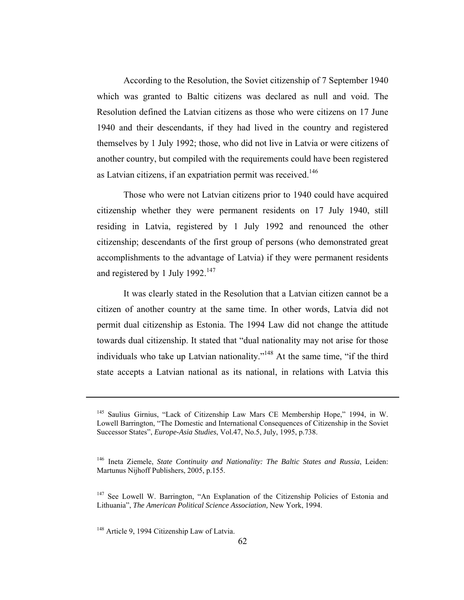According to the Resolution, the Soviet citizenship of 7 September 1940 which was granted to Baltic citizens was declared as null and void. The Resolution defined the Latvian citizens as those who were citizens on 17 June 1940 and their descendants, if they had lived in the country and registered themselves by 1 July 1992; those, who did not live in Latvia or were citizens of another country, but compiled with the requirements could have been registered as Latvian citizens, if an expatriation permit was received.<sup>146</sup>

Those who were not Latvian citizens prior to 1940 could have acquired citizenship whether they were permanent residents on 17 July 1940, still residing in Latvia, registered by 1 July 1992 and renounced the other citizenship; descendants of the first group of persons (who demonstrated great accomplishments to the advantage of Latvia) if they were permanent residents and registered by 1 July 1992.<sup>147</sup>

It was clearly stated in the Resolution that a Latvian citizen cannot be a citizen of another country at the same time. In other words, Latvia did not permit dual citizenship as Estonia. The 1994 Law did not change the attitude towards dual citizenship. It stated that "dual nationality may not arise for those individuals who take up Latvian nationality."<sup>148</sup> At the same time, "if the third state accepts a Latvian national as its national, in relations with Latvia this

<sup>145</sup> Saulius Girnius, "Lack of Citizenship Law Mars CE Membership Hope," 1994, in W. Lowell Barrington, "The Domestic and International Consequences of Citizenship in the Soviet Successor States", *Europe-Asia Studies*, Vol.47, No.5, July, 1995, p.738.

<sup>146</sup> Ineta Ziemele, *State Continuity and Nationality: The Baltic States and Russia*, Leiden: Martunus Nijhoff Publishers, 2005, p.155.

<sup>&</sup>lt;sup>147</sup> See Lowell W. Barrington, "An Explanation of the Citizenship Policies of Estonia and Lithuania", *The American Political Science Association,* New York, 1994.

<sup>&</sup>lt;sup>148</sup> Article 9, 1994 Citizenship Law of Latvia.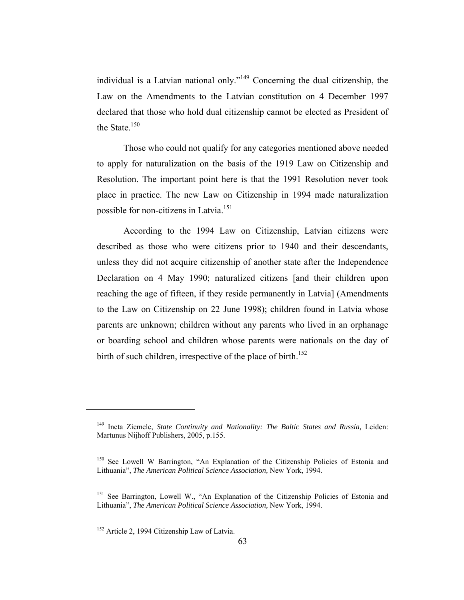individual is a Latvian national only."149 Concerning the dual citizenship, the Law on the Amendments to the Latvian constitution on 4 December 1997 declared that those who hold dual citizenship cannot be elected as President of the State. $150$ 

Those who could not qualify for any categories mentioned above needed to apply for naturalization on the basis of the 1919 Law on Citizenship and Resolution. The important point here is that the 1991 Resolution never took place in practice. The new Law on Citizenship in 1994 made naturalization possible for non-citizens in Latvia.<sup>151</sup>

According to the 1994 Law on Citizenship, Latvian citizens were described as those who were citizens prior to 1940 and their descendants, unless they did not acquire citizenship of another state after the Independence Declaration on 4 May 1990; naturalized citizens [and their children upon reaching the age of fifteen, if they reside permanently in Latvia] (Amendments to the Law on Citizenship on 22 June 1998); children found in Latvia whose parents are unknown; children without any parents who lived in an orphanage or boarding school and children whose parents were nationals on the day of birth of such children, irrespective of the place of birth.<sup>152</sup>

<sup>&</sup>lt;sup>149</sup> Ineta Ziemele, *State Continuity and Nationality: The Baltic States and Russia*, Leiden: Martunus Nijhoff Publishers, 2005, p.155.

<sup>&</sup>lt;sup>150</sup> See Lowell W Barrington, "An Explanation of the Citizenship Policies of Estonia and Lithuania", *The American Political Science Association,* New York, 1994.

<sup>&</sup>lt;sup>151</sup> See Barrington, Lowell W., "An Explanation of the Citizenship Policies of Estonia and Lithuania", *The American Political Science Association,* New York, 1994.

<sup>&</sup>lt;sup>152</sup> Article 2, 1994 Citizenship Law of Latvia.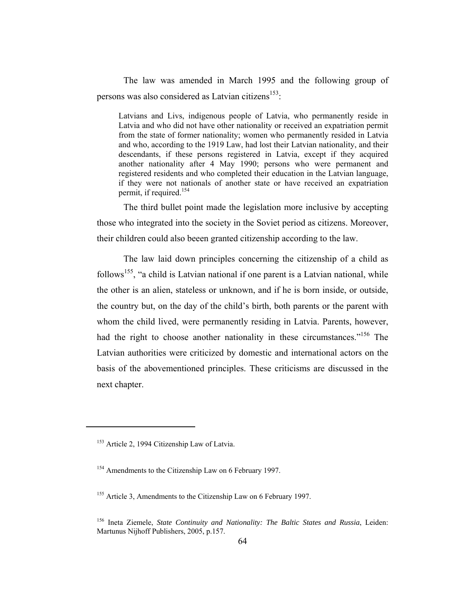The law was amended in March 1995 and the following group of persons was also considered as Latvian citizens<sup>153</sup>:

Latvians and Livs, indigenous people of Latvia, who permanently reside in Latvia and who did not have other nationality or received an expatriation permit from the state of former nationality; women who permanently resided in Latvia and who, according to the 1919 Law, had lost their Latvian nationality, and their descendants, if these persons registered in Latvia, except if they acquired another nationality after 4 May 1990; persons who were permanent and registered residents and who completed their education in the Latvian language, if they were not nationals of another state or have received an expatriation permit, if required.154

The third bullet point made the legislation more inclusive by accepting those who integrated into the society in the Soviet period as citizens. Moreover, their children could also beeen granted citizenship according to the law.

The law laid down principles concerning the citizenship of a child as follows<sup>155</sup>, "a child is Latvian national if one parent is a Latvian national, while the other is an alien, stateless or unknown, and if he is born inside, or outside, the country but, on the day of the child's birth, both parents or the parent with whom the child lived, were permanently residing in Latvia. Parents, however, had the right to choose another nationality in these circumstances."<sup>156</sup> The Latvian authorities were criticized by domestic and international actors on the basis of the abovementioned principles. These criticisms are discussed in the next chapter.

<sup>&</sup>lt;sup>153</sup> Article 2, 1994 Citizenship Law of Latvia.

<sup>154</sup> Amendments to the Citizenship Law on 6 February 1997.

<sup>&</sup>lt;sup>155</sup> Article 3, Amendments to the Citizenship Law on 6 February 1997.

<sup>156</sup> Ineta Ziemele, *State Continuity and Nationality: The Baltic States and Russia*, Leiden: Martunus Nijhoff Publishers, 2005, p.157.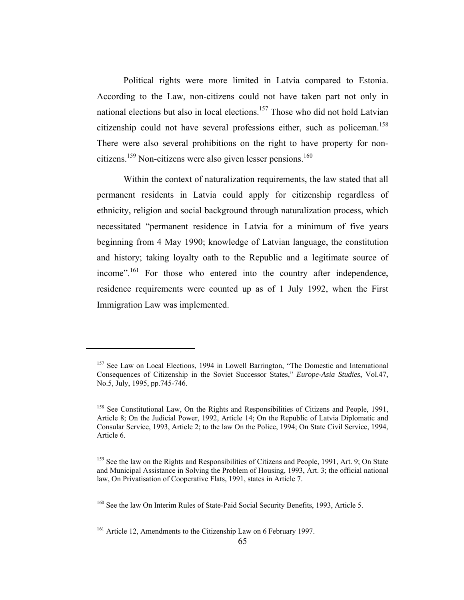Political rights were more limited in Latvia compared to Estonia. According to the Law, non-citizens could not have taken part not only in national elections but also in local elections.<sup>157</sup> Those who did not hold Latvian citizenship could not have several professions either, such as policeman.<sup>158</sup> There were also several prohibitions on the right to have property for noncitizens.<sup>159</sup> Non-citizens were also given lesser pensions.<sup>160</sup>

Within the context of naturalization requirements, the law stated that all permanent residents in Latvia could apply for citizenship regardless of ethnicity, religion and social background through naturalization process, which necessitated "permanent residence in Latvia for a minimum of five years beginning from 4 May 1990; knowledge of Latvian language, the constitution and history; taking loyalty oath to the Republic and a legitimate source of income".<sup>161</sup> For those who entered into the country after independence, residence requirements were counted up as of 1 July 1992, when the First Immigration Law was implemented.

<sup>&</sup>lt;sup>157</sup> See Law on Local Elections, 1994 in Lowell Barrington, "The Domestic and International Consequences of Citizenship in the Soviet Successor States," *Europe-Asia Studies*, Vol.47, No.5, July, 1995, pp.745-746.

<sup>&</sup>lt;sup>158</sup> See Constitutional Law, On the Rights and Responsibilities of Citizens and People, 1991, Article 8; On the Judicial Power, 1992, Article 14; On the Republic of Latvia Diplomatic and Consular Service, 1993, Article 2; to the law On the Police, 1994; On State Civil Service, 1994, Article 6.

<sup>&</sup>lt;sup>159</sup> See the law on the Rights and Responsibilities of Citizens and People, 1991, Art. 9; On State and Municipal Assistance in Solving the Problem of Housing, 1993, Art. 3; the official national law, On Privatisation of Cooperative Flats, 1991, states in Article 7.

<sup>&</sup>lt;sup>160</sup> See the law On Interim Rules of State-Paid Social Security Benefits, 1993, Article 5.

<sup>&</sup>lt;sup>161</sup> Article 12, Amendments to the Citizenship Law on 6 February 1997.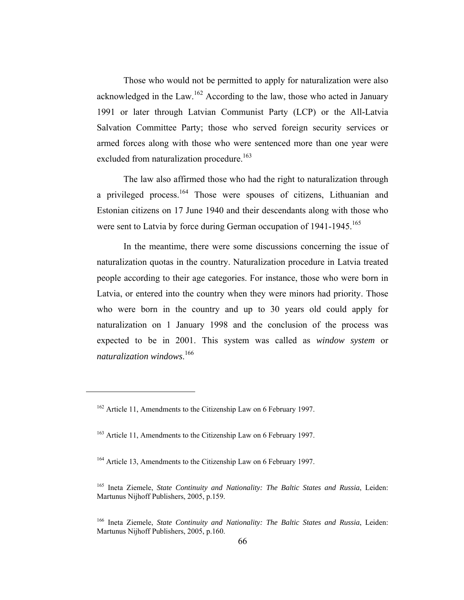Those who would not be permitted to apply for naturalization were also acknowledged in the Law.<sup>162</sup> According to the law, those who acted in January 1991 or later through Latvian Communist Party (LCP) or the All-Latvia Salvation Committee Party; those who served foreign security services or armed forces along with those who were sentenced more than one year were excluded from naturalization procedure.<sup>163</sup>

The law also affirmed those who had the right to naturalization through a privileged process.<sup>164</sup> Those were spouses of citizens, Lithuanian and Estonian citizens on 17 June 1940 and their descendants along with those who were sent to Latvia by force during German occupation of 1941-1945.<sup>165</sup>

In the meantime, there were some discussions concerning the issue of naturalization quotas in the country. Naturalization procedure in Latvia treated people according to their age categories. For instance, those who were born in Latvia, or entered into the country when they were minors had priority. Those who were born in the country and up to 30 years old could apply for naturalization on 1 January 1998 and the conclusion of the process was expected to be in 2001. This system was called as *window system* or *naturalization windows*. 166

<sup>&</sup>lt;sup>162</sup> Article 11, Amendments to the Citizenship Law on 6 February 1997.

<sup>&</sup>lt;sup>163</sup> Article 11, Amendments to the Citizenship Law on 6 February 1997.

<sup>&</sup>lt;sup>164</sup> Article 13, Amendments to the Citizenship Law on 6 February 1997.

<sup>165</sup> Ineta Ziemele, *State Continuity and Nationality: The Baltic States and Russia*, Leiden: Martunus Nijhoff Publishers, 2005, p.159.

<sup>166</sup> Ineta Ziemele, *State Continuity and Nationality: The Baltic States and Russia*, Leiden: Martunus Nijhoff Publishers, 2005, p.160.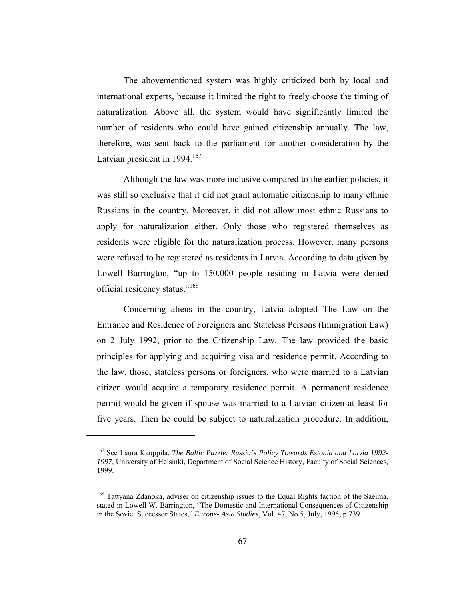The abovementioned system was highly criticized both by local and international experts, because it limited the right to freely choose the timing of naturalization. Above all, the system would have significantly limited the number of residents who could have gained citizenship annually. The law, therefore, was sent back to the parliament for another consideration by the Latvian president in 1994. $167$ 

Although the law was more inclusive compared to the earlier policies, it was still so exclusive that it did not grant automatic citizenship to many ethnic Russians in the country. Moreover, it did not allow most ethnic Russians to apply for naturalization either. Only those who registered themselves as residents were eligible for the naturalization process. However, many persons were refused to be registered as residents in Latvia. According to data given by Lowell Barrington, "up to 150,000 people residing in Latvia were denied official residency status."168

Concerning aliens in the country, Latvia adopted The Law on the Entrance and Residence of Foreigners and Stateless Persons (Immigration Law) on 2 July 1992, prior to the Citizenship Law. The law provided the basic principles for applying and acquiring visa and residence permit. According to the law, those, stateless persons or foreigners, who were married to a Latvian citizen would acquire a temporary residence permit. A permanent residence permit would be given if spouse was married to a Latvian citizen at least for five years. Then he could be subject to naturalization procedure. In addition,

<sup>167</sup> See Laura Kauppila, *The Baltic Puzzle: Russia's Policy Towards Estonia and Latvia 1992- 1997*, University of Helsinki, Department of Social Science History, Faculty of Social Sciences, 1999.

<sup>&</sup>lt;sup>168</sup> Tattyana Zdanoka, adviser on citizenship issues to the Equal Rights faction of the Saeima, stated in Lowell W. Barrington, "The Domestic and International Consequences of Citizenship in the Soviet Successor States," *Europe- Asia Studies*, Vol. 47, No.5, July, 1995, p.739.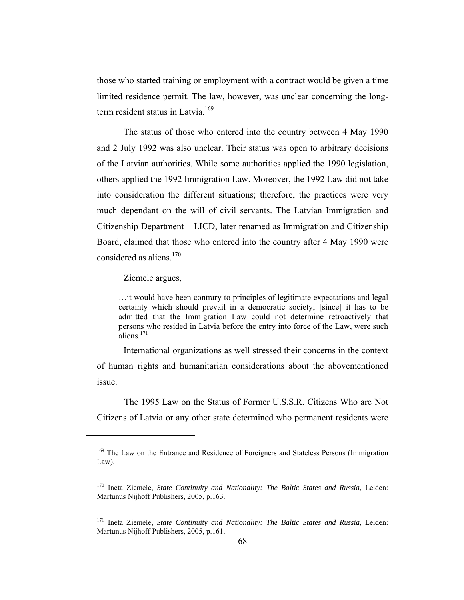those who started training or employment with a contract would be given a time limited residence permit. The law, however, was unclear concerning the longterm resident status in Latvia.<sup>169</sup>

The status of those who entered into the country between 4 May 1990 and 2 July 1992 was also unclear. Their status was open to arbitrary decisions of the Latvian authorities. While some authorities applied the 1990 legislation, others applied the 1992 Immigration Law. Moreover, the 1992 Law did not take into consideration the different situations; therefore, the practices were very much dependant on the will of civil servants. The Latvian Immigration and Citizenship Department – LICD, later renamed as Immigration and Citizenship Board, claimed that those who entered into the country after 4 May 1990 were considered as aliens.<sup>170</sup>

Ziemele argues,

 $\overline{a}$ 

…it would have been contrary to principles of legitimate expectations and legal certainty which should prevail in a democratic society; [since] it has to be admitted that the Immigration Law could not determine retroactively that persons who resided in Latvia before the entry into force of the Law, were such  $\hat{\text{aliens}}^{171}$ 

International organizations as well stressed their concerns in the context of human rights and humanitarian considerations about the abovementioned issue.

The 1995 Law on the Status of Former U.S.S.R. Citizens Who are Not Citizens of Latvia or any other state determined who permanent residents were

<sup>&</sup>lt;sup>169</sup> The Law on the Entrance and Residence of Foreigners and Stateless Persons (Immigration Law).

<sup>170</sup> Ineta Ziemele, *State Continuity and Nationality: The Baltic States and Russia*, Leiden: Martunus Nijhoff Publishers, 2005, p.163.

<sup>&</sup>lt;sup>171</sup> Ineta Ziemele, *State Continuity and Nationality: The Baltic States and Russia*, Leiden: Martunus Nijhoff Publishers, 2005, p.161.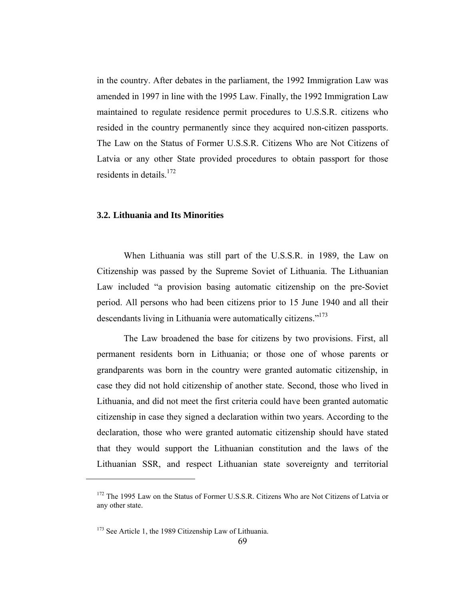in the country. After debates in the parliament, the 1992 Immigration Law was amended in 1997 in line with the 1995 Law. Finally, the 1992 Immigration Law maintained to regulate residence permit procedures to U.S.S.R. citizens who resided in the country permanently since they acquired non-citizen passports. The Law on the Status of Former U.S.S.R. Citizens Who are Not Citizens of Latvia or any other State provided procedures to obtain passport for those residents in details.<sup>172</sup>

# **3.2. Lithuania and Its Minorities**

When Lithuania was still part of the U.S.S.R. in 1989, the Law on Citizenship was passed by the Supreme Soviet of Lithuania. The Lithuanian Law included "a provision basing automatic citizenship on the pre-Soviet period. All persons who had been citizens prior to 15 June 1940 and all their descendants living in Lithuania were automatically citizens."<sup>173</sup>

The Law broadened the base for citizens by two provisions. First, all permanent residents born in Lithuania; or those one of whose parents or grandparents was born in the country were granted automatic citizenship, in case they did not hold citizenship of another state. Second, those who lived in Lithuania, and did not meet the first criteria could have been granted automatic citizenship in case they signed a declaration within two years. According to the declaration, those who were granted automatic citizenship should have stated that they would support the Lithuanian constitution and the laws of the Lithuanian SSR, and respect Lithuanian state sovereignty and territorial

<sup>&</sup>lt;sup>172</sup> The 1995 Law on the Status of Former U.S.S.R. Citizens Who are Not Citizens of Latvia or any other state.

<sup>&</sup>lt;sup>173</sup> See Article 1, the 1989 Citizenship Law of Lithuania.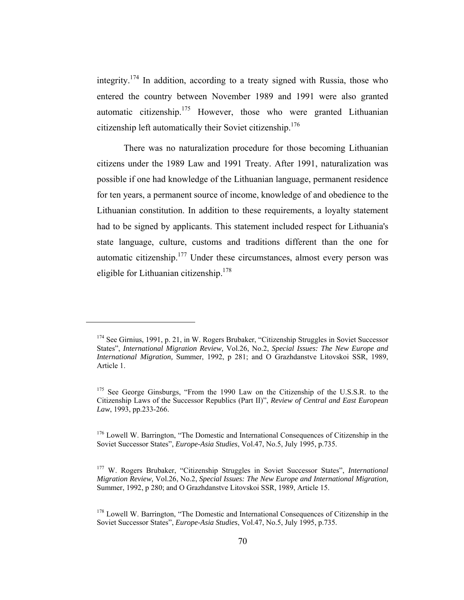integrity.<sup>174</sup> In addition, according to a treaty signed with Russia, those who entered the country between November 1989 and 1991 were also granted automatic citizenship.<sup>175</sup> However, those who were granted Lithuanian citizenship left automatically their Soviet citizenship.176

There was no naturalization procedure for those becoming Lithuanian citizens under the 1989 Law and 1991 Treaty. After 1991, naturalization was possible if one had knowledge of the Lithuanian language, permanent residence for ten years, a permanent source of income, knowledge of and obedience to the Lithuanian constitution. In addition to these requirements, a loyalty statement had to be signed by applicants. This statement included respect for Lithuania's state language, culture, customs and traditions different than the one for automatic citizenship. $177$  Under these circumstances, almost every person was eligible for Lithuanian citizenship.178

<sup>&</sup>lt;sup>174</sup> See Girnius, 1991, p. 21, in W. Rogers Brubaker, "Citizenship Struggles in Soviet Successor States", *International Migration Review,* Vol.26, No.2, *Special Issues: The New Europe and International Migration,* Summer, 1992, p 281; and O Grazhdanstve Litovskoi SSR, 1989, Article 1.

<sup>&</sup>lt;sup>175</sup> See George Ginsburgs, "From the 1990 Law on the Citizenship of the U.S.S.R. to the Citizenship Laws of the Successor Republics (Part II)", *Review of Central and East European Law*, 1993, pp.233-266.

<sup>&</sup>lt;sup>176</sup> Lowell W. Barrington, "The Domestic and International Consequences of Citizenship in the Soviet Successor States", *Europe-Asia Studies*, Vol.47, No.5, July 1995, p.735.

<sup>177</sup> W. Rogers Brubaker, "Citizenship Struggles in Soviet Successor States", *International Migration Review,* Vol.26, No.2, *Special Issues: The New Europe and International Migration,* Summer, 1992, p 280; and O Grazhdanstve Litovskoi SSR, 1989, Article 15.

<sup>&</sup>lt;sup>178</sup> Lowell W. Barrington, "The Domestic and International Consequences of Citizenship in the Soviet Successor States", *Europe-Asia Studies*, Vol.47, No.5, July 1995, p.735.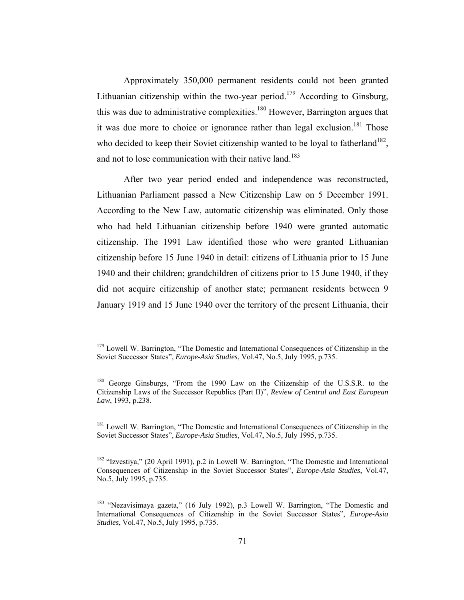Approximately 350,000 permanent residents could not been granted Lithuanian citizenship within the two-year period.<sup>179</sup> According to Ginsburg, this was due to administrative complexities.<sup>180</sup> However, Barrington argues that it was due more to choice or ignorance rather than legal exclusion.<sup>181</sup> Those who decided to keep their Soviet citizenship wanted to be loyal to fatherland<sup>182</sup>. and not to lose communication with their native land.<sup>183</sup>

After two year period ended and independence was reconstructed, Lithuanian Parliament passed a New Citizenship Law on 5 December 1991. According to the New Law, automatic citizenship was eliminated. Only those who had held Lithuanian citizenship before 1940 were granted automatic citizenship. The 1991 Law identified those who were granted Lithuanian citizenship before 15 June 1940 in detail: citizens of Lithuania prior to 15 June 1940 and their children; grandchildren of citizens prior to 15 June 1940, if they did not acquire citizenship of another state; permanent residents between 9 January 1919 and 15 June 1940 over the territory of the present Lithuania, their

<sup>&</sup>lt;sup>179</sup> Lowell W. Barrington, "The Domestic and International Consequences of Citizenship in the Soviet Successor States", *Europe-Asia Studies*, Vol.47, No.5, July 1995, p.735.

<sup>180</sup> George Ginsburgs, "From the 1990 Law on the Citizenship of the U.S.S.R. to the Citizenship Laws of the Successor Republics (Part II)", *Review of Central and East European Law*, 1993, p.238.

<sup>&</sup>lt;sup>181</sup> Lowell W. Barrington, "The Domestic and International Consequences of Citizenship in the Soviet Successor States", *Europe-Asia Studies*, Vol.47, No.5, July 1995, p.735.

 $182$  "Izvestiya," (20 April 1991), p.2 in Lowell W. Barrington, "The Domestic and International Consequences of Citizenship in the Soviet Successor States", *Europe-Asia Studies*, Vol.47, No.5, July 1995, p.735.

<sup>&</sup>lt;sup>183</sup> "Nezavisimaya gazeta," (16 July 1992), p.3 Lowell W. Barrington, "The Domestic and International Consequences of Citizenship in the Soviet Successor States", *Europe-Asia Studies*, Vol.47, No.5, July 1995, p.735.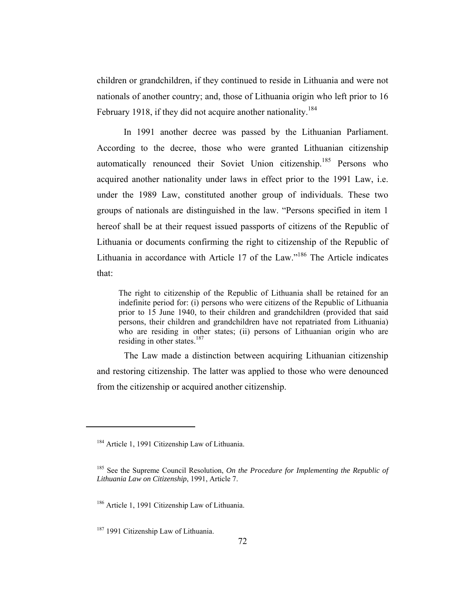children or grandchildren, if they continued to reside in Lithuania and were not nationals of another country; and, those of Lithuania origin who left prior to 16 February 1918, if they did not acquire another nationality.<sup>184</sup>

In 1991 another decree was passed by the Lithuanian Parliament. According to the decree, those who were granted Lithuanian citizenship automatically renounced their Soviet Union citizenship.<sup>185</sup> Persons who acquired another nationality under laws in effect prior to the 1991 Law, i.e. under the 1989 Law, constituted another group of individuals. These two groups of nationals are distinguished in the law. "Persons specified in item 1 hereof shall be at their request issued passports of citizens of the Republic of Lithuania or documents confirming the right to citizenship of the Republic of Lithuania in accordance with Article 17 of the Law."186 The Article indicates that:

The right to citizenship of the Republic of Lithuania shall be retained for an indefinite period for: (i) persons who were citizens of the Republic of Lithuania prior to 15 June 1940, to their children and grandchildren (provided that said persons, their children and grandchildren have not repatriated from Lithuania) who are residing in other states; (ii) persons of Lithuanian origin who are residing in other states.<sup>187</sup>

The Law made a distinction between acquiring Lithuanian citizenship and restoring citizenship. The latter was applied to those who were denounced from the citizenship or acquired another citizenship.

<sup>&</sup>lt;sup>184</sup> Article 1, 1991 Citizenship Law of Lithuania.

<sup>185</sup> See the Supreme Council Resolution, *On the Procedure for Implementing the Republic of Lithuania Law on Citizenship*, 1991, Article 7.

<sup>&</sup>lt;sup>186</sup> Article 1, 1991 Citizenship Law of Lithuania.

<sup>&</sup>lt;sup>187</sup> 1991 Citizenship Law of Lithuania.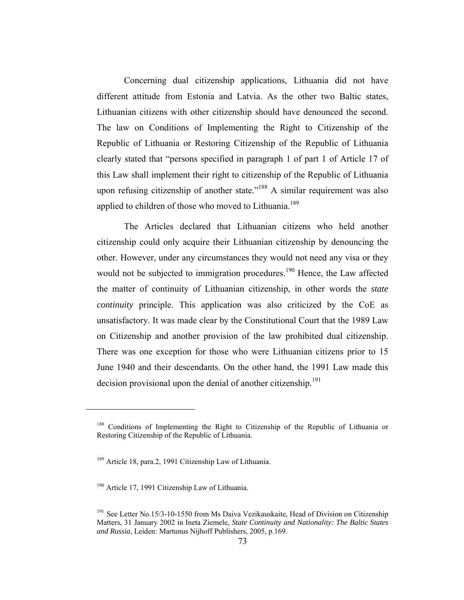Concerning dual citizenship applications, Lithuania did not have different attitude from Estonia and Latvia. As the other two Baltic states, Lithuanian citizens with other citizenship should have denounced the second. The law on Conditions of Implementing the Right to Citizenship of the Republic of Lithuania or Restoring Citizenship of the Republic of Lithuania clearly stated that "persons specified in paragraph 1 of part 1 of Article 17 of this Law shall implement their right to citizenship of the Republic of Lithuania upon refusing citizenship of another state."<sup>188</sup> A similar requirement was also applied to children of those who moved to Lithuania.<sup>189</sup>

The Articles declared that Lithuanian citizens who held another citizenship could only acquire their Lithuanian citizenship by denouncing the other. However, under any circumstances they would not need any visa or they would not be subjected to immigration procedures.<sup>190</sup> Hence, the Law affected the matter of continuity of Lithuanian citizenship, in other words the *state continuity* principle. This application was also criticized by the CoE as unsatisfactory. It was made clear by the Constitutional Court that the 1989 Law on Citizenship and another provision of the law prohibited dual citizenship. There was one exception for those who were Lithuanian citizens prior to 15 June 1940 and their descendants. On the other hand, the 1991 Law made this decision provisional upon the denial of another citizenship.<sup>191</sup>

<sup>&</sup>lt;sup>188</sup> Conditions of Implementing the Right to Citizenship of the Republic of Lithuania or Restoring Citizenship of the Republic of Lithuania.

<sup>189</sup> Article 18, para.2, 1991 Citizenship Law of Lithuania.

<sup>&</sup>lt;sup>190</sup> Article 17, 1991 Citizenship Law of Lithuania.

<sup>&</sup>lt;sup>191</sup> See Letter No.15/3-10-1550 from Ms Daiva Vezikauskaite, Head of Division on Citizenship Matters, 31 January 2002 in Ineta Ziemele, *State Continuity and Nationality: The Baltic States and Russia*, Leiden: Martunus Nijhoff Publishers, 2005, p.169.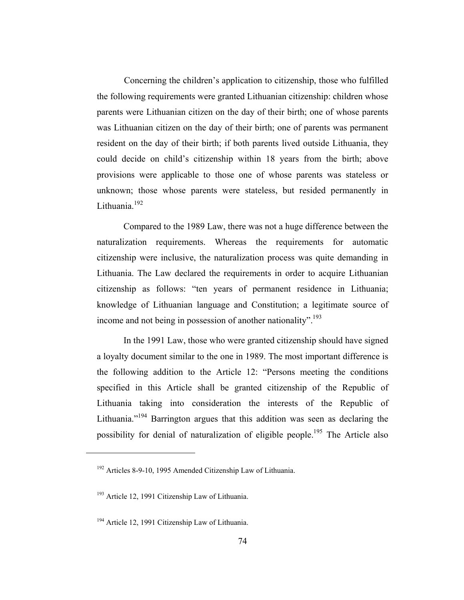Concerning the children's application to citizenship, those who fulfilled the following requirements were granted Lithuanian citizenship: children whose parents were Lithuanian citizen on the day of their birth; one of whose parents was Lithuanian citizen on the day of their birth; one of parents was permanent resident on the day of their birth; if both parents lived outside Lithuania, they could decide on child's citizenship within 18 years from the birth; above provisions were applicable to those one of whose parents was stateless or unknown; those whose parents were stateless, but resided permanently in Lithuania<sup>192</sup>

Compared to the 1989 Law, there was not a huge difference between the naturalization requirements. Whereas the requirements for automatic citizenship were inclusive, the naturalization process was quite demanding in Lithuania. The Law declared the requirements in order to acquire Lithuanian citizenship as follows: "ten years of permanent residence in Lithuania; knowledge of Lithuanian language and Constitution; a legitimate source of income and not being in possession of another nationality".<sup>193</sup>

In the 1991 Law, those who were granted citizenship should have signed a loyalty document similar to the one in 1989. The most important difference is the following addition to the Article 12: "Persons meeting the conditions specified in this Article shall be granted citizenship of the Republic of Lithuania taking into consideration the interests of the Republic of Lithuania."<sup>194</sup> Barrington argues that this addition was seen as declaring the possibility for denial of naturalization of eligible people.<sup>195</sup> The Article also

<sup>192</sup> Articles 8-9-10, 1995 Amended Citizenship Law of Lithuania.

<sup>193</sup> Article 12, 1991 Citizenship Law of Lithuania.

<sup>&</sup>lt;sup>194</sup> Article 12, 1991 Citizenship Law of Lithuania.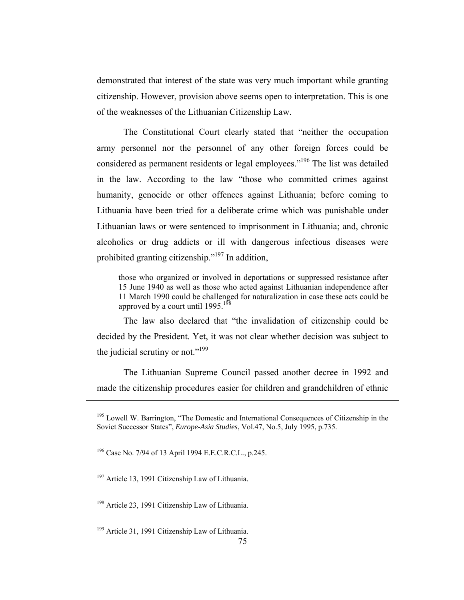demonstrated that interest of the state was very much important while granting citizenship. However, provision above seems open to interpretation. This is one of the weaknesses of the Lithuanian Citizenship Law.

The Constitutional Court clearly stated that "neither the occupation army personnel nor the personnel of any other foreign forces could be considered as permanent residents or legal employees."<sup>196</sup> The list was detailed in the law. According to the law "those who committed crimes against humanity, genocide or other offences against Lithuania; before coming to Lithuania have been tried for a deliberate crime which was punishable under Lithuanian laws or were sentenced to imprisonment in Lithuania; and, chronic alcoholics or drug addicts or ill with dangerous infectious diseases were prohibited granting citizenship."<sup>197</sup> In addition,

those who organized or involved in deportations or suppressed resistance after 15 June 1940 as well as those who acted against Lithuanian independence after 11 March 1990 could be challenged for naturalization in case these acts could be approved by a court until  $1995$ .<sup>198</sup>

The law also declared that "the invalidation of citizenship could be decided by the President. Yet, it was not clear whether decision was subject to the judicial scrutiny or not." $199$ 

The Lithuanian Supreme Council passed another decree in 1992 and made the citizenship procedures easier for children and grandchildren of ethnic

 $195$  Lowell W. Barrington, "The Domestic and International Consequences of Citizenship in the Soviet Successor States", *Europe-Asia Studies*, Vol.47, No.5, July 1995, p.735.

<sup>196</sup> Case No. 7/94 of 13 April 1994 E.E.C.R.C.L*.*, p.245.

<sup>&</sup>lt;sup>197</sup> Article 13, 1991 Citizenship Law of Lithuania.

<sup>&</sup>lt;sup>198</sup> Article 23, 1991 Citizenship Law of Lithuania.

<sup>&</sup>lt;sup>199</sup> Article 31, 1991 Citizenship Law of Lithuania.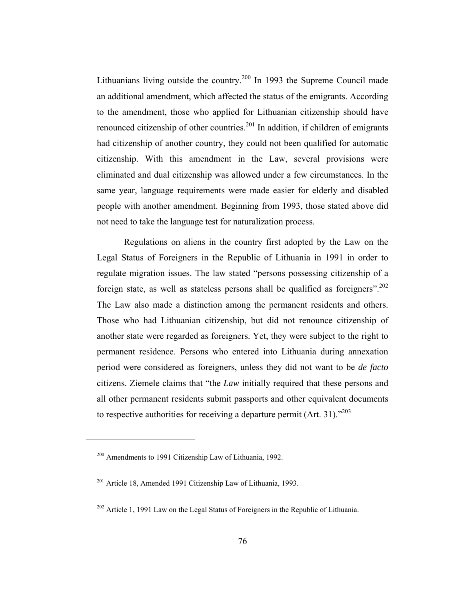Lithuanians living outside the country.<sup>200</sup> In 1993 the Supreme Council made an additional amendment, which affected the status of the emigrants. According to the amendment, those who applied for Lithuanian citizenship should have renounced citizenship of other countries.<sup>201</sup> In addition, if children of emigrants had citizenship of another country, they could not been qualified for automatic citizenship. With this amendment in the Law, several provisions were eliminated and dual citizenship was allowed under a few circumstances. In the same year, language requirements were made easier for elderly and disabled people with another amendment. Beginning from 1993, those stated above did not need to take the language test for naturalization process.

Regulations on aliens in the country first adopted by the Law on the Legal Status of Foreigners in the Republic of Lithuania in 1991 in order to regulate migration issues. The law stated "persons possessing citizenship of a foreign state, as well as stateless persons shall be qualified as foreigners".<sup>202</sup> The Law also made a distinction among the permanent residents and others. Those who had Lithuanian citizenship, but did not renounce citizenship of another state were regarded as foreigners. Yet, they were subject to the right to permanent residence. Persons who entered into Lithuania during annexation period were considered as foreigners, unless they did not want to be *de facto* citizens. Ziemele claims that "the *Law* initially required that these persons and all other permanent residents submit passports and other equivalent documents to respective authorities for receiving a departure permit (Art. 31)."203

<sup>200</sup> Amendments to 1991 Citizenship Law of Lithuania, 1992.

<sup>201</sup> Article 18, Amended 1991 Citizenship Law of Lithuania, 1993.

<sup>&</sup>lt;sup>202</sup> Article 1, 1991 Law on the Legal Status of Foreigners in the Republic of Lithuania.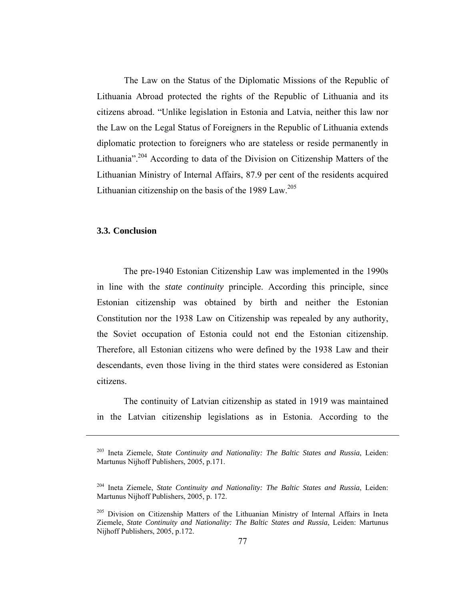The Law on the Status of the Diplomatic Missions of the Republic of Lithuania Abroad protected the rights of the Republic of Lithuania and its citizens abroad. "Unlike legislation in Estonia and Latvia, neither this law nor the Law on the Legal Status of Foreigners in the Republic of Lithuania extends diplomatic protection to foreigners who are stateless or reside permanently in Lithuania".<sup>204</sup> According to data of the Division on Citizenship Matters of the Lithuanian Ministry of Internal Affairs, 87.9 per cent of the residents acquired Lithuanian citizenship on the basis of the 1989 Law.<sup>205</sup>

# **3.3. Conclusion**

 $\overline{a}$ 

The pre-1940 Estonian Citizenship Law was implemented in the 1990s in line with the *state continuity* principle. According this principle, since Estonian citizenship was obtained by birth and neither the Estonian Constitution nor the 1938 Law on Citizenship was repealed by any authority, the Soviet occupation of Estonia could not end the Estonian citizenship. Therefore, all Estonian citizens who were defined by the 1938 Law and their descendants, even those living in the third states were considered as Estonian citizens.

The continuity of Latvian citizenship as stated in 1919 was maintained in the Latvian citizenship legislations as in Estonia. According to the

<sup>203</sup> Ineta Ziemele, *State Continuity and Nationality: The Baltic States and Russia*, Leiden: Martunus Nijhoff Publishers, 2005, p.171.

<sup>204</sup> Ineta Ziemele, *State Continuity and Nationality: The Baltic States and Russia*, Leiden: Martunus Nijhoff Publishers, 2005, p. 172.

<sup>&</sup>lt;sup>205</sup> Division on Citizenship Matters of the Lithuanian Ministry of Internal Affairs in Ineta Ziemele, *State Continuity and Nationality: The Baltic States and Russia*, Leiden: Martunus Nijhoff Publishers, 2005, p.172.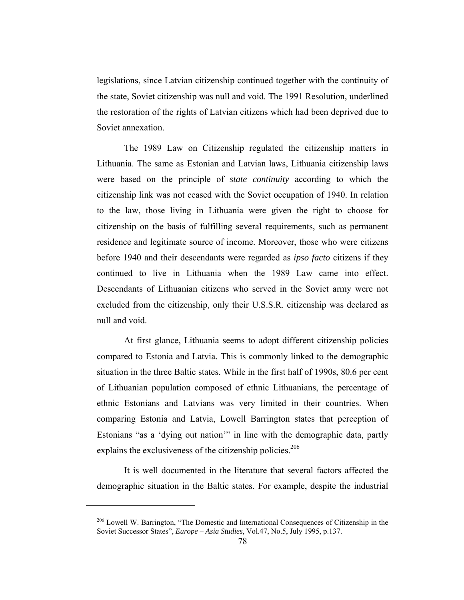legislations, since Latvian citizenship continued together with the continuity of the state, Soviet citizenship was null and void. The 1991 Resolution, underlined the restoration of the rights of Latvian citizens which had been deprived due to Soviet annexation.

The 1989 Law on Citizenship regulated the citizenship matters in Lithuania. The same as Estonian and Latvian laws, Lithuania citizenship laws were based on the principle of *state continuity* according to which the citizenship link was not ceased with the Soviet occupation of 1940. In relation to the law, those living in Lithuania were given the right to choose for citizenship on the basis of fulfilling several requirements, such as permanent residence and legitimate source of income. Moreover, those who were citizens before 1940 and their descendants were regarded as *ipso facto* citizens if they continued to live in Lithuania when the 1989 Law came into effect. Descendants of Lithuanian citizens who served in the Soviet army were not excluded from the citizenship, only their U.S.S.R. citizenship was declared as null and void.

At first glance, Lithuania seems to adopt different citizenship policies compared to Estonia and Latvia. This is commonly linked to the demographic situation in the three Baltic states. While in the first half of 1990s, 80.6 per cent of Lithuanian population composed of ethnic Lithuanians, the percentage of ethnic Estonians and Latvians was very limited in their countries. When comparing Estonia and Latvia, Lowell Barrington states that perception of Estonians "as a 'dying out nation'" in line with the demographic data, partly explains the exclusiveness of the citizenship policies.<sup>206</sup>

It is well documented in the literature that several factors affected the demographic situation in the Baltic states. For example, despite the industrial

<sup>&</sup>lt;sup>206</sup> Lowell W. Barrington, "The Domestic and International Consequences of Citizenship in the Soviet Successor States", *Europe – Asia Studies*, Vol.47, No.5, July 1995, p.137.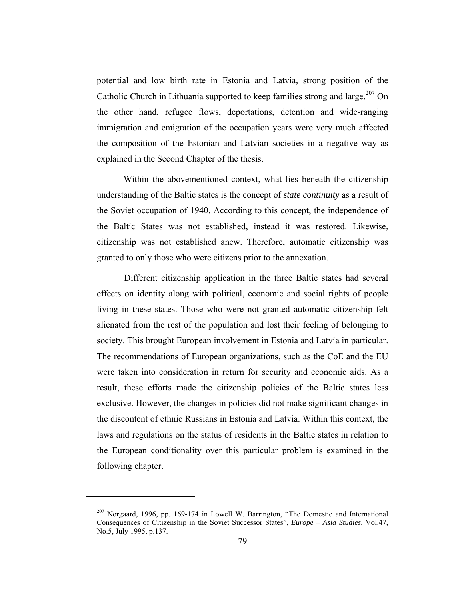potential and low birth rate in Estonia and Latvia, strong position of the Catholic Church in Lithuania supported to keep families strong and large.<sup>207</sup> On the other hand, refugee flows, deportations, detention and wide-ranging immigration and emigration of the occupation years were very much affected the composition of the Estonian and Latvian societies in a negative way as explained in the Second Chapter of the thesis.

Within the abovementioned context, what lies beneath the citizenship understanding of the Baltic states is the concept of *state continuity* as a result of the Soviet occupation of 1940. According to this concept, the independence of the Baltic States was not established, instead it was restored. Likewise, citizenship was not established anew. Therefore, automatic citizenship was granted to only those who were citizens prior to the annexation.

Different citizenship application in the three Baltic states had several effects on identity along with political, economic and social rights of people living in these states. Those who were not granted automatic citizenship felt alienated from the rest of the population and lost their feeling of belonging to society. This brought European involvement in Estonia and Latvia in particular. The recommendations of European organizations, such as the CoE and the EU were taken into consideration in return for security and economic aids. As a result, these efforts made the citizenship policies of the Baltic states less exclusive. However, the changes in policies did not make significant changes in the discontent of ethnic Russians in Estonia and Latvia. Within this context, the laws and regulations on the status of residents in the Baltic states in relation to the European conditionality over this particular problem is examined in the following chapter.

<sup>&</sup>lt;sup>207</sup> Norgaard, 1996, pp. 169-174 in Lowell W. Barrington, "The Domestic and International Consequences of Citizenship in the Soviet Successor States", *Europe – Asia Studies*, Vol.47, No.5, July 1995, p.137.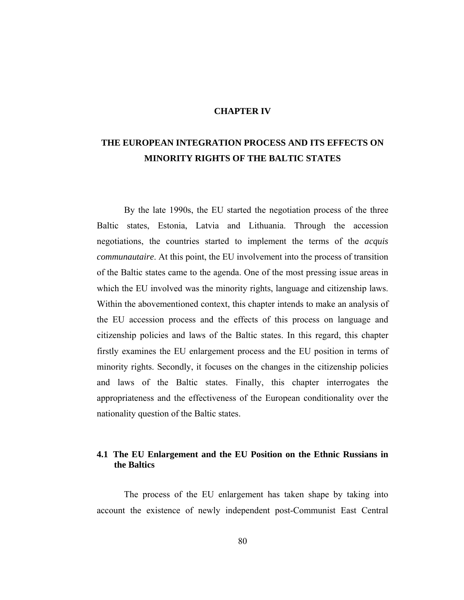#### **CHAPTER IV**

# **THE EUROPEAN INTEGRATION PROCESS AND ITS EFFECTS ON MINORITY RIGHTS OF THE BALTIC STATES**

By the late 1990s, the EU started the negotiation process of the three Baltic states, Estonia, Latvia and Lithuania. Through the accession negotiations, the countries started to implement the terms of the *acquis communautaire*. At this point, the EU involvement into the process of transition of the Baltic states came to the agenda. One of the most pressing issue areas in which the EU involved was the minority rights, language and citizenship laws. Within the abovementioned context, this chapter intends to make an analysis of the EU accession process and the effects of this process on language and citizenship policies and laws of the Baltic states. In this regard, this chapter firstly examines the EU enlargement process and the EU position in terms of minority rights. Secondly, it focuses on the changes in the citizenship policies and laws of the Baltic states. Finally, this chapter interrogates the appropriateness and the effectiveness of the European conditionality over the nationality question of the Baltic states.

# **4.1 The EU Enlargement and the EU Position on the Ethnic Russians in the Baltics**

The process of the EU enlargement has taken shape by taking into account the existence of newly independent post-Communist East Central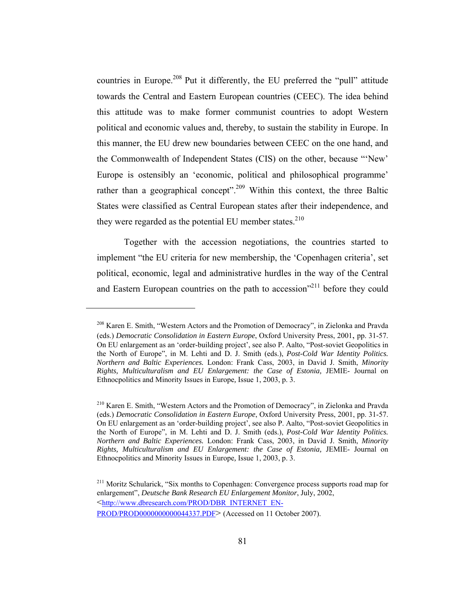countries in Europe.<sup>208</sup> Put it differently, the EU preferred the "pull" attitude towards the Central and Eastern European countries (CEEC). The idea behind this attitude was to make former communist countries to adopt Western political and economic values and, thereby, to sustain the stability in Europe. In this manner, the EU drew new boundaries between CEEC on the one hand, and the Commonwealth of Independent States (CIS) on the other, because "'New' Europe is ostensibly an 'economic, political and philosophical programme' rather than a geographical concept".<sup>209</sup> Within this context, the three Baltic States were classified as Central European states after their independence, and they were regarded as the potential EU member states.<sup>210</sup>

Together with the accession negotiations, the countries started to implement "the EU criteria for new membership, the 'Copenhagen criteria', set political, economic, legal and administrative hurdles in the way of the Central and Eastern European countries on the path to accession"<sup>211</sup> before they could

<sup>208</sup> Karen E. Smith, "Western Actors and the Promotion of Democracy", in Zielonka and Pravda (eds.) *Democratic Consolidation in Eastern Europe*, Oxford University Press, 2001, pp. 31-57. On EU enlargement as an 'order-building project', see also P. Aalto, "Post-soviet Geopolitics in the North of Europe", in M. Lehti and D. J. Smith (eds.), *Post-Cold War Identity Politics. Northern and Baltic Experiences.* London: Frank Cass, 2003, in David J. Smith, *Minority Rights, Multiculturalism and EU Enlargement: the Case of Estonia,* JEMIE- Journal on Ethnocpolitics and Minority Issues in Europe*,* Issue 1, 2003, p. 3.

<sup>210</sup> Karen E. Smith, "Western Actors and the Promotion of Democracy", in Zielonka and Pravda (eds.) *Democratic Consolidation in Eastern Europe*, Oxford University Press, 2001, pp. 31-57. On EU enlargement as an 'order-building project', see also P. Aalto, "Post-soviet Geopolitics in the North of Europe", in M. Lehti and D. J. Smith (eds.), *Post-Cold War Identity Politics. Northern and Baltic Experiences.* London: Frank Cass, 2003, in David J. Smith, *Minority Rights, Multiculturalism and EU Enlargement: the Case of Estonia,* JEMIE- Journal on Ethnocpolitics and Minority Issues in Europe*,* Issue 1, 2003, p. 3.

<sup>&</sup>lt;sup>211</sup> Moritz Schularick, "Six months to Copenhagen: Convergence process supports road map for enlargement", *Deutsche Bank Research EU Enlargement Monitor*, July, 2002, <http://www.dbresearch.com/PROD/DBR\_INTERNET\_EN-PROD/PROD0000000000044337.PDF> (Accessed on 11 October 2007).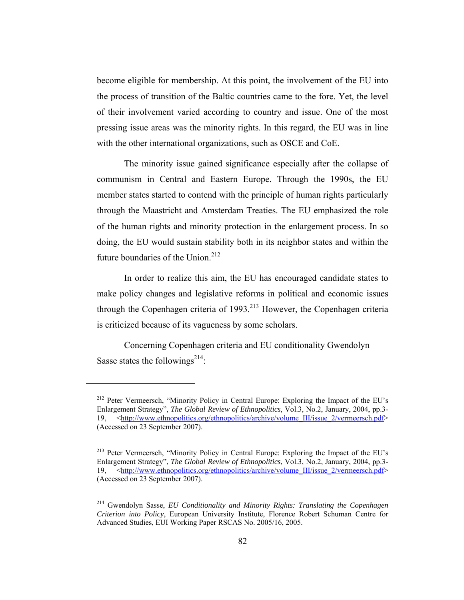become eligible for membership. At this point, the involvement of the EU into the process of transition of the Baltic countries came to the fore. Yet, the level of their involvement varied according to country and issue. One of the most pressing issue areas was the minority rights. In this regard, the EU was in line with the other international organizations, such as OSCE and CoE.

The minority issue gained significance especially after the collapse of communism in Central and Eastern Europe. Through the 1990s, the EU member states started to contend with the principle of human rights particularly through the Maastricht and Amsterdam Treaties. The EU emphasized the role of the human rights and minority protection in the enlargement process. In so doing, the EU would sustain stability both in its neighbor states and within the future boundaries of the Union.<sup>212</sup>

In order to realize this aim, the EU has encouraged candidate states to make policy changes and legislative reforms in political and economic issues through the Copenhagen criteria of  $1993$ <sup>213</sup> However, the Copenhagen criteria is criticized because of its vagueness by some scholars.

Concerning Copenhagen criteria and EU conditionality Gwendolyn Sasse states the followings<sup>214</sup>:

<sup>212</sup> Peter Vermeersch, "Minority Policy in Central Europe: Exploring the Impact of the EU's Enlargement Strategy", *The Global Review of Ethnopolitics*, Vol.3, No.2, January, 2004, pp.3- 19, <http://www.ethnopolitics.org/ethnopolitics/archive/volume III/issue 2/vermeersch.pdf> (Accessed on 23 September 2007).

<sup>213</sup> Peter Vermeersch, "Minority Policy in Central Europe: Exploring the Impact of the EU's Enlargement Strategy", *The Global Review of Ethnopolitics*, Vol.3, No.2, January, 2004, pp.3- 19, <http://www.ethnopolitics.org/ethnopolitics/archive/volume\_III/issue\_2/vermeersch.pdf> (Accessed on 23 September 2007).

<sup>214</sup> Gwendolyn Sasse, *EU Conditionality and Minority Rights: Translating the Copenhagen Criterion into Policy*, European University Institute, Florence Robert Schuman Centre for Advanced Studies, EUI Working Paper RSCAS No. 2005/16, 2005.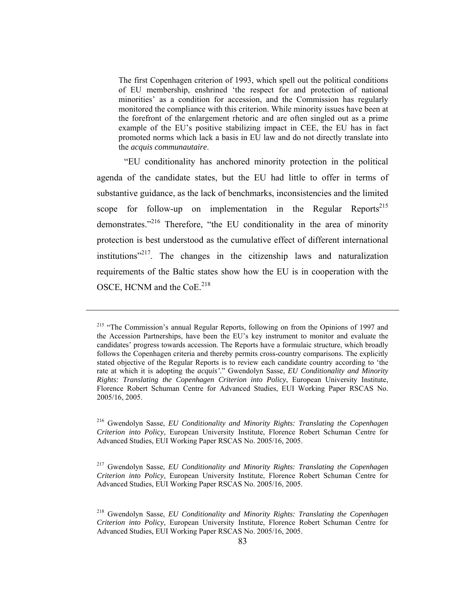The first Copenhagen criterion of 1993, which spell out the political conditions of EU membership, enshrined 'the respect for and protection of national minorities' as a condition for accession, and the Commission has regularly monitored the compliance with this criterion. While minority issues have been at the forefront of the enlargement rhetoric and are often singled out as a prime example of the EU's positive stabilizing impact in CEE, the EU has in fact promoted norms which lack a basis in EU law and do not directly translate into the *acquis communautaire*.

"EU conditionality has anchored minority protection in the political agenda of the candidate states, but the EU had little to offer in terms of substantive guidance, as the lack of benchmarks, inconsistencies and the limited scope for follow-up on implementation in the Regular Reports<sup>215</sup> demonstrates."<sup>216</sup> Therefore, "the EU conditionality in the area of minority protection is best understood as the cumulative effect of different international institutions"<sup>217</sup>. The changes in the citizenship laws and naturalization requirements of the Baltic states show how the EU is in cooperation with the OSCE, HCNM and the CoE.<sup>218</sup>

<sup>&</sup>lt;sup>215</sup> "The Commission's annual Regular Reports, following on from the Opinions of 1997 and the Accession Partnerships, have been the EU's key instrument to monitor and evaluate the candidates' progress towards accession. The Reports have a formulaic structure, which broadly follows the Copenhagen criteria and thereby permits cross-country comparisons. The explicitly stated objective of the Regular Reports is to review each candidate country according to 'the rate at which it is adopting the *acquis'*." Gwendolyn Sasse, *EU Conditionality and Minority Rights: Translating the Copenhagen Criterion into Policy*, European University Institute, Florence Robert Schuman Centre for Advanced Studies, EUI Working Paper RSCAS No. 2005/16, 2005.

<sup>216</sup> Gwendolyn Sasse, *EU Conditionality and Minority Rights: Translating the Copenhagen Criterion into Policy*, European University Institute, Florence Robert Schuman Centre for Advanced Studies, EUI Working Paper RSCAS No. 2005/16, 2005.

<sup>217</sup> Gwendolyn Sasse, *EU Conditionality and Minority Rights: Translating the Copenhagen Criterion into Policy*, European University Institute, Florence Robert Schuman Centre for Advanced Studies, EUI Working Paper RSCAS No. 2005/16, 2005.

<sup>218</sup> Gwendolyn Sasse, *EU Conditionality and Minority Rights: Translating the Copenhagen Criterion into Policy*, European University Institute, Florence Robert Schuman Centre for Advanced Studies, EUI Working Paper RSCAS No. 2005/16, 2005.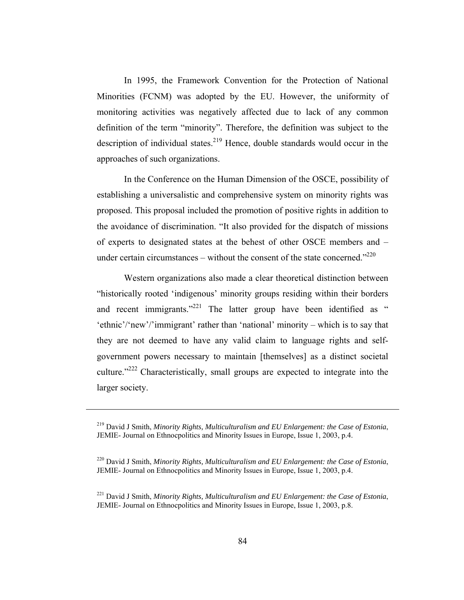In 1995, the Framework Convention for the Protection of National Minorities (FCNM) was adopted by the EU. However, the uniformity of monitoring activities was negatively affected due to lack of any common definition of the term "minority". Therefore, the definition was subject to the description of individual states.<sup>219</sup> Hence, double standards would occur in the approaches of such organizations.

In the Conference on the Human Dimension of the OSCE, possibility of establishing a universalistic and comprehensive system on minority rights was proposed. This proposal included the promotion of positive rights in addition to the avoidance of discrimination. "It also provided for the dispatch of missions of experts to designated states at the behest of other OSCE members and – under certain circumstances – without the consent of the state concerned." $^{220}$ 

Western organizations also made a clear theoretical distinction between "historically rooted 'indigenous' minority groups residing within their borders and recent immigrants."<sup>221</sup> The latter group have been identified as " 'ethnic'/'new'/'immigrant' rather than 'national' minority – which is to say that they are not deemed to have any valid claim to language rights and selfgovernment powers necessary to maintain [themselves] as a distinct societal culture."222 Characteristically, small groups are expected to integrate into the larger society.

<sup>219</sup> David J Smith, *Minority Rights, Multiculturalism and EU Enlargement: the Case of Estonia*, JEMIE- Journal on Ethnocpolitics and Minority Issues in Europe, Issue 1, 2003, p.4.

<sup>220</sup> David J Smith, *Minority Rights, Multiculturalism and EU Enlargement: the Case of Estonia*, JEMIE- Journal on Ethnocpolitics and Minority Issues in Europe, Issue 1, 2003, p.4.

<sup>221</sup> David J Smith, *Minority Rights, Multiculturalism and EU Enlargement: the Case of Estonia*, JEMIE- Journal on Ethnocpolitics and Minority Issues in Europe, Issue 1, 2003, p.8.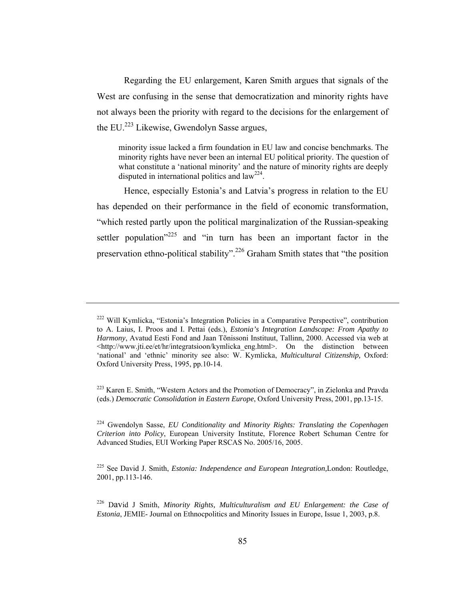Regarding the EU enlargement, Karen Smith argues that signals of the West are confusing in the sense that democratization and minority rights have not always been the priority with regard to the decisions for the enlargement of the EU.<sup>223</sup> Likewise, Gwendolyn Sasse argues,

minority issue lacked a firm foundation in EU law and concise benchmarks. The minority rights have never been an internal EU political priority. The question of what constitute a 'national minority' and the nature of minority rights are deeply disputed in international politics and  $law<sup>224</sup>$ .

Hence, especially Estonia's and Latvia's progress in relation to the EU has depended on their performance in the field of economic transformation, "which rested partly upon the political marginalization of the Russian-speaking settler population"<sup>225</sup> and "in turn has been an important factor in the preservation ethno-political stability".226 Graham Smith states that "the position

<sup>222</sup> Will Kymlicka, "Estonia's Integration Policies in a Comparative Perspective", contribution to A. Laius, I. Proos and I. Pettai (eds.), *Estonia's Integration Landscape: From Apathy to Harmony*, Avatud Eesti Fond and Jaan Tõnissoni Instituut, Tallinn, 2000. Accessed via web at  $\text{th}(t)$ ://www.jti.ee/et/hr/integratsioon/kymlicka eng.html>. On the distinction between 'national' and 'ethnic' minority see also: W. Kymlicka, *Multicultural Citizenship,* Oxford: Oxford University Press, 1995, pp.10-14.

 $223$  Karen E. Smith, "Western Actors and the Promotion of Democracy", in Zielonka and Pravda (eds.) *Democratic Consolidation in Eastern Europe*, Oxford University Press, 2001, pp.13-15.

<sup>224</sup> Gwendolyn Sasse, *EU Conditionality and Minority Rights: Translating the Copenhagen Criterion into Policy*, European University Institute, Florence Robert Schuman Centre for Advanced Studies, EUI Working Paper RSCAS No. 2005/16, 2005.

<sup>225</sup> See David J. Smith, *Estonia: Independence and European Integration,*London: Routledge, 2001, pp.113-146.

<sup>226</sup> David J Smith, *Minority Rights, Multiculturalism and EU Enlargement: the Case of Estonia*, JEMIE- Journal on Ethnocpolitics and Minority Issues in Europe, Issue 1, 2003, p.8.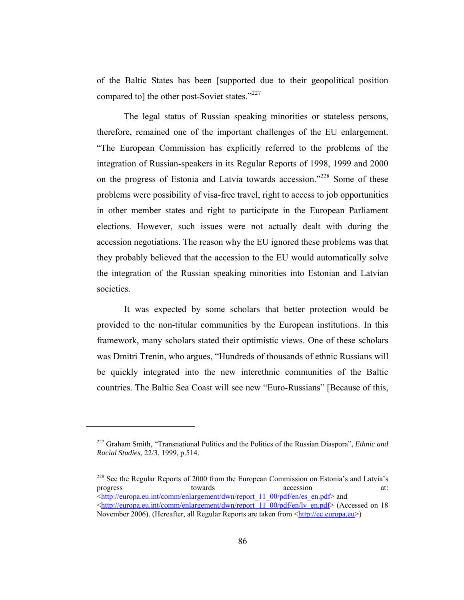of the Baltic States has been [supported due to their geopolitical position compared to] the other post-Soviet states."<sup>227</sup>

The legal status of Russian speaking minorities or stateless persons, therefore, remained one of the important challenges of the EU enlargement. "The European Commission has explicitly referred to the problems of the integration of Russian-speakers in its Regular Reports of 1998, 1999 and 2000 on the progress of Estonia and Latvia towards accession."<sup>228</sup> Some of these problems were possibility of visa-free travel, right to access to job opportunities in other member states and right to participate in the European Parliament elections. However, such issues were not actually dealt with during the accession negotiations. The reason why the EU ignored these problems was that they probably believed that the accession to the EU would automatically solve the integration of the Russian speaking minorities into Estonian and Latvian societies.

It was expected by some scholars that better protection would be provided to the non-titular communities by the European institutions. In this framework, many scholars stated their optimistic views. One of these scholars was Dmitri Trenin, who argues, "Hundreds of thousands of ethnic Russians will be quickly integrated into the new interethnic communities of the Baltic countries. The Baltic Sea Coast will see new "Euro-Russians" [Because of this,

<sup>227</sup> Graham Smith, "Transnational Politics and the Politics of the Russian Diaspora", *Ethnic and Racial Studies*, 22/3, 1999, p.514.

<sup>&</sup>lt;sup>228</sup> See the Regular Reports of 2000 from the European Commission on Estonia's and Latvia's progress towards towards accession at: <http://europa.eu.int/comm/enlargement/dwn/report\_11\_00/pdf/en/es\_en.pdf> and <http://europa.eu.int/comm/enlargement/dwn/report\_11\_00/pdf/en/lv\_en.pdf> (Accessed on 18 November 2006). (Hereafter, all Regular Reports are taken from <http://ec.europa.eu>)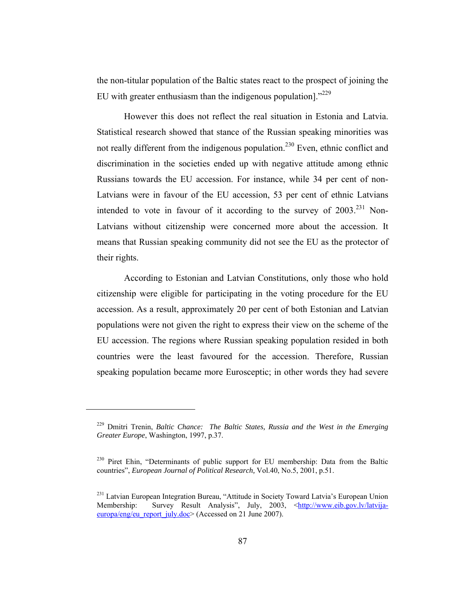the non-titular population of the Baltic states react to the prospect of joining the EU with greater enthusiasm than the indigenous population]."<sup>229</sup>

However this does not reflect the real situation in Estonia and Latvia. Statistical research showed that stance of the Russian speaking minorities was not really different from the indigenous population.<sup>230</sup> Even, ethnic conflict and discrimination in the societies ended up with negative attitude among ethnic Russians towards the EU accession. For instance, while 34 per cent of non-Latvians were in favour of the EU accession, 53 per cent of ethnic Latvians intended to vote in favour of it according to the survey of  $2003$ <sup>231</sup> Non-Latvians without citizenship were concerned more about the accession. It means that Russian speaking community did not see the EU as the protector of their rights.

According to Estonian and Latvian Constitutions, only those who hold citizenship were eligible for participating in the voting procedure for the EU accession. As a result, approximately 20 per cent of both Estonian and Latvian populations were not given the right to express their view on the scheme of the EU accession. The regions where Russian speaking population resided in both countries were the least favoured for the accession. Therefore, Russian speaking population became more Eurosceptic; in other words they had severe

<sup>229</sup> Dmitri Trenin, *Baltic Chance: The Baltic States, Russia and the West in the Emerging Greater Europe*, Washington, 1997, p.37.

<sup>&</sup>lt;sup>230</sup> Piret Ehin, "Determinants of public support for EU membership: Data from the Baltic countries", *European Journal of Political Research,* Vol.40, No.5, 2001, p.51.

<sup>&</sup>lt;sup>231</sup> Latvian European Integration Bureau, "Attitude in Society Toward Latvia's European Union Membership: Survey Result Analysis", July, 2003, <http://www.eib.gov.lv/latvijaeuropa/eng/eu\_report\_july.doc> (Accessed on 21 June 2007).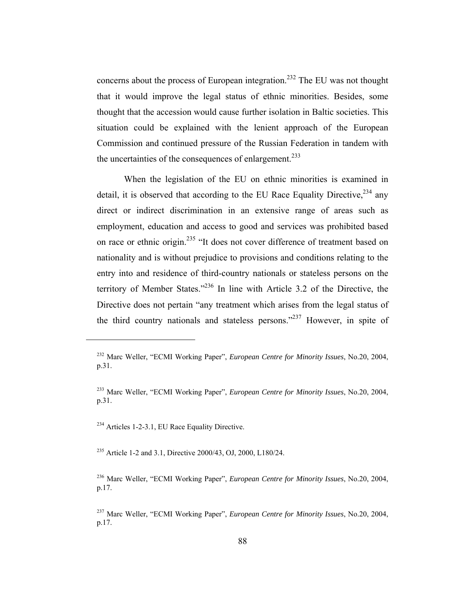concerns about the process of European integration.<sup>232</sup> The EU was not thought that it would improve the legal status of ethnic minorities. Besides, some thought that the accession would cause further isolation in Baltic societies. This situation could be explained with the lenient approach of the European Commission and continued pressure of the Russian Federation in tandem with the uncertainties of the consequences of enlargement.<sup>233</sup>

When the legislation of the EU on ethnic minorities is examined in detail, it is observed that according to the EU Race Equality Directive,  $234$  any direct or indirect discrimination in an extensive range of areas such as employment, education and access to good and services was prohibited based on race or ethnic origin.<sup>235</sup> "It does not cover difference of treatment based on nationality and is without prejudice to provisions and conditions relating to the entry into and residence of third-country nationals or stateless persons on the territory of Member States."236 In line with Article 3.2 of the Directive, the Directive does not pertain "any treatment which arises from the legal status of the third country nationals and stateless persons."<sup>237</sup> However, in spite of

<sup>234</sup> Articles 1-2-3.1, EU Race Equality Directive.

 $\overline{a}$ 

<sup>235</sup> Article 1-2 and 3.1, Directive 2000/43, OJ, 2000, L180/24.

236 Marc Weller, "ECMI Working Paper", *European Centre for Minority Issues*, No.20, 2004, p.17.

237 Marc Weller, "ECMI Working Paper", *European Centre for Minority Issues*, No.20, 2004, p.17.

<sup>232</sup> Marc Weller, "ECMI Working Paper", *European Centre for Minority Issues*, No.20, 2004, p.31.

<sup>233</sup> Marc Weller, "ECMI Working Paper", *European Centre for Minority Issues*, No.20, 2004, p.31.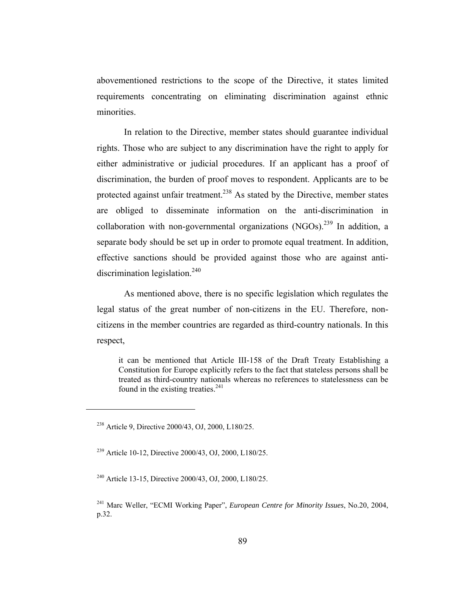abovementioned restrictions to the scope of the Directive, it states limited requirements concentrating on eliminating discrimination against ethnic minorities.

In relation to the Directive, member states should guarantee individual rights. Those who are subject to any discrimination have the right to apply for either administrative or judicial procedures. If an applicant has a proof of discrimination, the burden of proof moves to respondent. Applicants are to be protected against unfair treatment.<sup>238</sup> As stated by the Directive, member states are obliged to disseminate information on the anti-discrimination in collaboration with non-governmental organizations  $(NGOs)$ <sup>239</sup> In addition, a separate body should be set up in order to promote equal treatment. In addition, effective sanctions should be provided against those who are against antidiscrimination legislation.<sup>240</sup>

As mentioned above, there is no specific legislation which regulates the legal status of the great number of non-citizens in the EU. Therefore, noncitizens in the member countries are regarded as third-country nationals. In this respect,

it can be mentioned that Article III-158 of the Draft Treaty Establishing a Constitution for Europe explicitly refers to the fact that stateless persons shall be treated as third-country nationals whereas no references to statelessness can be found in the existing treaties.<sup>241</sup>

<sup>238</sup> Article 9, Directive 2000/43, OJ, 2000, L180/25.

<sup>239</sup> Article 10-12, Directive 2000/43, OJ, 2000, L180/25.

<sup>240</sup> Article 13-15, Directive 2000/43, OJ, 2000, L180/25.

<sup>241</sup> Marc Weller, "ECMI Working Paper", *European Centre for Minority Issues*, No.20, 2004, p.32.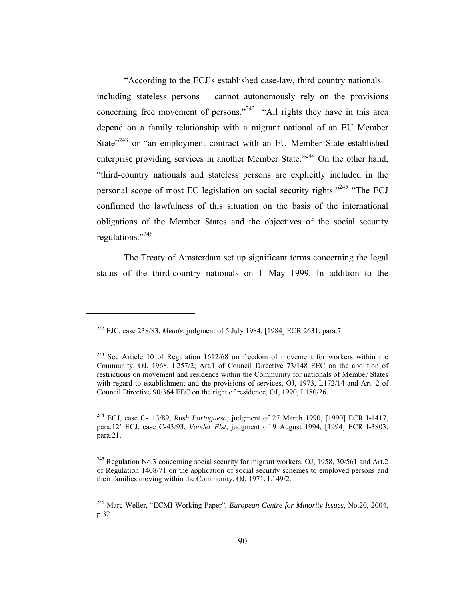"According to the ECJ's established case-law, third country nationals – including stateless persons – cannot autonomously rely on the provisions concerning free movement of persons."<sup>242</sup> "All rights they have in this area depend on a family relationship with a migrant national of an EU Member State"<sup>243</sup> or "an employment contract with an EU Member State established enterprise providing services in another Member State."<sup>244</sup> On the other hand, "third-country nationals and stateless persons are explicitly included in the personal scope of most EC legislation on social security rights."245 "The ECJ confirmed the lawfulness of this situation on the basis of the international obligations of the Member States and the objectives of the social security regulations."<sup>246</sup>

The Treaty of Amsterdam set up significant terms concerning the legal status of the third-country nationals on 1 May 1999. In addition to the

<sup>242</sup> EJC, case 238/83, *Meade*, judgment of 5 July 1984, [1984] ECR 2631, para.7.

<sup>&</sup>lt;sup>243</sup> See Article 10 of Regulation 1612/68 on freedom of movement for workers within the Community, OJ, 1968, L257/2; Art.1 of Council Directive 73/148 EEC on the abolition of restrictions on movement and residence within the Community for nationals of Member States with regard to establishment and the provisions of services, OJ, 1973, L172/14 and Art. 2 of Council Directive 90/364 EEC on the right of residence, OJ, 1990, L180/26.

<sup>244</sup> ECJ, case C-113/89, *Rush Portuguesa*, judgment of 27 March 1990, [1990] ECR I-1417, para.12' ECJ, case C-43/93, *Vander Elst*, judgment of 9 August 1994, [1994] ECR I-3803, para.21.

<sup>&</sup>lt;sup>245</sup> Regulation No.3 concerning social security for migrant workers, OJ, 1958, 30/561 and Art.2 of Regulation 1408/71 on the application of social security schemes to employed persons and their families moving within the Community, OJ, 1971, L149/2.

<sup>246</sup> Marc Weller, "ECMI Working Paper", *European Centre for Minority Issues*, No.20, 2004, p.32.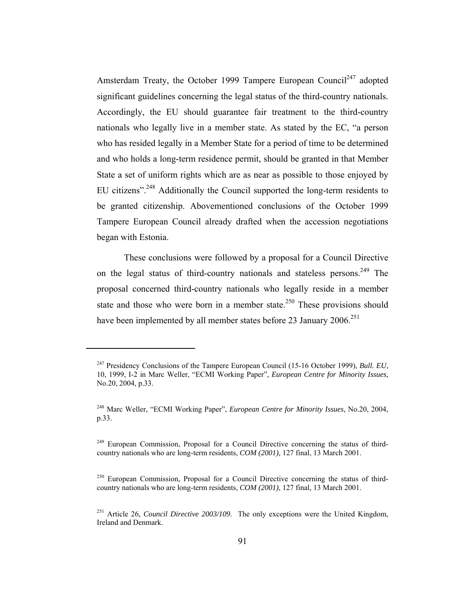Amsterdam Treaty, the October 1999 Tampere European Council<sup>247</sup> adopted significant guidelines concerning the legal status of the third-country nationals. Accordingly, the EU should guarantee fair treatment to the third-country nationals who legally live in a member state. As stated by the EC, "a person who has resided legally in a Member State for a period of time to be determined and who holds a long-term residence permit, should be granted in that Member State a set of uniform rights which are as near as possible to those enjoyed by EU citizens".248 Additionally the Council supported the long-term residents to be granted citizenship. Abovementioned conclusions of the October 1999 Tampere European Council already drafted when the accession negotiations began with Estonia.

These conclusions were followed by a proposal for a Council Directive on the legal status of third-country nationals and stateless persons.<sup>249</sup> The proposal concerned third-country nationals who legally reside in a member state and those who were born in a member state.<sup>250</sup> These provisions should have been implemented by all member states before 23 January 2006.<sup>251</sup>

<sup>247</sup> Presidency Conclusions of the Tampere European Council (15-16 October 1999), *Bull. EU*, 10, 1999, I-2 in Marc Weller, "ECMI Working Paper", *European Centre for Minority Issues*, No.20, 2004, p.33.

<sup>248</sup> Marc Weller, "ECMI Working Paper", *European Centre for Minority Issues*, No.20, 2004, p.33.

<sup>&</sup>lt;sup>249</sup> European Commission, Proposal for a Council Directive concerning the status of thirdcountry nationals who are long-term residents, *COM (2001)*, 127 final, 13 March 2001.

<sup>&</sup>lt;sup>250</sup> European Commission, Proposal for a Council Directive concerning the status of thirdcountry nationals who are long-term residents, *COM (2001)*, 127 final, 13 March 2001.

<sup>251</sup> Article 26, *Council Directive 2003/109*. The only exceptions were the United Kingdom, Ireland and Denmark.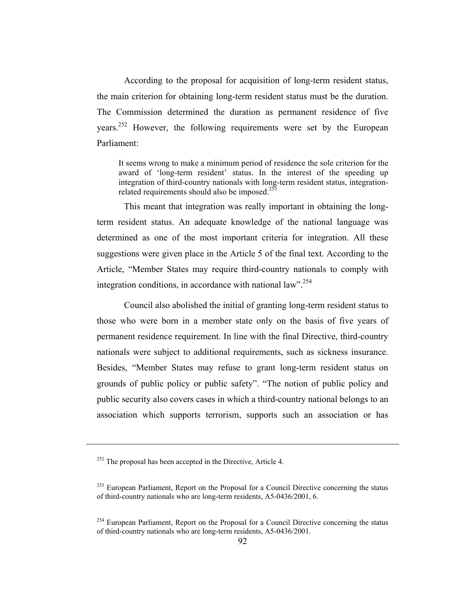According to the proposal for acquisition of long-term resident status, the main criterion for obtaining long-term resident status must be the duration. The Commission determined the duration as permanent residence of five years.252 However, the following requirements were set by the European Parliament:

It seems wrong to make a minimum period of residence the sole criterion for the award of 'long-term resident' status. In the interest of the speeding up integration of third-country nationals with long-term resident status, integrationrelated requirements should also be imposed.<sup>253</sup>

This meant that integration was really important in obtaining the longterm resident status. An adequate knowledge of the national language was determined as one of the most important criteria for integration. All these suggestions were given place in the Article 5 of the final text. According to the Article, "Member States may require third-country nationals to comply with integration conditions, in accordance with national law".<sup>254</sup>

Council also abolished the initial of granting long-term resident status to those who were born in a member state only on the basis of five years of permanent residence requirement. In line with the final Directive, third-country nationals were subject to additional requirements, such as sickness insurance. Besides, "Member States may refuse to grant long-term resident status on grounds of public policy or public safety". "The notion of public policy and public security also covers cases in which a third-country national belongs to an association which supports terrorism, supports such an association or has

<sup>&</sup>lt;sup>252</sup> The proposal has been accepted in the Directive, Article 4.

 $253$  European Parliament, Report on the Proposal for a Council Directive concerning the status of third-country nationals who are long-term residents, A5-0436/2001, 6.

 $254$  European Parliament, Report on the Proposal for a Council Directive concerning the status of third-country nationals who are long-term residents, A5-0436/2001.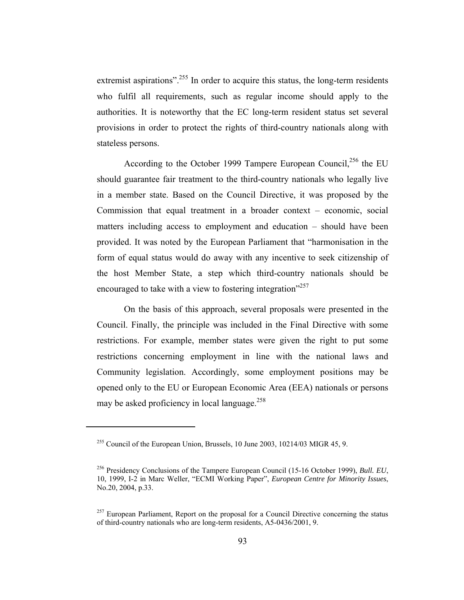extremist aspirations".<sup>255</sup> In order to acquire this status, the long-term residents who fulfil all requirements, such as regular income should apply to the authorities. It is noteworthy that the EC long-term resident status set several provisions in order to protect the rights of third-country nationals along with stateless persons.

According to the October 1999 Tampere European Council,<sup>256</sup> the EU should guarantee fair treatment to the third-country nationals who legally live in a member state. Based on the Council Directive, it was proposed by the Commission that equal treatment in a broader context – economic, social matters including access to employment and education – should have been provided. It was noted by the European Parliament that "harmonisation in the form of equal status would do away with any incentive to seek citizenship of the host Member State, a step which third-country nationals should be encouraged to take with a view to fostering integration"<sup>257</sup>

On the basis of this approach, several proposals were presented in the Council. Finally, the principle was included in the Final Directive with some restrictions. For example, member states were given the right to put some restrictions concerning employment in line with the national laws and Community legislation. Accordingly, some employment positions may be opened only to the EU or European Economic Area (EEA) nationals or persons may be asked proficiency in local language.<sup>258</sup>

 $^{255}$  Council of the European Union, Brussels, 10 June 2003, 10214/03 MIGR 45, 9.

<sup>256</sup> Presidency Conclusions of the Tampere European Council (15-16 October 1999), *Bull. EU*, 10, 1999, I-2 in Marc Weller, "ECMI Working Paper", *European Centre for Minority Issues*, No.20, 2004, p.33.

 $^{257}$  European Parliament, Report on the proposal for a Council Directive concerning the status of third-country nationals who are long-term residents, A5-0436/2001, 9.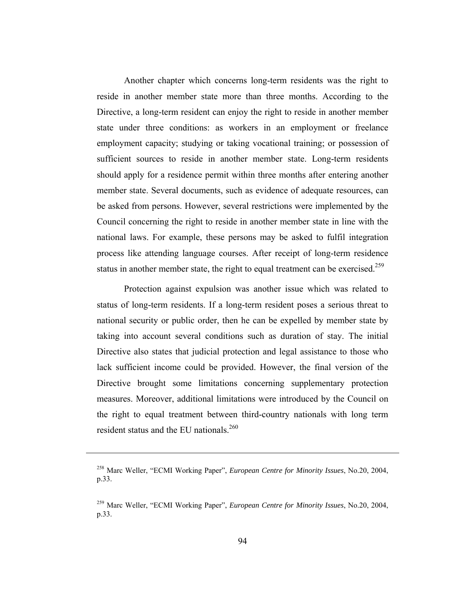Another chapter which concerns long-term residents was the right to reside in another member state more than three months. According to the Directive, a long-term resident can enjoy the right to reside in another member state under three conditions: as workers in an employment or freelance employment capacity; studying or taking vocational training; or possession of sufficient sources to reside in another member state. Long-term residents should apply for a residence permit within three months after entering another member state. Several documents, such as evidence of adequate resources, can be asked from persons. However, several restrictions were implemented by the Council concerning the right to reside in another member state in line with the national laws. For example, these persons may be asked to fulfil integration process like attending language courses. After receipt of long-term residence status in another member state, the right to equal treatment can be exercised.<sup>259</sup>

Protection against expulsion was another issue which was related to status of long-term residents. If a long-term resident poses a serious threat to national security or public order, then he can be expelled by member state by taking into account several conditions such as duration of stay. The initial Directive also states that judicial protection and legal assistance to those who lack sufficient income could be provided. However, the final version of the Directive brought some limitations concerning supplementary protection measures. Moreover, additional limitations were introduced by the Council on the right to equal treatment between third-country nationals with long term resident status and the EU nationals.<sup>260</sup>

<sup>258</sup> Marc Weller, "ECMI Working Paper", *European Centre for Minority Issues*, No.20, 2004, p.33.

<sup>259</sup> Marc Weller, "ECMI Working Paper", *European Centre for Minority Issues*, No.20, 2004, p.33.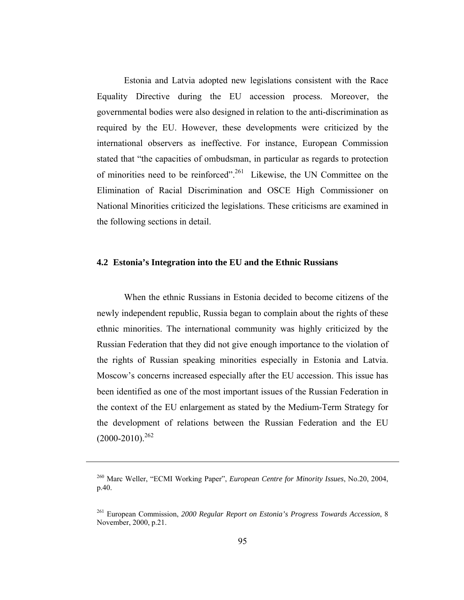Estonia and Latvia adopted new legislations consistent with the Race Equality Directive during the EU accession process. Moreover, the governmental bodies were also designed in relation to the anti-discrimination as required by the EU. However, these developments were criticized by the international observers as ineffective. For instance, European Commission stated that "the capacities of ombudsman, in particular as regards to protection of minorities need to be reinforced".261 Likewise, the UN Committee on the Elimination of Racial Discrimination and OSCE High Commissioner on National Minorities criticized the legislations. These criticisms are examined in the following sections in detail.

# **4.2 Estonia's Integration into the EU and the Ethnic Russians**

When the ethnic Russians in Estonia decided to become citizens of the newly independent republic, Russia began to complain about the rights of these ethnic minorities. The international community was highly criticized by the Russian Federation that they did not give enough importance to the violation of the rights of Russian speaking minorities especially in Estonia and Latvia. Moscow's concerns increased especially after the EU accession. This issue has been identified as one of the most important issues of the Russian Federation in the context of the EU enlargement as stated by the Medium-Term Strategy for the development of relations between the Russian Federation and the EU  $(2000-2010)^{262}$ 

<sup>260</sup> Marc Weller, "ECMI Working Paper", *European Centre for Minority Issues*, No.20, 2004, p.40.

<sup>261</sup> European Commission, *2000 Regular Report on Estonia's Progress Towards Accession*, 8 November, 2000, p.21.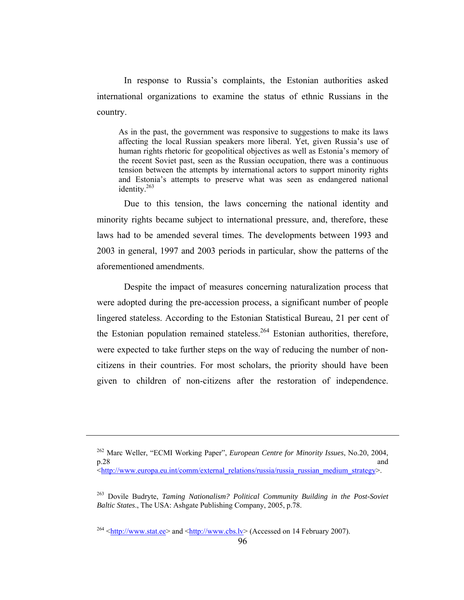In response to Russia's complaints, the Estonian authorities asked international organizations to examine the status of ethnic Russians in the country.

As in the past, the government was responsive to suggestions to make its laws affecting the local Russian speakers more liberal. Yet, given Russia's use of human rights rhetoric for geopolitical objectives as well as Estonia's memory of the recent Soviet past, seen as the Russian occupation, there was a continuous tension between the attempts by international actors to support minority rights and Estonia's attempts to preserve what was seen as endangered national identity. $263$ 

Due to this tension, the laws concerning the national identity and minority rights became subject to international pressure, and, therefore, these laws had to be amended several times. The developments between 1993 and 2003 in general, 1997 and 2003 periods in particular, show the patterns of the aforementioned amendments.

Despite the impact of measures concerning naturalization process that were adopted during the pre-accession process, a significant number of people lingered stateless. According to the Estonian Statistical Bureau, 21 per cent of the Estonian population remained stateless.<sup>264</sup> Estonian authorities, therefore, were expected to take further steps on the way of reducing the number of noncitizens in their countries. For most scholars, the priority should have been given to children of non-citizens after the restoration of independence.

<sup>262</sup> Marc Weller, "ECMI Working Paper", *European Centre for Minority Issues*, No.20, 2004, p.28 and positive property of  $\mathbb{R}^n$  and  $\mathbb{R}^n$  and  $\mathbb{R}^n$  and  $\mathbb{R}^n$  and  $\mathbb{R}^n$  and  $\mathbb{R}^n$  and  $\mathbb{R}^n$  and  $\mathbb{R}^n$  and  $\mathbb{R}^n$  and  $\mathbb{R}^n$  and  $\mathbb{R}^n$  and  $\mathbb{R}^n$  and  $\mathbb{R}^n$  a  $\langle$ http://www.europa.eu.int/comm/external\_relations/russia/russia\_russian\_medium\_strategy>.

<sup>263</sup> Dovile Budryte, *Taming Nationalism? Political Community Building in the Post-Soviet Baltic States*., The USA: Ashgate Publishing Company, 2005, p.78.

 $^{264}$  <http://www.stat.ee> and <http://www.cbs.lv> (Accessed on 14 February 2007).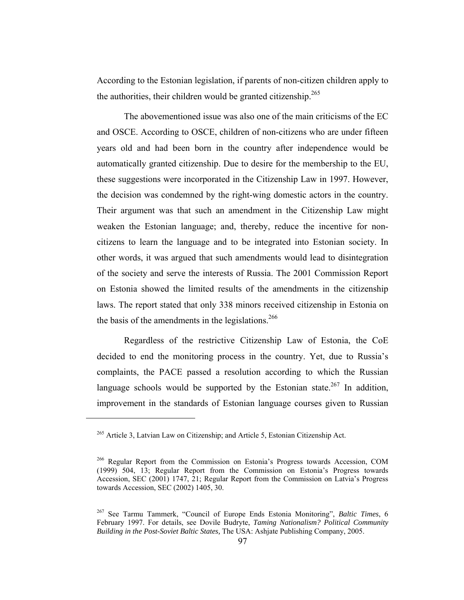According to the Estonian legislation, if parents of non-citizen children apply to the authorities, their children would be granted citizenship.<sup>265</sup>

The abovementioned issue was also one of the main criticisms of the EC and OSCE. According to OSCE, children of non-citizens who are under fifteen years old and had been born in the country after independence would be automatically granted citizenship. Due to desire for the membership to the EU, these suggestions were incorporated in the Citizenship Law in 1997. However, the decision was condemned by the right-wing domestic actors in the country. Their argument was that such an amendment in the Citizenship Law might weaken the Estonian language; and, thereby, reduce the incentive for noncitizens to learn the language and to be integrated into Estonian society. In other words, it was argued that such amendments would lead to disintegration of the society and serve the interests of Russia. The 2001 Commission Report on Estonia showed the limited results of the amendments in the citizenship laws. The report stated that only 338 minors received citizenship in Estonia on the basis of the amendments in the legislations.<sup>266</sup>

Regardless of the restrictive Citizenship Law of Estonia, the CoE decided to end the monitoring process in the country. Yet, due to Russia's complaints, the PACE passed a resolution according to which the Russian language schools would be supported by the Estonian state.<sup>267</sup> In addition. improvement in the standards of Estonian language courses given to Russian

<sup>265</sup> Article 3, Latvian Law on Citizenship; and Article 5, Estonian Citizenship Act.

<sup>266</sup> Regular Report from the Commission on Estonia's Progress towards Accession, COM (1999) 504, 13; Regular Report from the Commission on Estonia's Progress towards Accession, SEC (2001) 1747, 21; Regular Report from the Commission on Latvia's Progress towards Accession, SEC (2002) 1405, 30.

<sup>267</sup> See Tarmu Tammerk, "Council of Europe Ends Estonia Monitoring", *Baltic Times*, 6 February 1997. For details, see Dovile Budryte, *Taming Nationalism? Political Community Building in the Post-Soviet Baltic States,* The USA: Ashjate Publishing Company, 2005.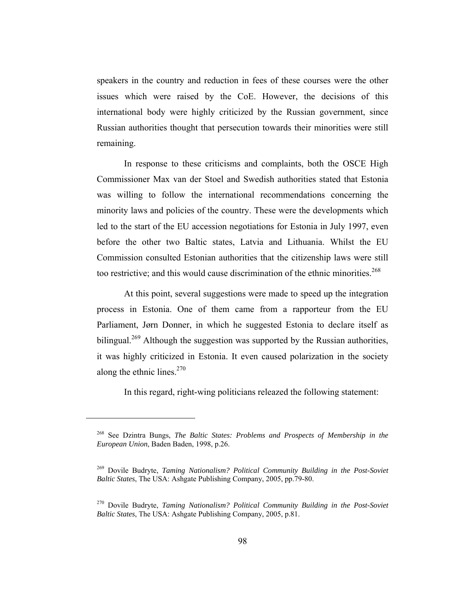speakers in the country and reduction in fees of these courses were the other issues which were raised by the CoE. However, the decisions of this international body were highly criticized by the Russian government, since Russian authorities thought that persecution towards their minorities were still remaining.

In response to these criticisms and complaints, both the OSCE High Commissioner Max van der Stoel and Swedish authorities stated that Estonia was willing to follow the international recommendations concerning the minority laws and policies of the country. These were the developments which led to the start of the EU accession negotiations for Estonia in July 1997, even before the other two Baltic states, Latvia and Lithuania. Whilst the EU Commission consulted Estonian authorities that the citizenship laws were still too restrictive; and this would cause discrimination of the ethnic minorities.<sup>268</sup>

At this point, several suggestions were made to speed up the integration process in Estonia. One of them came from a rapporteur from the EU Parliament, Jørn Donner, in which he suggested Estonia to declare itself as bilingual.<sup>269</sup> Although the suggestion was supported by the Russian authorities, it was highly criticized in Estonia. It even caused polarization in the society along the ethnic lines. $270$ 

In this regard, right-wing politicians releazed the following statement:

<sup>268</sup> See Dzintra Bungs, *The Baltic States: Problems and Prospects of Membership in the European Union*, Baden Baden, 1998, p.26.

<sup>269</sup> Dovile Budryte, *Taming Nationalism? Political Community Building in the Post-Soviet Baltic States*, The USA: Ashgate Publishing Company, 2005, pp.79-80.

<sup>270</sup> Dovile Budryte, *Taming Nationalism? Political Community Building in the Post-Soviet Baltic States*, The USA: Ashgate Publishing Company, 2005, p.81.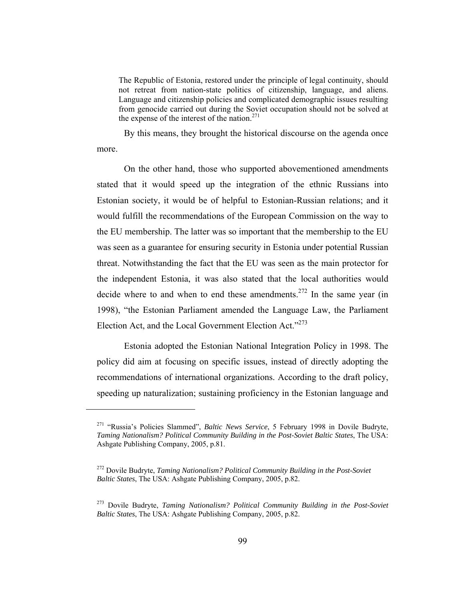The Republic of Estonia, restored under the principle of legal continuity, should not retreat from nation-state politics of citizenship, language, and aliens. Language and citizenship policies and complicated demographic issues resulting from genocide carried out during the Soviet occupation should not be solved at the expense of the interest of the nation.<sup>271</sup>

By this means, they brought the historical discourse on the agenda once more.

On the other hand, those who supported abovementioned amendments stated that it would speed up the integration of the ethnic Russians into Estonian society, it would be of helpful to Estonian-Russian relations; and it would fulfill the recommendations of the European Commission on the way to the EU membership. The latter was so important that the membership to the EU was seen as a guarantee for ensuring security in Estonia under potential Russian threat. Notwithstanding the fact that the EU was seen as the main protector for the independent Estonia, it was also stated that the local authorities would decide where to and when to end these amendments.<sup>272</sup> In the same year (in 1998), "the Estonian Parliament amended the Language Law, the Parliament Election Act, and the Local Government Election Act."<sup>273</sup>

Estonia adopted the Estonian National Integration Policy in 1998. The policy did aim at focusing on specific issues, instead of directly adopting the recommendations of international organizations. According to the draft policy, speeding up naturalization; sustaining proficiency in the Estonian language and

<sup>271 &</sup>quot;Russia's Policies Slammed", *Baltic News Service*, 5 February 1998 in Dovile Budryte, *Taming Nationalism? Political Community Building in the Post-Soviet Baltic States*, The USA: Ashgate Publishing Company, 2005, p.81.

<sup>272</sup> Dovile Budryte, *Taming Nationalism? Political Community Building in the Post-Soviet Baltic States*, The USA: Ashgate Publishing Company, 2005, p.82.

<sup>273</sup> Dovile Budryte, *Taming Nationalism? Political Community Building in the Post-Soviet Baltic States*, The USA: Ashgate Publishing Company, 2005, p.82.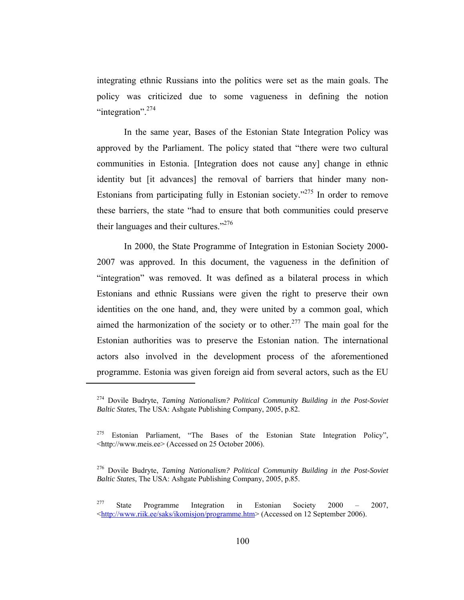integrating ethnic Russians into the politics were set as the main goals. The policy was criticized due to some vagueness in defining the notion "integration". $274$ 

In the same year, Bases of the Estonian State Integration Policy was approved by the Parliament. The policy stated that "there were two cultural communities in Estonia. [Integration does not cause any] change in ethnic identity but [it advances] the removal of barriers that hinder many non-Estonians from participating fully in Estonian society."275 In order to remove these barriers, the state "had to ensure that both communities could preserve their languages and their cultures." $276$ 

In 2000, the State Programme of Integration in Estonian Society 2000- 2007 was approved. In this document, the vagueness in the definition of "integration" was removed. It was defined as a bilateral process in which Estonians and ethnic Russians were given the right to preserve their own identities on the one hand, and, they were united by a common goal, which aimed the harmonization of the society or to other.<sup>277</sup> The main goal for the Estonian authorities was to preserve the Estonian nation. The international actors also involved in the development process of the aforementioned programme. Estonia was given foreign aid from several actors, such as the EU

<sup>274</sup> Dovile Budryte, *Taming Nationalism? Political Community Building in the Post-Soviet Baltic States*, The USA: Ashgate Publishing Company, 2005, p.82.

<sup>&</sup>lt;sup>275</sup> Estonian Parliament, "The Bases of the Estonian State Integration Policy", <http://www.meis.ee> (Accessed on 25 October 2006).

<sup>276</sup> Dovile Budryte, *Taming Nationalism? Political Community Building in the Post-Soviet Baltic States*, The USA: Ashgate Publishing Company, 2005, p.85.

<sup>277</sup> State Programme Integration in Estonian Society 2000 – 2007, <http://www.riik.ee/saks/ikomisjon/programme.htm> (Accessed on 12 September 2006).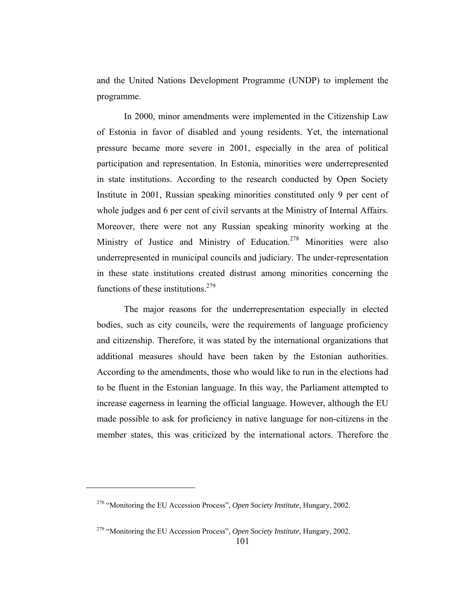and the United Nations Development Programme (UNDP) to implement the programme.

In 2000, minor amendments were implemented in the Citizenship Law of Estonia in favor of disabled and young residents. Yet, the international pressure became more severe in 2001, especially in the area of political participation and representation. In Estonia, minorities were underrepresented in state institutions. According to the research conducted by Open Society Institute in 2001, Russian speaking minorities constituted only 9 per cent of whole judges and 6 per cent of civil servants at the Ministry of Internal Affairs. Moreover, there were not any Russian speaking minority working at the Ministry of Justice and Ministry of Education.<sup>278</sup> Minorities were also underrepresented in municipal councils and judiciary. The under-representation in these state institutions created distrust among minorities concerning the functions of these institutions. $279$ 

The major reasons for the underrepresentation especially in elected bodies, such as city councils, were the requirements of language proficiency and citizenship. Therefore, it was stated by the international organizations that additional measures should have been taken by the Estonian authorities. According to the amendments, those who would like to run in the elections had to be fluent in the Estonian language. In this way, the Parliament attempted to increase eagerness in learning the official language. However, although the EU made possible to ask for proficiency in native language for non-citizens in the member states, this was criticized by the international actors. Therefore the

<sup>278 &</sup>quot;Monitoring the EU Accession Process", *Open Society Institute*, Hungary, 2002.

<sup>279 &</sup>quot;Monitoring the EU Accession Process", *Open Society Institute*, Hungary, 2002.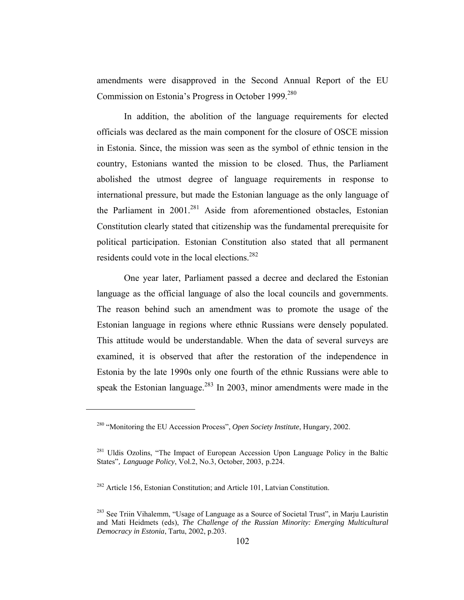amendments were disapproved in the Second Annual Report of the EU Commission on Estonia's Progress in October 1999.<sup>280</sup>

In addition, the abolition of the language requirements for elected officials was declared as the main component for the closure of OSCE mission in Estonia. Since, the mission was seen as the symbol of ethnic tension in the country, Estonians wanted the mission to be closed. Thus, the Parliament abolished the utmost degree of language requirements in response to international pressure, but made the Estonian language as the only language of the Parliament in  $2001$ <sup>281</sup> Aside from aforementioned obstacles, Estonian Constitution clearly stated that citizenship was the fundamental prerequisite for political participation. Estonian Constitution also stated that all permanent residents could vote in the local elections.<sup>282</sup>

One year later, Parliament passed a decree and declared the Estonian language as the official language of also the local councils and governments. The reason behind such an amendment was to promote the usage of the Estonian language in regions where ethnic Russians were densely populated. This attitude would be understandable. When the data of several surveys are examined, it is observed that after the restoration of the independence in Estonia by the late 1990s only one fourth of the ethnic Russians were able to speak the Estonian language.<sup>283</sup> In 2003, minor amendments were made in the

<sup>280 &</sup>quot;Monitoring the EU Accession Process", *Open Society Institute*, Hungary, 2002.

<sup>&</sup>lt;sup>281</sup> Uldis Ozolins, "The Impact of European Accession Upon Language Policy in the Baltic States", *Language Policy*, Vol.2, No.3, October, 2003, p.224.

<sup>282</sup> Article 156, Estonian Constitution; and Article 101, Latvian Constitution.

<sup>&</sup>lt;sup>283</sup> See Triin Vihalemm, "Usage of Language as a Source of Societal Trust", in Mariu Lauristin and Mati Heidmets (eds), *The Challenge of the Russian Minority: Emerging Multicultural Democracy in Estonia*, Tartu, 2002, p.203.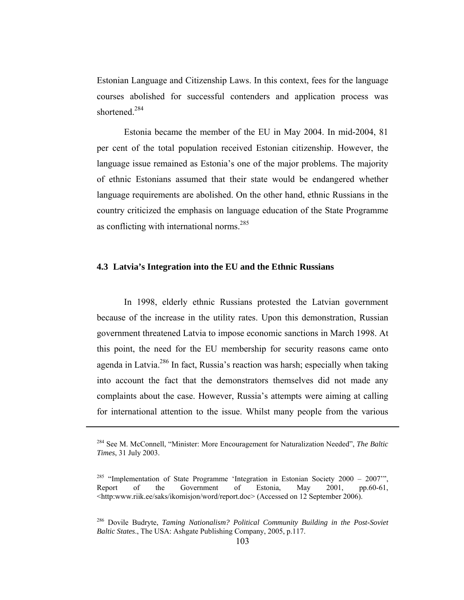Estonian Language and Citizenship Laws. In this context, fees for the language courses abolished for successful contenders and application process was shortened.<sup>284</sup>

Estonia became the member of the EU in May 2004. In mid-2004, 81 per cent of the total population received Estonian citizenship. However, the language issue remained as Estonia's one of the major problems. The majority of ethnic Estonians assumed that their state would be endangered whether language requirements are abolished. On the other hand, ethnic Russians in the country criticized the emphasis on language education of the State Programme as conflicting with international norms.<sup>285</sup>

## **4.3 Latvia's Integration into the EU and the Ethnic Russians**

In 1998, elderly ethnic Russians protested the Latvian government because of the increase in the utility rates. Upon this demonstration, Russian government threatened Latvia to impose economic sanctions in March 1998. At this point, the need for the EU membership for security reasons came onto agenda in Latvia.<sup>286</sup> In fact, Russia's reaction was harsh; especially when taking into account the fact that the demonstrators themselves did not made any complaints about the case. However, Russia's attempts were aiming at calling for international attention to the issue. Whilst many people from the various

<sup>284</sup> See M. McConnell, "Minister: More Encouragement for Naturalization Needed", *The Baltic Times*, 31 July 2003.

<sup>&</sup>lt;sup>285</sup> "Implementation of State Programme 'Integration in Estonian Society 2000 – 2007"', Report of the Government of Estonia, May 2001, pp.60-61, <http:www.riik.ee/saks/ikomisjon/word/report.doc> (Accessed on 12 September 2006).

<sup>286</sup> Dovile Budryte, *Taming Nationalism? Political Community Building in the Post-Soviet Baltic States*., The USA: Ashgate Publishing Company, 2005, p.117.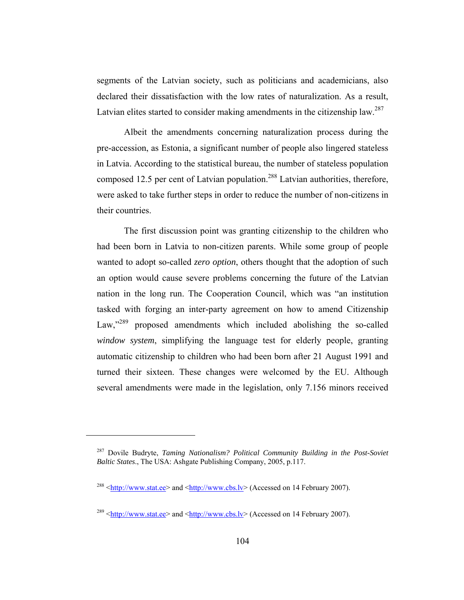segments of the Latvian society, such as politicians and academicians, also declared their dissatisfaction with the low rates of naturalization. As a result, Latvian elites started to consider making amendments in the citizenship law.<sup>287</sup>

Albeit the amendments concerning naturalization process during the pre-accession, as Estonia, a significant number of people also lingered stateless in Latvia. According to the statistical bureau, the number of stateless population composed 12.5 per cent of Latvian population.<sup>288</sup> Latvian authorities, therefore, were asked to take further steps in order to reduce the number of non-citizens in their countries.

The first discussion point was granting citizenship to the children who had been born in Latvia to non-citizen parents. While some group of people wanted to adopt so-called *zero option*, others thought that the adoption of such an option would cause severe problems concerning the future of the Latvian nation in the long run. The Cooperation Council, which was "an institution tasked with forging an inter-party agreement on how to amend Citizenship Law,"<sup>289</sup> proposed amendments which included abolishing the so-called *window system*, simplifying the language test for elderly people, granting automatic citizenship to children who had been born after 21 August 1991 and turned their sixteen. These changes were welcomed by the EU. Although several amendments were made in the legislation, only 7.156 minors received

<sup>287</sup> Dovile Budryte, *Taming Nationalism? Political Community Building in the Post-Soviet Baltic States*., The USA: Ashgate Publishing Company, 2005, p.117.

 $^{288}$  <http://www.stat.ee> and <http://www.cbs.lv> (Accessed on 14 February 2007).

<sup>&</sup>lt;sup>289</sup>  $\text{6}$  <http://www.stat.ee> and  $\text{6}$  \ttp://www.cbs.lv> (Accessed on 14 February 2007).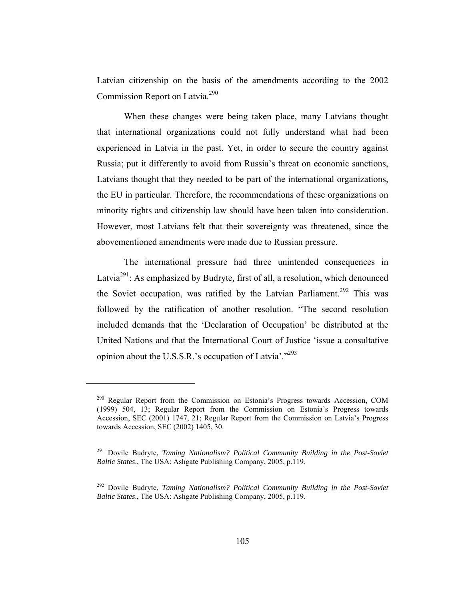Latvian citizenship on the basis of the amendments according to the 2002 Commission Report on Latvia.290

When these changes were being taken place, many Latvians thought that international organizations could not fully understand what had been experienced in Latvia in the past. Yet, in order to secure the country against Russia; put it differently to avoid from Russia's threat on economic sanctions, Latvians thought that they needed to be part of the international organizations, the EU in particular. Therefore, the recommendations of these organizations on minority rights and citizenship law should have been taken into consideration. However, most Latvians felt that their sovereignty was threatened, since the abovementioned amendments were made due to Russian pressure.

The international pressure had three unintended consequences in Latvia<sup>291</sup>: As emphasized by Budryte, first of all, a resolution, which denounced the Soviet occupation, was ratified by the Latvian Parliament.<sup>292</sup> This was followed by the ratification of another resolution. "The second resolution included demands that the 'Declaration of Occupation' be distributed at the United Nations and that the International Court of Justice 'issue a consultative opinion about the U.S.S.R.'s occupation of Latvia'."<sup>293</sup>

<sup>290</sup> Regular Report from the Commission on Estonia's Progress towards Accession, COM (1999) 504, 13; Regular Report from the Commission on Estonia's Progress towards Accession, SEC (2001) 1747, 21; Regular Report from the Commission on Latvia's Progress towards Accession, SEC (2002) 1405, 30.

<sup>291</sup> Dovile Budryte, *Taming Nationalism? Political Community Building in the Post-Soviet Baltic States*., The USA: Ashgate Publishing Company, 2005, p.119.

<sup>292</sup> Dovile Budryte, *Taming Nationalism? Political Community Building in the Post-Soviet Baltic States*., The USA: Ashgate Publishing Company, 2005, p.119.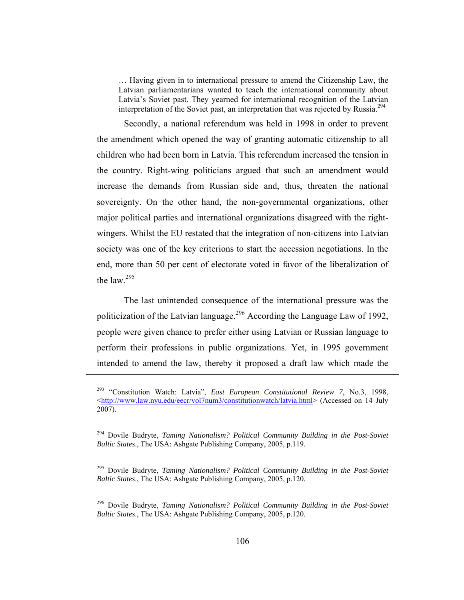… Having given in to international pressure to amend the Citizenship Law, the Latvian parliamentarians wanted to teach the international community about Latvia's Soviet past. They yearned for international recognition of the Latvian interpretation of the Soviet past, an interpretation that was rejected by Russia.<sup>294</sup>

Secondly, a national referendum was held in 1998 in order to prevent the amendment which opened the way of granting automatic citizenship to all children who had been born in Latvia. This referendum increased the tension in the country. Right-wing politicians argued that such an amendment would increase the demands from Russian side and, thus, threaten the national sovereignty. On the other hand, the non-governmental organizations, other major political parties and international organizations disagreed with the rightwingers. Whilst the EU restated that the integration of non-citizens into Latvian society was one of the key criterions to start the accession negotiations. In the end, more than 50 per cent of electorate voted in favor of the liberalization of the law. $295$ 

The last unintended consequence of the international pressure was the politicization of the Latvian language.<sup>296</sup> According the Language Law of 1992, people were given chance to prefer either using Latvian or Russian language to perform their professions in public organizations. Yet, in 1995 government intended to amend the law, thereby it proposed a draft law which made the

<sup>293 &</sup>quot;Constitution Watch: Latvia", *East European Constitutional Review 7*, No.3, 1998, <http://www.law.nyu.edu/eecr/vol7num3/constitutionwatch/latvia.html> (Accessed on 14 July 2007).

<sup>294</sup> Dovile Budryte, *Taming Nationalism? Political Community Building in the Post-Soviet Baltic States*., The USA: Ashgate Publishing Company, 2005, p.119.

<sup>295</sup> Dovile Budryte, *Taming Nationalism? Political Community Building in the Post-Soviet Baltic States*., The USA: Ashgate Publishing Company, 2005, p.120.

<sup>296</sup> Dovile Budryte, *Taming Nationalism? Political Community Building in the Post-Soviet Baltic States*., The USA: Ashgate Publishing Company, 2005, p.120.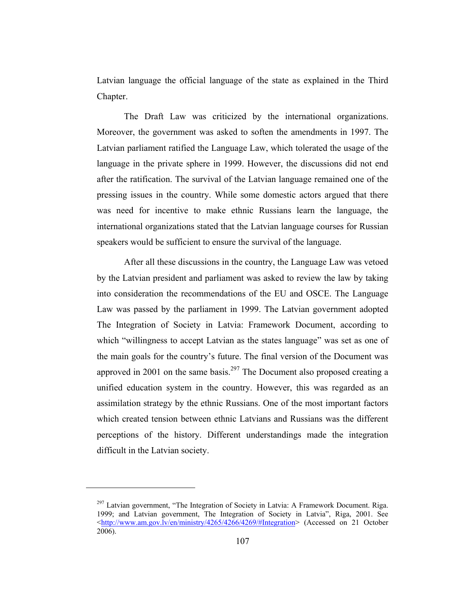Latvian language the official language of the state as explained in the Third Chapter.

The Draft Law was criticized by the international organizations. Moreover, the government was asked to soften the amendments in 1997. The Latvian parliament ratified the Language Law, which tolerated the usage of the language in the private sphere in 1999. However, the discussions did not end after the ratification. The survival of the Latvian language remained one of the pressing issues in the country. While some domestic actors argued that there was need for incentive to make ethnic Russians learn the language, the international organizations stated that the Latvian language courses for Russian speakers would be sufficient to ensure the survival of the language.

After all these discussions in the country, the Language Law was vetoed by the Latvian president and parliament was asked to review the law by taking into consideration the recommendations of the EU and OSCE. The Language Law was passed by the parliament in 1999. The Latvian government adopted The Integration of Society in Latvia: Framework Document, according to which "willingness to accept Latvian as the states language" was set as one of the main goals for the country's future. The final version of the Document was approved in 2001 on the same basis.<sup>297</sup> The Document also proposed creating a unified education system in the country. However, this was regarded as an assimilation strategy by the ethnic Russians. One of the most important factors which created tension between ethnic Latvians and Russians was the different perceptions of the history. Different understandings made the integration difficult in the Latvian society.

 $^{297}$  Latvian government, "The Integration of Society in Latvia: A Framework Document. Riga. 1999; and Latvian government, The Integration of Society in Latvia", Riga, 2001. See <http://www.am.gov.lv/en/ministry/4265/4266/4269/#Integration> (Accessed on 21 October 2006).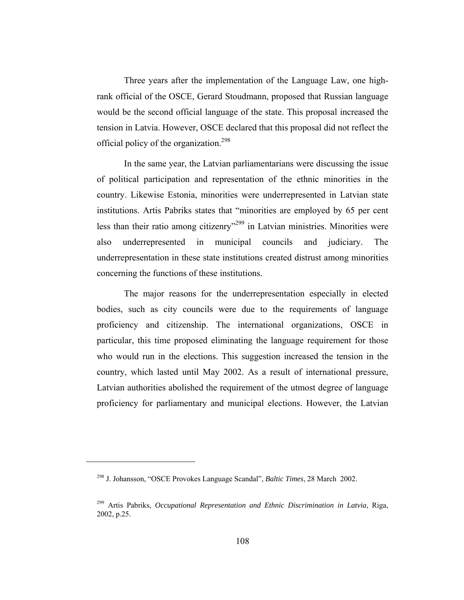Three years after the implementation of the Language Law, one highrank official of the OSCE, Gerard Stoudmann, proposed that Russian language would be the second official language of the state. This proposal increased the tension in Latvia. However, OSCE declared that this proposal did not reflect the official policy of the organization.<sup>298</sup>

In the same year, the Latvian parliamentarians were discussing the issue of political participation and representation of the ethnic minorities in the country. Likewise Estonia, minorities were underrepresented in Latvian state institutions. Artis Pabriks states that "minorities are employed by 65 per cent less than their ratio among citizenry<sup>"299</sup> in Latvian ministries. Minorities were also underrepresented in municipal councils and judiciary. The underrepresentation in these state institutions created distrust among minorities concerning the functions of these institutions.

The major reasons for the underrepresentation especially in elected bodies, such as city councils were due to the requirements of language proficiency and citizenship. The international organizations, OSCE in particular, this time proposed eliminating the language requirement for those who would run in the elections. This suggestion increased the tension in the country, which lasted until May 2002. As a result of international pressure, Latvian authorities abolished the requirement of the utmost degree of language proficiency for parliamentary and municipal elections. However, the Latvian

<sup>298</sup> J. Johansson, "OSCE Provokes Language Scandal", *Baltic Times*, 28 March 2002.

<sup>299</sup> Artis Pabriks, *Occupational Representation and Ethnic Discrimination in Latvia*, Riga, 2002, p.25.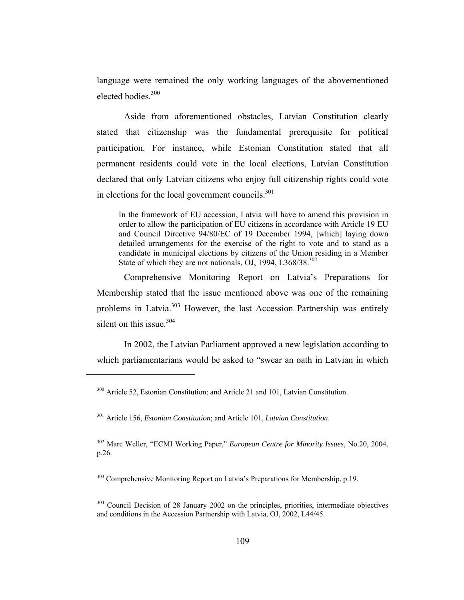language were remained the only working languages of the abovementioned elected bodies.<sup>300</sup>

Aside from aforementioned obstacles, Latvian Constitution clearly stated that citizenship was the fundamental prerequisite for political participation. For instance, while Estonian Constitution stated that all permanent residents could vote in the local elections, Latvian Constitution declared that only Latvian citizens who enjoy full citizenship rights could vote in elections for the local government councils.<sup>301</sup>

In the framework of EU accession, Latvia will have to amend this provision in order to allow the participation of EU citizens in accordance with Article 19 EU and Council Directive 94/80/EC of 19 December 1994, [which] laying down detailed arrangements for the exercise of the right to vote and to stand as a candidate in municipal elections by citizens of the Union residing in a Member State of which they are not nationals, OJ, 1994,  $L368/38$ <sup>302</sup>

Comprehensive Monitoring Report on Latvia's Preparations for Membership stated that the issue mentioned above was one of the remaining problems in Latvia.<sup>303</sup> However, the last Accession Partnership was entirely silent on this issue  $304$ 

In 2002, the Latvian Parliament approved a new legislation according to which parliamentarians would be asked to "swear an oath in Latvian in which

301 Article 156, *Estonian Constitution*; and Article 101, *Latvian Constitution*.

 $\overline{a}$ 

302 Marc Weller, "ECMI Working Paper," *European Centre for Minority Issues*, No.20, 2004, p.26.

<sup>303</sup> Comprehensive Monitoring Report on Latvia's Preparations for Membership, p.19.

<sup>300</sup> Article 52, Estonian Constitution; and Article 21 and 101, Latvian Constitution.

<sup>&</sup>lt;sup>304</sup> Council Decision of 28 January 2002 on the principles, priorities, intermediate objectives and conditions in the Accession Partnership with Latvia, OJ, 2002, L44/45.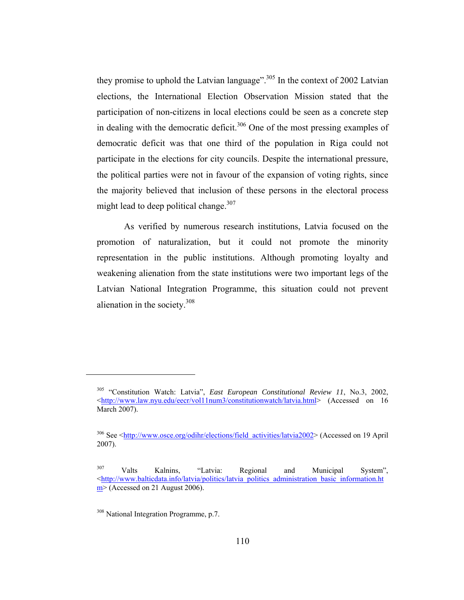they promise to uphold the Latvian language".<sup>305</sup> In the context of 2002 Latvian elections, the International Election Observation Mission stated that the participation of non-citizens in local elections could be seen as a concrete step in dealing with the democratic deficit.<sup>306</sup> One of the most pressing examples of democratic deficit was that one third of the population in Riga could not participate in the elections for city councils. Despite the international pressure, the political parties were not in favour of the expansion of voting rights, since the majority believed that inclusion of these persons in the electoral process might lead to deep political change.<sup>307</sup>

As verified by numerous research institutions, Latvia focused on the promotion of naturalization, but it could not promote the minority representation in the public institutions. Although promoting loyalty and weakening alienation from the state institutions were two important legs of the Latvian National Integration Programme, this situation could not prevent alienation in the society.308

<sup>305 &</sup>quot;Constitution Watch: Latvia", *East European Constitutional Review 11*, No.3, 2002, <http://www.law.nyu.edu/eecr/vol11num3/constitutionwatch/latvia.html> (Accessed on 16 March 2007).

<sup>&</sup>lt;sup>306</sup> See <http://www.osce.org/odihr/elections/field\_activities/latvia2002> (Accessed on 19 April 2007).

<sup>&</sup>lt;sup>307</sup> Valts Kalnins, "Latvia: Regional and Municipal System", <http://www.balticdata.info/latvia/politics/latvia\_politics\_administration\_basic\_information.ht  $m$  (Accessed on 21 August 2006).

<sup>&</sup>lt;sup>308</sup> National Integration Programme, p.7.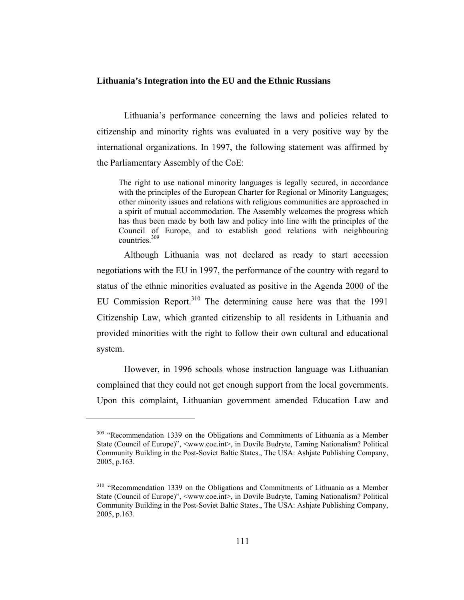#### **Lithuania's Integration into the EU and the Ethnic Russians**

Lithuania's performance concerning the laws and policies related to citizenship and minority rights was evaluated in a very positive way by the international organizations. In 1997, the following statement was affirmed by the Parliamentary Assembly of the CoE:

The right to use national minority languages is legally secured, in accordance with the principles of the European Charter for Regional or Minority Languages; other minority issues and relations with religious communities are approached in a spirit of mutual accommodation. The Assembly welcomes the progress which has thus been made by both law and policy into line with the principles of the Council of Europe, and to establish good relations with neighbouring countries.<sup>309</sup>

Although Lithuania was not declared as ready to start accession negotiations with the EU in 1997, the performance of the country with regard to status of the ethnic minorities evaluated as positive in the Agenda 2000 of the EU Commission Report.<sup>310</sup> The determining cause here was that the 1991 Citizenship Law, which granted citizenship to all residents in Lithuania and provided minorities with the right to follow their own cultural and educational system.

However, in 1996 schools whose instruction language was Lithuanian complained that they could not get enough support from the local governments. Upon this complaint, Lithuanian government amended Education Law and

<sup>&</sup>lt;sup>309</sup> "Recommendation 1339 on the Obligations and Commitments of Lithuania as a Member State (Council of Europe)", <www.coe.int>, in Dovile Budryte, Taming Nationalism? Political Community Building in the Post-Soviet Baltic States., The USA: Ashjate Publishing Company, 2005, p.163.

<sup>&</sup>lt;sup>310</sup> "Recommendation 1339 on the Obligations and Commitments of Lithuania as a Member State (Council of Europe)", <www.coe.int>, in Dovile Budryte, Taming Nationalism? Political Community Building in the Post-Soviet Baltic States., The USA: Ashjate Publishing Company, 2005, p.163.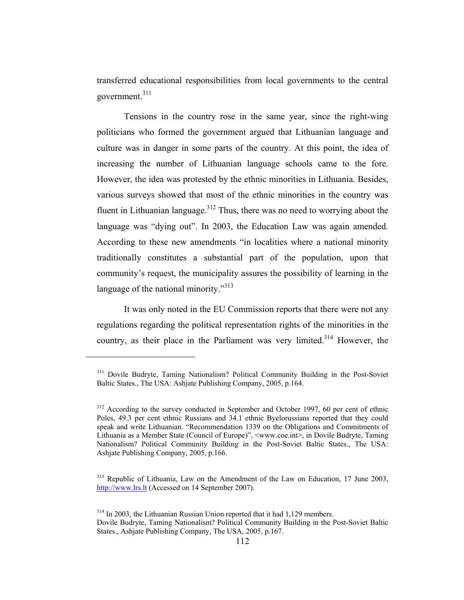transferred educational responsibilities from local governments to the central government.<sup>311</sup>

Tensions in the country rose in the same year, since the right-wing politicians who formed the government argued that Lithuanian language and culture was in danger in some parts of the country. At this point, the idea of increasing the number of Lithuanian language schools came to the fore. However, the idea was protested by the ethnic minorities in Lithuania. Besides, various surveys showed that most of the ethnic minorities in the country was fluent in Lithuanian language.<sup>312</sup> Thus, there was no need to worrying about the language was "dying out". In 2003, the Education Law was again amended. According to these new amendments "in localities where a national minority traditionally constitutes a substantial part of the population, upon that community's request, the municipality assures the possibility of learning in the language of the national minority."<sup>313</sup>

It was only noted in the EU Commission reports that there were not any regulations regarding the political representation rights of the minorities in the country, as their place in the Parliament was very limited.<sup>314</sup> However, the

<sup>&</sup>lt;sup>311</sup> Dovile Budryte, Taming Nationalism? Political Community Building in the Post-Soviet Baltic States., The USA: Ashjate Publishing Company, 2005, p.164.

<sup>&</sup>lt;sup>312</sup> According to the survey conducted in September and October 1997, 60 per cent of ethnic Poles, 49.3 per cent ethnic Russians and 34.1 ethnic Byelorussians reported that they could speak and write Lithuanian. "Recommendation 1339 on the Obligations and Commitments of Lithuania as a Member State (Council of Europe)", <www.coe.int>, in Dovile Budryte, Taming Nationalism? Political Community Building in the Post-Soviet Baltic States., The USA: Ashjate Publishing Company, 2005, p.166.

<sup>&</sup>lt;sup>313</sup> Republic of Lithuania, Law on the Amendment of the Law on Education, 17 June 2003, http://www.lrs.lt (Accessed on 14 September 2007).

 $314$  In 2003, the Lithuanian Russian Union reported that it had 1,129 members. Dovile Budryte, Taming Nationalism? Political Community Building in the Post-Soviet Baltic States., Ashjate Publishing Company, The USA, 2005, p.167.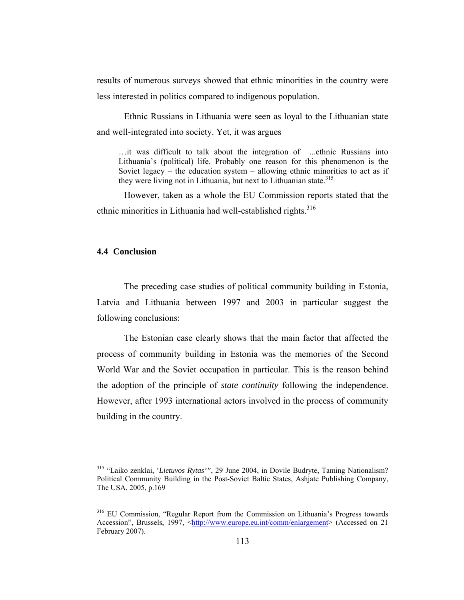results of numerous surveys showed that ethnic minorities in the country were less interested in politics compared to indigenous population.

Ethnic Russians in Lithuania were seen as loyal to the Lithuanian state and well-integrated into society. Yet, it was argues

…it was difficult to talk about the integration of ...ethnic Russians into Lithuania's (political) life. Probably one reason for this phenomenon is the Soviet legacy – the education system – allowing ethnic minorities to act as if they were living not in Lithuania, but next to Lithuanian state.<sup>315</sup>

However, taken as a whole the EU Commission reports stated that the ethnic minorities in Lithuania had well-established rights.<sup>316</sup>

# **4.4 Conclusion**

 $\overline{a}$ 

The preceding case studies of political community building in Estonia, Latvia and Lithuania between 1997 and 2003 in particular suggest the following conclusions:

The Estonian case clearly shows that the main factor that affected the process of community building in Estonia was the memories of the Second World War and the Soviet occupation in particular. This is the reason behind the adoption of the principle of *state continuity* following the independence. However, after 1993 international actors involved in the process of community building in the country.

<sup>315 &</sup>quot;Laiko zenklai, '*Lietuvos Rytas'"*, 29 June 2004, in Dovile Budryte, Taming Nationalism? Political Community Building in the Post-Soviet Baltic States, Ashjate Publishing Company, The USA, 2005, p.169

<sup>316</sup> EU Commission, "Regular Report from the Commission on Lithuania's Progress towards Accession", Brussels, 1997, <http://www.europe.eu.int/comm/enlargement> (Accessed on 21 February 2007).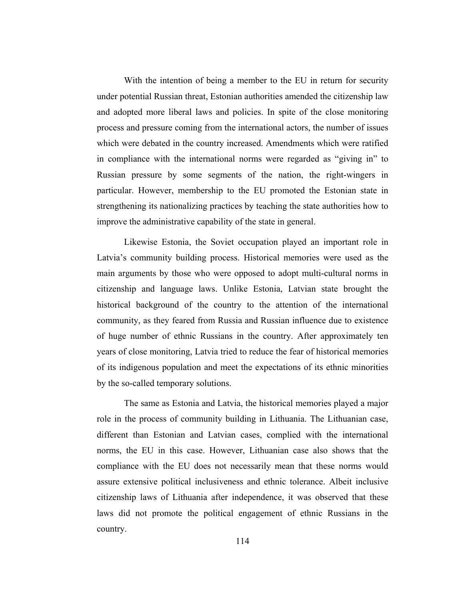With the intention of being a member to the EU in return for security under potential Russian threat, Estonian authorities amended the citizenship law and adopted more liberal laws and policies. In spite of the close monitoring process and pressure coming from the international actors, the number of issues which were debated in the country increased. Amendments which were ratified in compliance with the international norms were regarded as "giving in" to Russian pressure by some segments of the nation, the right-wingers in particular. However, membership to the EU promoted the Estonian state in strengthening its nationalizing practices by teaching the state authorities how to improve the administrative capability of the state in general.

Likewise Estonia, the Soviet occupation played an important role in Latvia's community building process. Historical memories were used as the main arguments by those who were opposed to adopt multi-cultural norms in citizenship and language laws. Unlike Estonia, Latvian state brought the historical background of the country to the attention of the international community, as they feared from Russia and Russian influence due to existence of huge number of ethnic Russians in the country. After approximately ten years of close monitoring, Latvia tried to reduce the fear of historical memories of its indigenous population and meet the expectations of its ethnic minorities by the so-called temporary solutions.

The same as Estonia and Latvia, the historical memories played a major role in the process of community building in Lithuania. The Lithuanian case, different than Estonian and Latvian cases, complied with the international norms, the EU in this case. However, Lithuanian case also shows that the compliance with the EU does not necessarily mean that these norms would assure extensive political inclusiveness and ethnic tolerance. Albeit inclusive citizenship laws of Lithuania after independence, it was observed that these laws did not promote the political engagement of ethnic Russians in the country.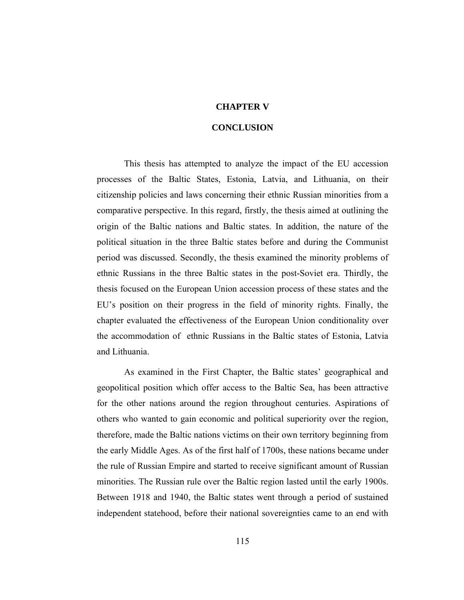# **CHAPTER V**

#### **CONCLUSION**

This thesis has attempted to analyze the impact of the EU accession processes of the Baltic States, Estonia, Latvia, and Lithuania, on their citizenship policies and laws concerning their ethnic Russian minorities from a comparative perspective. In this regard, firstly, the thesis aimed at outlining the origin of the Baltic nations and Baltic states. In addition, the nature of the political situation in the three Baltic states before and during the Communist period was discussed. Secondly, the thesis examined the minority problems of ethnic Russians in the three Baltic states in the post-Soviet era. Thirdly, the thesis focused on the European Union accession process of these states and the EU's position on their progress in the field of minority rights. Finally, the chapter evaluated the effectiveness of the European Union conditionality over the accommodation of ethnic Russians in the Baltic states of Estonia, Latvia and Lithuania.

As examined in the First Chapter, the Baltic states' geographical and geopolitical position which offer access to the Baltic Sea, has been attractive for the other nations around the region throughout centuries. Aspirations of others who wanted to gain economic and political superiority over the region, therefore, made the Baltic nations victims on their own territory beginning from the early Middle Ages. As of the first half of 1700s, these nations became under the rule of Russian Empire and started to receive significant amount of Russian minorities. The Russian rule over the Baltic region lasted until the early 1900s. Between 1918 and 1940, the Baltic states went through a period of sustained independent statehood, before their national sovereignties came to an end with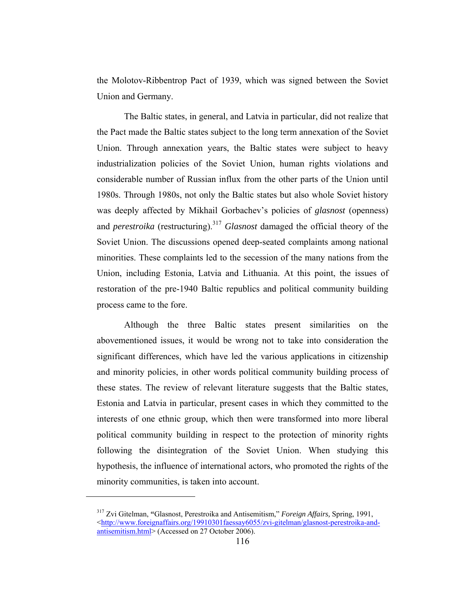the Molotov-Ribbentrop Pact of 1939, which was signed between the Soviet Union and Germany.

The Baltic states, in general, and Latvia in particular, did not realize that the Pact made the Baltic states subject to the long term annexation of the Soviet Union. Through annexation years, the Baltic states were subject to heavy industrialization policies of the Soviet Union, human rights violations and considerable number of Russian influx from the other parts of the Union until 1980s. Through 1980s, not only the Baltic states but also whole Soviet history was deeply affected by Mikhail Gorbachev's policies of *glasnost* (openness) and *perestroika* (restructuring).<sup>317</sup> *Glasnost* damaged the official theory of the Soviet Union. The discussions opened deep-seated complaints among national minorities. These complaints led to the secession of the many nations from the Union, including Estonia, Latvia and Lithuania. At this point, the issues of restoration of the pre-1940 Baltic republics and political community building process came to the fore.

Although the three Baltic states present similarities on the abovementioned issues, it would be wrong not to take into consideration the significant differences, which have led the various applications in citizenship and minority policies, in other words political community building process of these states. The review of relevant literature suggests that the Baltic states, Estonia and Latvia in particular, present cases in which they committed to the interests of one ethnic group, which then were transformed into more liberal political community building in respect to the protection of minority rights following the disintegration of the Soviet Union. When studying this hypothesis, the influence of international actors, who promoted the rights of the minority communities, is taken into account.

<sup>317</sup> Zvi Gitelman, **"**Glasnost, Perestroika and Antisemitism," *Foreign Affairs,* Spring, 1991, <http://www.foreignaffairs.org/19910301faessay6055/zvi-gitelman/glasnost-perestroika-andantisemitism.html> (Accessed on 27 October 2006).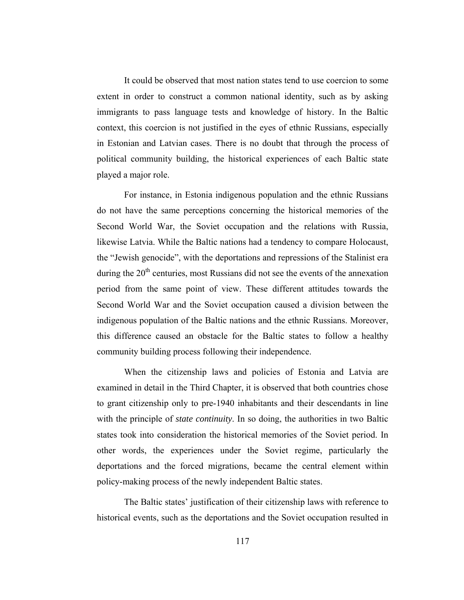It could be observed that most nation states tend to use coercion to some extent in order to construct a common national identity, such as by asking immigrants to pass language tests and knowledge of history. In the Baltic context, this coercion is not justified in the eyes of ethnic Russians, especially in Estonian and Latvian cases. There is no doubt that through the process of political community building, the historical experiences of each Baltic state played a major role.

For instance, in Estonia indigenous population and the ethnic Russians do not have the same perceptions concerning the historical memories of the Second World War, the Soviet occupation and the relations with Russia, likewise Latvia. While the Baltic nations had a tendency to compare Holocaust, the "Jewish genocide", with the deportations and repressions of the Stalinist era during the  $20<sup>th</sup>$  centuries, most Russians did not see the events of the annexation period from the same point of view. These different attitudes towards the Second World War and the Soviet occupation caused a division between the indigenous population of the Baltic nations and the ethnic Russians. Moreover, this difference caused an obstacle for the Baltic states to follow a healthy community building process following their independence.

When the citizenship laws and policies of Estonia and Latvia are examined in detail in the Third Chapter, it is observed that both countries chose to grant citizenship only to pre-1940 inhabitants and their descendants in line with the principle of *state continuity*. In so doing, the authorities in two Baltic states took into consideration the historical memories of the Soviet period. In other words, the experiences under the Soviet regime, particularly the deportations and the forced migrations, became the central element within policy-making process of the newly independent Baltic states.

The Baltic states' justification of their citizenship laws with reference to historical events, such as the deportations and the Soviet occupation resulted in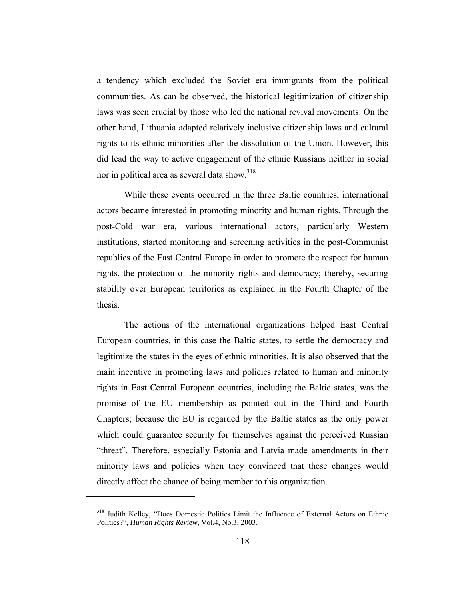a tendency which excluded the Soviet era immigrants from the political communities. As can be observed, the historical legitimization of citizenship laws was seen crucial by those who led the national revival movements. On the other hand, Lithuania adapted relatively inclusive citizenship laws and cultural rights to its ethnic minorities after the dissolution of the Union. However, this did lead the way to active engagement of the ethnic Russians neither in social nor in political area as several data show.<sup>318</sup>

While these events occurred in the three Baltic countries, international actors became interested in promoting minority and human rights. Through the post-Cold war era, various international actors, particularly Western institutions, started monitoring and screening activities in the post-Communist republics of the East Central Europe in order to promote the respect for human rights, the protection of the minority rights and democracy; thereby, securing stability over European territories as explained in the Fourth Chapter of the thesis.

The actions of the international organizations helped East Central European countries, in this case the Baltic states, to settle the democracy and legitimize the states in the eyes of ethnic minorities. It is also observed that the main incentive in promoting laws and policies related to human and minority rights in East Central European countries, including the Baltic states, was the promise of the EU membership as pointed out in the Third and Fourth Chapters; because the EU is regarded by the Baltic states as the only power which could guarantee security for themselves against the perceived Russian "threat". Therefore, especially Estonia and Latvia made amendments in their minority laws and policies when they convinced that these changes would directly affect the chance of being member to this organization.

<sup>318</sup> Judith Kelley, "Does Domestic Politics Limit the Influence of External Actors on Ethnic Politics?", *Human Rights Review,* Vol.4, No.3, 2003.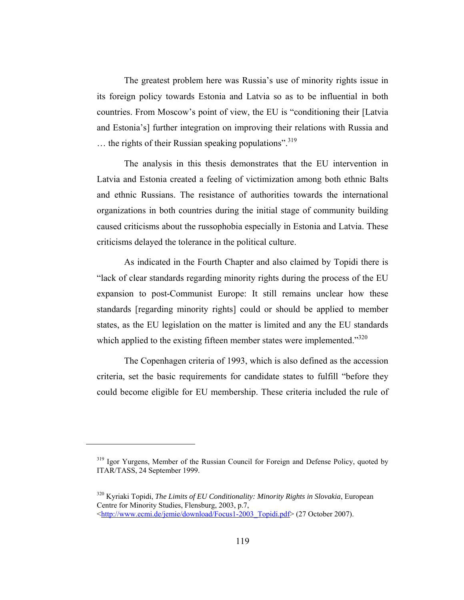The greatest problem here was Russia's use of minority rights issue in its foreign policy towards Estonia and Latvia so as to be influential in both countries. From Moscow's point of view, the EU is "conditioning their [Latvia and Estonia's] further integration on improving their relations with Russia and  $\ldots$  the rights of their Russian speaking populations".<sup>319</sup>

The analysis in this thesis demonstrates that the EU intervention in Latvia and Estonia created a feeling of victimization among both ethnic Balts and ethnic Russians. The resistance of authorities towards the international organizations in both countries during the initial stage of community building caused criticisms about the russophobia especially in Estonia and Latvia. These criticisms delayed the tolerance in the political culture.

As indicated in the Fourth Chapter and also claimed by Topidi there is "lack of clear standards regarding minority rights during the process of the EU expansion to post-Communist Europe: It still remains unclear how these standards [regarding minority rights] could or should be applied to member states, as the EU legislation on the matter is limited and any the EU standards which applied to the existing fifteen member states were implemented."<sup>320</sup>

The Copenhagen criteria of 1993, which is also defined as the accession criteria, set the basic requirements for candidate states to fulfill "before they could become eligible for EU membership. These criteria included the rule of

<sup>&</sup>lt;sup>319</sup> Igor Yurgens, Member of the Russian Council for Foreign and Defense Policy, quoted by ITAR/TASS, 24 September 1999.

<sup>320</sup> Kyriaki Topidi, *The Limits of EU Conditionality: Minority Rights in Slovakia*, European Centre for Minority Studies, Flensburg, 2003, p.7, <http://www.ecmi.de/jemie/download/Focus1-2003\_Topidi.pdf> (27 October 2007).

<sup>119</sup>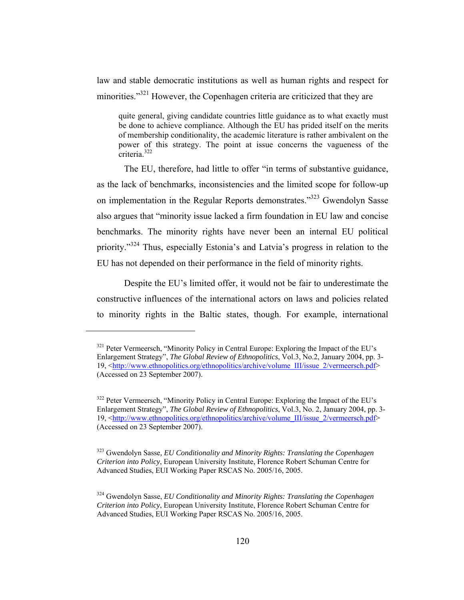law and stable democratic institutions as well as human rights and respect for minorities."<sup>321</sup> However, the Copenhagen criteria are criticized that they are

quite general, giving candidate countries little guidance as to what exactly must be done to achieve compliance. Although the EU has prided itself on the merits of membership conditionality, the academic literature is rather ambivalent on the power of this strategy. The point at issue concerns the vagueness of the criteria.<sup>322</sup>

The EU, therefore, had little to offer "in terms of substantive guidance, as the lack of benchmarks, inconsistencies and the limited scope for follow-up on implementation in the Regular Reports demonstrates."323 Gwendolyn Sasse also argues that "minority issue lacked a firm foundation in EU law and concise benchmarks. The minority rights have never been an internal EU political priority."324 Thus, especially Estonia's and Latvia's progress in relation to the EU has not depended on their performance in the field of minority rights.

Despite the EU's limited offer, it would not be fair to underestimate the constructive influences of the international actors on laws and policies related to minority rights in the Baltic states, though. For example, international

<sup>&</sup>lt;sup>321</sup> Peter Vermeersch, "Minority Policy in Central Europe: Exploring the Impact of the EU's Enlargement Strategy", *The Global Review of Ethnopolitics*, Vol.3, No.2, January 2004, pp. 3- 19, <http://www.ethnopolitics.org/ethnopolitics/archive/volume\_III/issue\_2/vermeersch.pdf> (Accessed on 23 September 2007).

<sup>&</sup>lt;sup>322</sup> Peter Vermeersch, "Minority Policy in Central Europe: Exploring the Impact of the EU's Enlargement Strategy", *The Global Review of Ethnopolitics*, Vol.3, No. 2, January 2004, pp. 3- 19, <http://www.ethnopolitics.org/ethnopolitics/archive/volume\_III/issue\_2/vermeersch.pdf> (Accessed on 23 September 2007).

<sup>323</sup> Gwendolyn Sasse*, EU Conditionality and Minority Rights: Translating the Copenhagen Criterion into Policy*, European University Institute, Florence Robert Schuman Centre for Advanced Studies, EUI Working Paper RSCAS No. 2005/16, 2005.

<sup>324</sup> Gwendolyn Sasse, *EU Conditionality and Minority Rights: Translating the Copenhagen Criterion into Policy*, European University Institute, Florence Robert Schuman Centre for Advanced Studies, EUI Working Paper RSCAS No. 2005/16, 2005.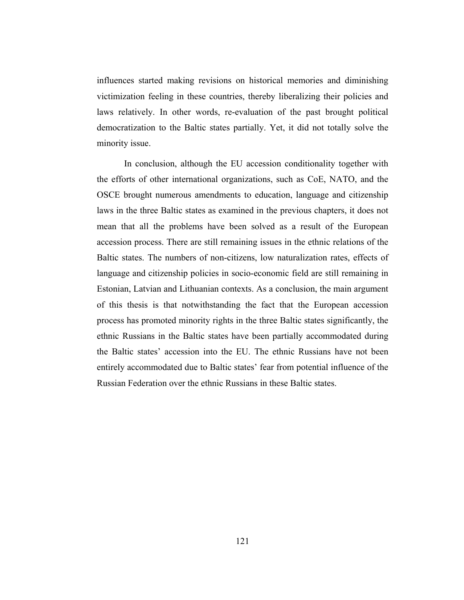influences started making revisions on historical memories and diminishing victimization feeling in these countries, thereby liberalizing their policies and laws relatively. In other words, re-evaluation of the past brought political democratization to the Baltic states partially. Yet, it did not totally solve the minority issue.

In conclusion, although the EU accession conditionality together with the efforts of other international organizations, such as CoE, NATO, and the OSCE brought numerous amendments to education, language and citizenship laws in the three Baltic states as examined in the previous chapters, it does not mean that all the problems have been solved as a result of the European accession process. There are still remaining issues in the ethnic relations of the Baltic states. The numbers of non-citizens, low naturalization rates, effects of language and citizenship policies in socio-economic field are still remaining in Estonian, Latvian and Lithuanian contexts. As a conclusion, the main argument of this thesis is that notwithstanding the fact that the European accession process has promoted minority rights in the three Baltic states significantly, the ethnic Russians in the Baltic states have been partially accommodated during the Baltic states' accession into the EU. The ethnic Russians have not been entirely accommodated due to Baltic states' fear from potential influence of the Russian Federation over the ethnic Russians in these Baltic states.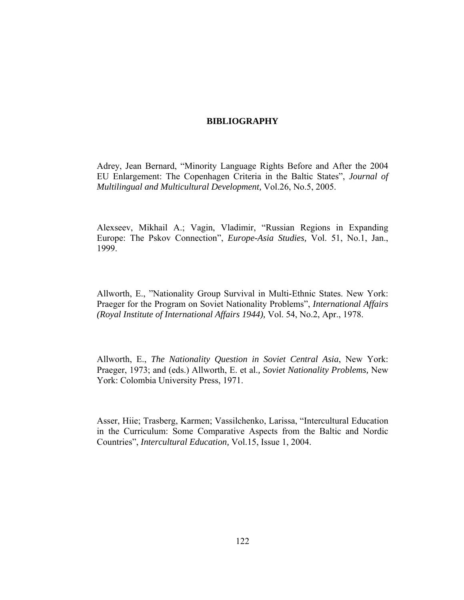# **BIBLIOGRAPHY**

Adrey, Jean Bernard, "Minority Language Rights Before and After the 2004 EU Enlargement: The Copenhagen Criteria in the Baltic States", *Journal of Multilingual and Multicultural Development,* Vol.26, No.5, 2005.

Alexseev, Mikhail A.; Vagin, Vladimir, "Russian Regions in Expanding Europe: The Pskov Connection", *Europe-Asia Studies,* Vol. 51, No.1, Jan., 1999.

Allworth, E., "Nationality Group Survival in Multi-Ethnic States. New York: Praeger for the Program on Soviet Nationality Problems", *International Affairs (Royal Institute of International Affairs 1944),* Vol. 54, No.2, Apr., 1978.

Allworth, E., *The Nationality Question in Soviet Central Asia*, New York: Praeger, 1973; and (eds.) Allworth, E. et al.*, Soviet Nationality Problems,* New York: Colombia University Press, 1971.

Asser, Hiie; Trasberg, Karmen; Vassilchenko, Larissa, "Intercultural Education in the Curriculum: Some Comparative Aspects from the Baltic and Nordic Countries", *Intercultural Education,* Vol.15, Issue 1, 2004.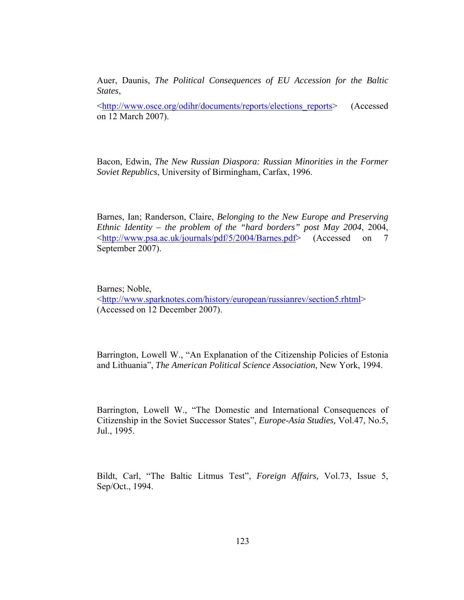Auer, Daunis, *The Political Consequences of EU Accession for the Baltic States*,

<http://www.osce.org/odihr/documents/reports/elections\_reports> (Accessed on 12 March 2007).

Bacon, Edwin, *The New Russian Diaspora: Russian Minorities in the Former Soviet Republics*, University of Birmingham, Carfax, 1996.

Barnes, Ian; Randerson, Claire, *Belonging to the New Europe and Preserving Ethnic Identity – the problem of the "hard borders" post May 2004*, 2004, <http://www.psa.ac.uk/journals/pdf/5/2004/Barnes.pdf> (Accessed on 7 September 2007).

Barnes; Noble,

<http://www.sparknotes.com/history/european/russianrev/section5.rhtml> (Accessed on 12 December 2007).

Barrington, Lowell W., "An Explanation of the Citizenship Policies of Estonia and Lithuania", *The American Political Science Association,* New York, 1994.

Barrington, Lowell W., "The Domestic and International Consequences of Citizenship in the Soviet Successor States", *Europe-Asia Studies,* Vol.47, No.5, Jul., 1995.

Bildt, Carl, "The Baltic Litmus Test", *Foreign Affairs,* Vol.73, Issue 5, Sep/Oct., 1994.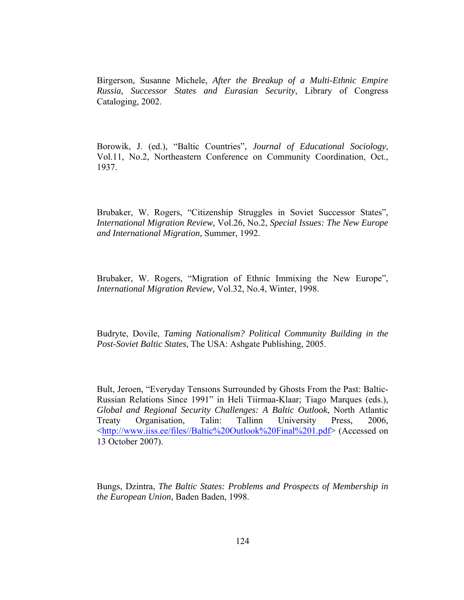Birgerson, Susanne Michele, *After the Breakup of a Multi-Ethnic Empire Russia, Successor States and Eurasian Security*, Library of Congress Cataloging*,* 2002.

Borowik, J. (ed.), "Baltic Countries", *Journal of Educational Sociology*, Vol.11, No.2, Northeastern Conference on Community Coordination, Oct., 1937.

Brubaker, W. Rogers, "Citizenship Struggles in Soviet Successor States", *International Migration Review,* Vol.26, No.2, *Special Issues: The New Europe and International Migration,* Summer, 1992.

Brubaker, W. Rogers, "Migration of Ethnic Immixing the New Europe", *International Migration Review,* Vol.32, No.4, Winter, 1998.

Budryte, Dovile, *Taming Nationalism? Political Community Building in the Post-Soviet Baltic States*, The USA: Ashgate Publishing, 2005.

Bult, Jeroen, "Everyday Tensıons Surrounded by Ghosts From the Past: Baltic-Russian Relations Since 1991" in Heli Tiirmaa-Klaar; Tiago Marques (eds.), *Global and Regional Security Challenges: A Baltic Outlook*, North Atlantic Treaty Organisation, Talin: Tallinn University Press, 2006, <http://www.iiss.ee/files//Baltic%20Outlook%20Final%201.pdf> (Accessed on 13 October 2007).

Bungs, Dzintra, *The Baltic States: Problems and Prospects of Membership in the European Union*, Baden Baden, 1998.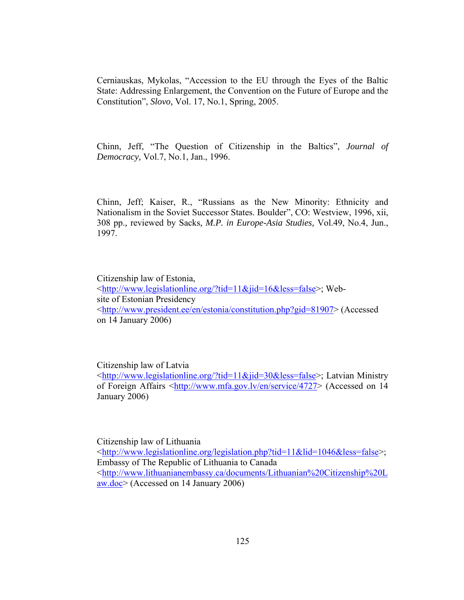Cerniauskas, Mykolas, "Accession to the EU through the Eyes of the Baltic State: Addressing Enlargement, the Convention on the Future of Europe and the Constitution", *Slovo,* Vol. 17, No.1, Spring, 2005.

Chinn, Jeff, "The Question of Citizenship in the Baltics", *Journal of Democracy,* Vol.7, No.1, Jan., 1996.

Chinn, Jeff; Kaiser, R., "Russians as the New Minority: Ethnicity and Nationalism in the Soviet Successor States. Boulder", CO: Westview, 1996, xii, 308 pp.*,* reviewed by Sacks*, M.P. in Europe-Asia Studies,* Vol.49, No.4, Jun., 1997.

Citizenship law of Estonia, <http://www.legislationline.org/?tid=11&jid=16&less=false>; Website of Estonian Presidency <http://www.president.ee/en/estonia/constitution.php?gid=81907> (Accessed on 14 January 2006)

Citizenship law of Latvia

<http://www.legislationline.org/?tid=11&jid=30&less=false>; Latvian Ministry of Foreign Affairs <http://www.mfa.gov.lv/en/service/4727> (Accessed on 14 January 2006)

Citizenship law of Lithuania <http://www.legislationline.org/legislation.php?tid=11&lid=1046&less=false>; Embassy of The Republic of Lithuania to Canada <http://www.lithuanianembassy.ca/documents/Lithuanian%20Citizenship%20L aw.doc> (Accessed on 14 January 2006)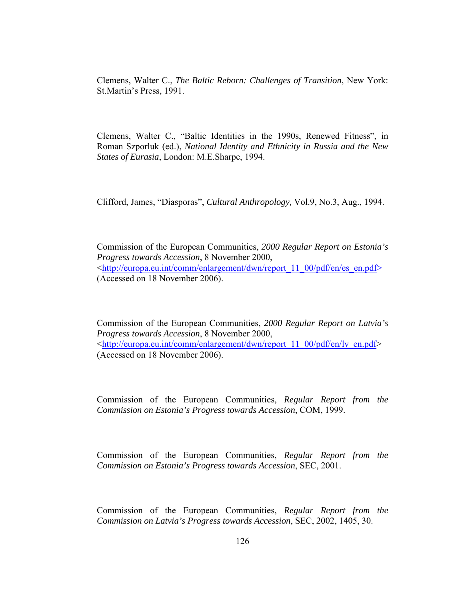Clemens, Walter C., *The Baltic Reborn: Challenges of Transition*, New York: St.Martin's Press, 1991.

Clemens, Walter C., "Baltic Identities in the 1990s, Renewed Fitness", in Roman Szporluk (ed.), *National Identity and Ethnicity in Russia and the New States of Eurasia*, London: M.E.Sharpe, 1994.

Clifford, James, "Diasporas", *Cultural Anthropology,* Vol.9, No.3, Aug., 1994.

Commission of the European Communities, *2000 Regular Report on Estonia's Progress towards Accession*, 8 November 2000, <http://europa.eu.int/comm/enlargement/dwn/report\_11\_00/pdf/en/es\_en.pdf> (Accessed on 18 November 2006).

Commission of the European Communities, *2000 Regular Report on Latvia's Progress towards Accession*, 8 November 2000, <http://europa.eu.int/comm/enlargement/dwn/report\_11\_00/pdf/en/lv\_en.pdf> (Accessed on 18 November 2006).

Commission of the European Communities, *Regular Report from the Commission on Estonia's Progress towards Accession*, COM, 1999.

Commission of the European Communities, *Regular Report from the Commission on Estonia's Progress towards Accession*, SEC, 2001.

Commission of the European Communities, *Regular Report from the Commission on Latvia's Progress towards Accession*, SEC, 2002, 1405, 30.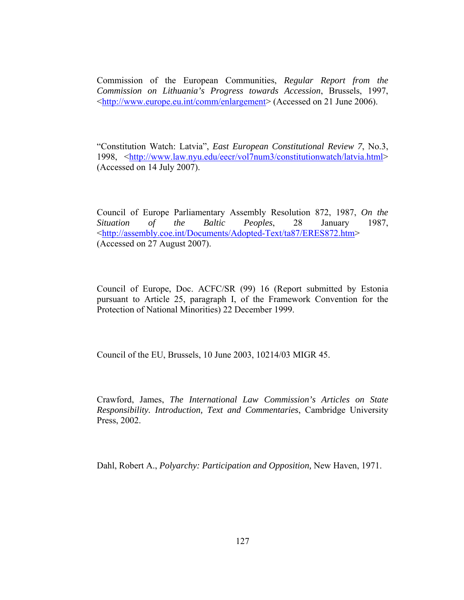Commission of the European Communities, *Regular Report from the Commission on Lithuania's Progress towards Accession*, Brussels, 1997, <http://www.europe.eu.int/comm/enlargement> (Accessed on 21 June 2006).

"Constitution Watch: Latvia", *East European Constitutional Review 7*, No.3, 1998, <http://www.law.nyu.edu/eecr/vol7num3/constitutionwatch/latvia.html> (Accessed on 14 July 2007).

Council of Europe Parliamentary Assembly Resolution 872, 1987, *On the Situation of the Baltic Peoples*, 28 January 1987, <http://assembly.coe.int/Documents/Adopted-Text/ta87/ERES872.htm> (Accessed on 27 August 2007).

Council of Europe, Doc. ACFC/SR (99) 16 (Report submitted by Estonia pursuant to Article 25, paragraph I, of the Framework Convention for the Protection of National Minorities) 22 December 1999.

Council of the EU, Brussels, 10 June 2003, 10214/03 MIGR 45.

Crawford, James, *The International Law Commission's Articles on State Responsibility. Introduction, Text and Commentaries*, Cambridge University Press, 2002.

Dahl, Robert A., *Polyarchy: Participation and Opposition,* New Haven, 1971.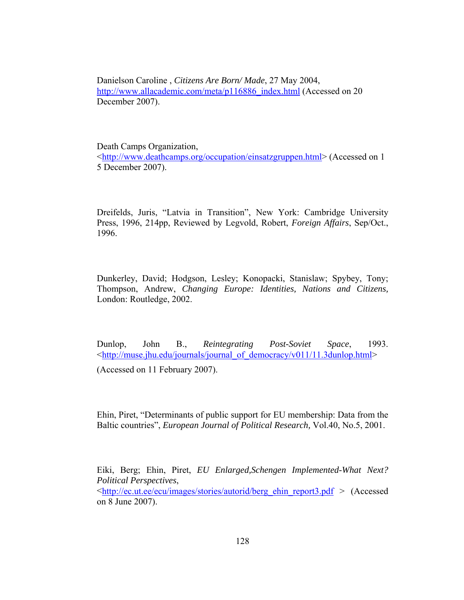Danielson Caroline , *Citizens Are Born/ Made*, 27 May 2004, http://www.allacademic.com/meta/p116886\_index.html (Accessed on 20 December 2007).

Death Camps Organization, <http://www.deathcamps.org/occupation/einsatzgruppen.html> (Accessed on 1 5 December 2007).

Dreifelds, Juris, "Latvia in Transition", New York: Cambridge University Press, 1996, 214pp, Reviewed by Legvold, Robert, *Foreign Affairs*, Sep/Oct., 1996.

Dunkerley, David; Hodgson, Lesley; Konopacki, Stanislaw; Spybey, Tony; Thompson, Andrew, *Changing Europe: Identities, Nations and Citizens,* London: Routledge, 2002.

Dunlop, John B., *Reintegrating Post-Soviet Space*, 1993. <http://muse.jhu.edu/journals/journal\_of\_democracy/v011/11.3dunlop.html>

(Accessed on 11 February 2007).

Ehin, Piret, "Determinants of public support for EU membership: Data from the Baltic countries", *European Journal of Political Research,* Vol.40, No.5, 2001.

Eiki, Berg; Ehin, Piret, *EU Enlarged,Schengen Implemented-What Next? Political Perspectives*,

<http://ec.ut.ee/ecu/images/stories/autorid/berg\_ehin\_report3.pdf > (Accessed on 8 June 2007).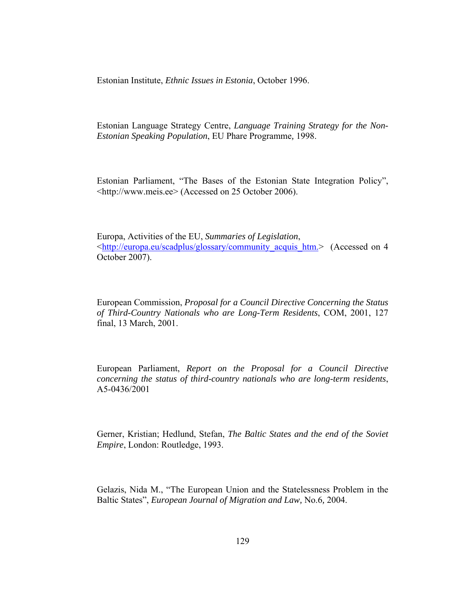Estonian Institute, *Ethnic Issues in Estonia*, October 1996.

Estonian Language Strategy Centre, *Language Training Strategy for the Non-Estonian Speaking Population*, EU Phare Programme*,* 1998.

Estonian Parliament, "The Bases of the Estonian State Integration Policy", <http://www.meis.ee> (Accessed on 25 October 2006).

Europa, Activities of the EU, *Summaries of Legislation*, <http://europa.eu/scadplus/glossary/community\_acquis\_htm.> (Accessed on 4 October 2007).

European Commission, *Proposal for a Council Directive Concerning the Status of Third-Country Nationals who are Long-Term Residents*, COM, 2001, 127 final, 13 March, 2001.

European Parliament, *Report on the Proposal for a Council Directive concerning the status of third-country nationals who are long-term residents*, A5-0436/2001

Gerner, Kristian; Hedlund, Stefan, *The Baltic States and the end of the Soviet Empire*, London: Routledge, 1993.

Gelazis, Nida M., "The European Union and the Statelessness Problem in the Baltic States", *European Journal of Migration and Law*, No.6, 2004.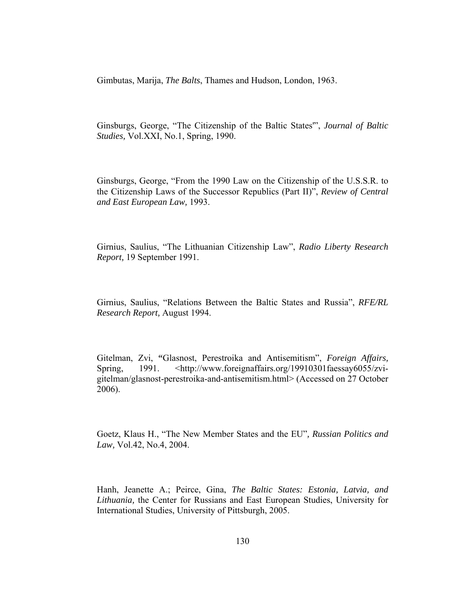Gimbutas, Marija, *The Balts*, Thames and Hudson, London, 1963.

Ginsburgs, George, "The Citizenship of the Baltic States'", *Journal of Baltic Studies,* Vol.XXI, No.1, Spring, 1990.

Ginsburgs, George, "From the 1990 Law on the Citizenship of the U.S.S.R. to the Citizenship Laws of the Successor Republics (Part II)", *Review of Central and East European Law,* 1993.

Girnius, Saulius, "The Lithuanian Citizenship Law", *Radio Liberty Research Report,* 19 September 1991.

Girnius, Saulius, "Relations Between the Baltic States and Russia", *RFE/RL Research Report,* August 1994.

Gitelman, Zvi, **"**Glasnost, Perestroika and Antisemitism", *Foreign Affairs,*  Spring, 1991. <http://www.foreignaffairs.org/19910301faessay6055/zvigitelman/glasnost-perestroika-and-antisemitism.html> (Accessed on 27 October 2006).

Goetz, Klaus H., "The New Member States and the EU"*, Russian Politics and Law,* Vol.42, No.4, 2004.

Hanh, Jeanette A.; Peirce, Gina, *The Baltic States: Estonia, Latvia, and Lithuania,* the Center for Russians and East European Studies, University for International Studies, University of Pittsburgh, 2005.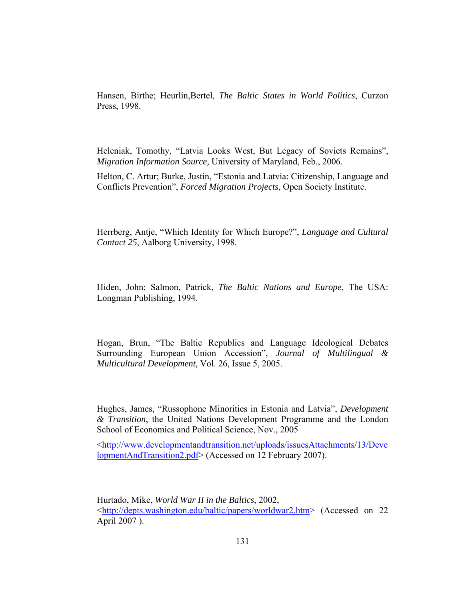Hansen, Birthe; Heurlin,Bertel, *The Baltic States in World Politics*, Curzon Press, 1998.

Heleniak, Tomothy, "Latvia Looks West, But Legacy of Soviets Remains", *Migration Information Source,* University of Maryland, Feb., 2006.

Helton, C. Artur; Burke, Justin, "Estonia and Latvia: Citizenship, Language and Conflicts Prevention", *Forced Migration Projects*, Open Society Institute.

Herrberg, Antje, "Which Identity for Which Europe?", *Language and Cultural Contact 25,* Aalborg University, 1998.

Hiden, John; Salmon, Patrick, *The Baltic Nations and Europe*, The USA: Longman Publishing, 1994.

Hogan, Brun, "The Baltic Republics and Language Ideological Debates Surrounding European Union Accession", *Journal of Multilingual & Multicultural Development,* Vol. 26, Issue 5, 2005.

Hughes, James, "Russophone Minorities in Estonia and Latvia", *Development & Transition*, the United Nations Development Programme and the London School of Economics and Political Science, Nov., 2005

<http://www.developmentandtransition.net/uploads/issuesAttachments/13/Deve lopmentAndTransition2.pdf> (Accessed on 12 February 2007).

Hurtado, Mike, *World War II in the Baltics*, 2002, <http://depts.washington.edu/baltic/papers/worldwar2.htm> (Accessed on 22 April 2007 ).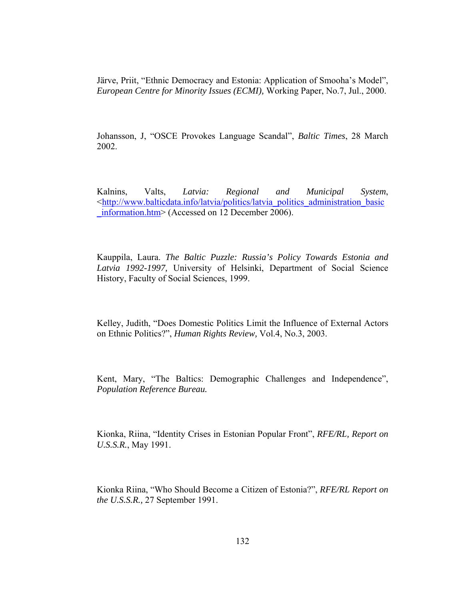Järve, Priit, "Ethnic Democracy and Estonia: Application of Smooha's Model", *European Centre for Minority Issues (ECMI),* Working Paper, No.7, Jul., 2000.

Johansson, J, "OSCE Provokes Language Scandal", *Baltic Times*, 28 March 2002.

Kalnins, Valts, *Latvia: Regional and Municipal System*, <http://www.balticdata.info/latvia/politics/latvia\_politics\_administration\_basic \_information.htm> (Accessed on 12 December 2006).

Kauppila, Laura. *The Baltic Puzzle: Russia's Policy Towards Estonia and Latvia 1992-1997,* University of Helsinki, Department of Social Science History, Faculty of Social Sciences, 1999.

Kelley, Judith, "Does Domestic Politics Limit the Influence of External Actors on Ethnic Politics?", *Human Rights Review,* Vol.4, No.3, 2003.

Kent, Mary, "The Baltics: Demographic Challenges and Independence", *Population Reference Bureau.* 

Kionka, Riina, "Identity Crises in Estonian Popular Front", *RFE/RL, Report on U.S.S.R.*, May 1991.

Kionka Riina, "Who Should Become a Citizen of Estonia?", *RFE/RL Report on the U.S.S.R.,* 27 September 1991.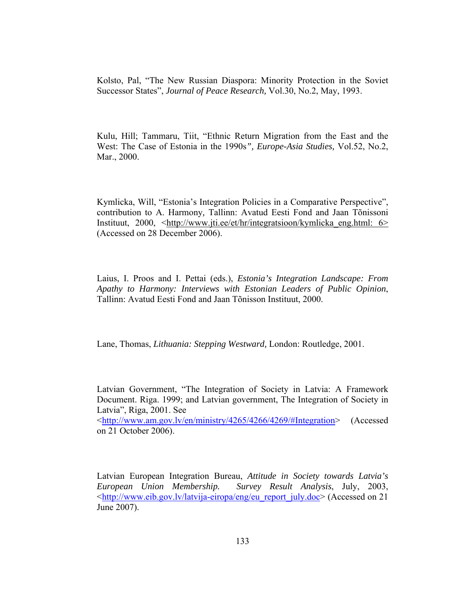Kolsto, Pal, "The New Russian Diaspora: Minority Protection in the Soviet Successor States", *Journal of Peace Research,* Vol.30, No.2, May, 1993.

Kulu, Hill; Tammaru, Tiit, "Ethnic Return Migration from the East and the West: The Case of Estonia in the 1990s*", Europe-Asia Studies,* Vol.52, No.2, Mar., 2000.

Kymlicka, Will, "Estonia's Integration Policies in a Comparative Perspective", contribution to A. Harmony*,* Tallinn: Avatud Eesti Fond and Jaan Tõnissoni Instituut, 2000, <http://www.jti.ee/et/hr/integratsioon/kymlicka\_eng.html: 6> (Accessed on 28 December 2006).

Laius, I. Proos and I. Pettai (eds.), *Estonia's Integration Landscape: From Apathy to Harmony: Interviews with Estonian Leaders of Public Opinion*, Tallinn: Avatud Eesti Fond and Jaan Tõnisson Instituut, 2000.

Lane, Thomas, *Lithuania: Stepping Westward,* London: Routledge, 2001.

Latvian Government, "The Integration of Society in Latvia: A Framework Document. Riga. 1999; and Latvian government, The Integration of Society in Latvia", Riga, 2001. See

<http://www.am.gov.lv/en/ministry/4265/4266/4269/#Integration> (Accessed on 21 October 2006).

Latvian European Integration Bureau, *Attitude in Society towards Latvia's European Union Membership. Survey Result Analysis*, July, 2003, <http://www.eib.gov.lv/latvija-eiropa/eng/eu\_report\_july.doc> (Accessed on 21 June 2007).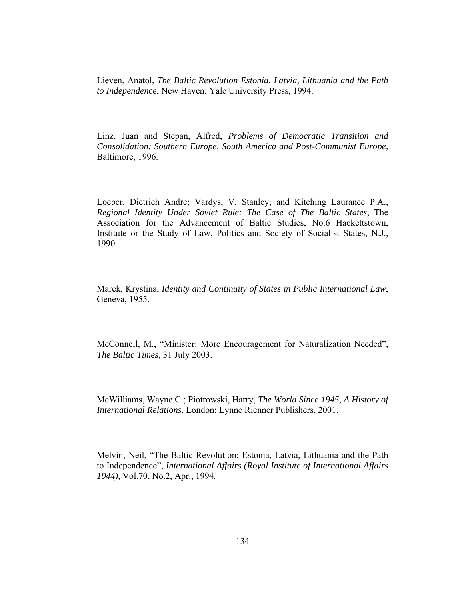Lieven, Anatol, *The Baltic Revolution Estonia, Latvia, Lithuania and the Path to Independence*, New Haven: Yale University Press, 1994.

Linz, Juan and Stepan, Alfred, *Problems of Democratic Transition and Consolidation: Southern Europe, South America and Post-Communist Europe*, Baltimore, 1996.

Loeber, Dietrich Andre; Vardys, V. Stanley; and Kitching Laurance P.A., *Regional Identity Under Soviet Rule: The Case of The Baltic States*, The Association for the Advancement of Baltic Studies, No.6 Hackettstown, Institute or the Study of Law, Politics and Society of Socialist States, N.J., 1990.

Marek, Krystina, *Identity and Continuity of States in Public International Law*, Geneva, 1955.

McConnell, M., "Minister: More Encouragement for Naturalization Needed", *The Baltic Times*, 31 July 2003.

McWilliams, Wayne C.; Piotrowski, Harry, *The World Since 1945, A History of International Relations*, London: Lynne Rienner Publishers, 2001.

Melvin, Neil, "The Baltic Revolution: Estonia, Latvia, Lithuania and the Path to Independence", *International Affairs (Royal Institute of International Affairs 1944),* Vol.70, No.2, Apr., 1994*.*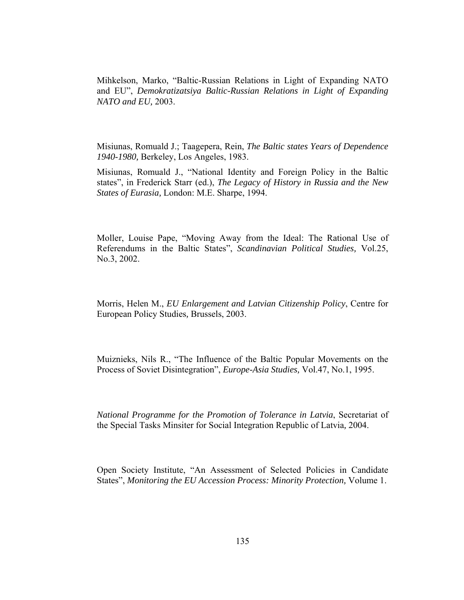Mihkelson, Marko, "Baltic-Russian Relations in Light of Expanding NATO and EU", *Demokratizatsiya Baltic-Russian Relations in Light of Expanding NATO and EU,* 2003.

Misiunas, Romuald J.; Taagepera, Rein, *The Baltic states Years of Dependence 1940-1980,* Berkeley, Los Angeles, 1983.

Misiunas, Romuald J., "National Identity and Foreign Policy in the Baltic states", in Frederick Starr (ed.), *The Legacy of History in Russia and the New States of Eurasia,* London: M.E. Sharpe, 1994.

Moller, Louise Pape, "Moving Away from the Ideal: The Rational Use of Referendums in the Baltic States", *Scandinavian Political Studies,* Vol.25, No.3, 2002.

Morris, Helen M., *EU Enlargement and Latvian Citizenship Policy*, Centre for European Policy Studies*,* Brussels, 2003.

Muiznieks, Nils R., "The Influence of the Baltic Popular Movements on the Process of Soviet Disintegration", *Europe-Asia Studies,* Vol.47, No.1, 1995.

*National Programme for the Promotion of Tolerance in Latvia*, Secretariat of the Special Tasks Minsiter for Social Integration Republic of Latvia*,* 2004.

Open Society Institute, "An Assessment of Selected Policies in Candidate States", *Monitoring the EU Accession Process: Minority Protection,* Volume 1.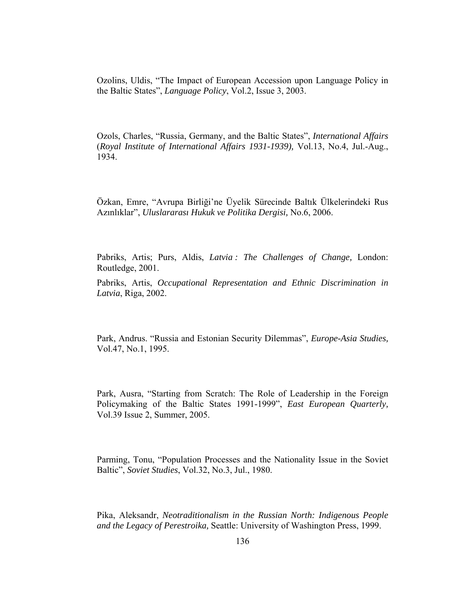Ozolins, Uldis, "The Impact of European Accession upon Language Policy in the Baltic States", *Language Policy*, Vol.2, Issue 3, 2003.

Ozols, Charles, "Russia, Germany, and the Baltic States", *International Affairs* (*Royal Institute of International Affairs 1931-1939),* Vol.13, No.4, Jul.-Aug., 1934.

Özkan, Emre, "Avrupa Birliği'ne Üyelik Sürecinde Baltık Ülkelerindeki Rus Azınlıklar", *Uluslararası Hukuk ve Politika Dergisi,* No.6, 2006.

Pabriks, Artis; Purs, Aldis, *Latvia : The Challenges of Change,* London: Routledge, 2001.

Pabriks, Artis, *Occupational Representation and Ethnic Discrimination in Latvia*, Riga, 2002.

Park, Andrus. "Russia and Estonian Security Dilemmas", *Europe-Asia Studies,*  Vol.47, No.1, 1995.

Park, Ausra, "Starting from Scratch: The Role of Leadership in the Foreign Policymaking of the Baltic States 1991-1999", *East European Quarterly,*  Vol.39 Issue 2, Summer, 2005.

Parming, Tonu, "Population Processes and the Nationality Issue in the Soviet Baltic", *Soviet Studies*, Vol.32, No.3, Jul., 1980.

Pika, Aleksandr, *Neotraditionalism in the Russian North: Indigenous People and the Legacy of Perestroika,* Seattle: University of Washington Press, 1999.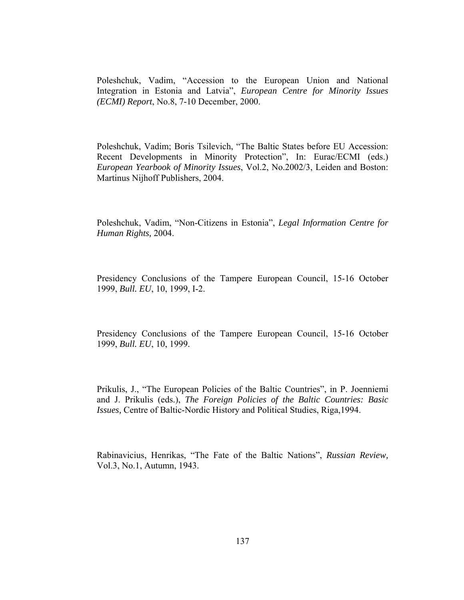Poleshchuk, Vadim, "Accession to the European Union and National Integration in Estonia and Latvia", *European Centre for Minority Issues (ECMI) Report*, No.8, 7-10 December, 2000.

Poleshchuk, Vadim; Boris Tsilevich, "The Baltic States before EU Accession: Recent Developments in Minority Protection", In: Eurac/ECMI (eds.) *European Yearbook of Minority Issues*, Vol.2, No.2002/3, Leiden and Boston: Martinus Nijhoff Publishers, 2004.

Poleshchuk, Vadim, "Non-Citizens in Estonia", *Legal Information Centre for Human Rights,* 2004.

Presidency Conclusions of the Tampere European Council, 15-16 October 1999, *Bull. EU*, 10, 1999, I-2.

Presidency Conclusions of the Tampere European Council, 15-16 October 1999, *Bull. EU*, 10, 1999.

Prikulis, J., "The European Policies of the Baltic Countries", in P. Joenniemi and J. Prikulis (eds.), *The Foreign Policies of the Baltic Countries: Basic Issues,* Centre of Baltic-Nordic History and Political Studies, Riga,1994.

Rabinavicius, Henrikas, "The Fate of the Baltic Nations", *Russian Review,*  Vol.3, No.1, Autumn, 1943.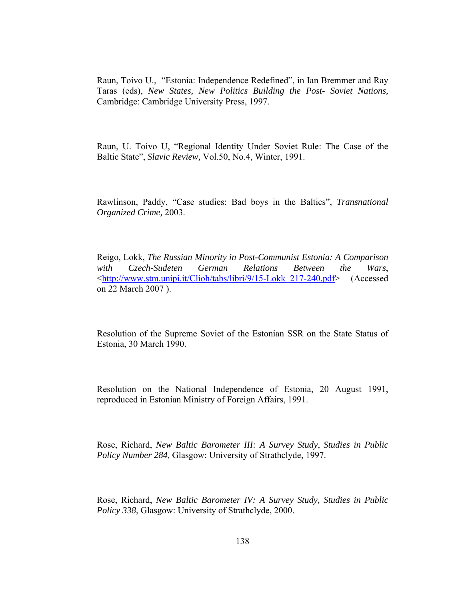Raun, Toivo U., "Estonia: Independence Redefined", in Ian Bremmer and Ray Taras (eds), *New States, New Politics Building the Post- Soviet Nations,* Cambridge: Cambridge University Press, 1997.

Raun, U. Toivo U, "Regional Identity Under Soviet Rule: The Case of the Baltic State", *Slavic Review,* Vol.50, No.4, Winter, 1991.

Rawlinson, Paddy, "Case studies: Bad boys in the Baltics", *Transnational Organized Crime,* 2003.

Reigo, Lokk, *The Russian Minority in Post-Communist Estonia: A Comparison with Czech-Sudeten German Relations Between the Wars*, <http://www.stm.unipi.it/Clioh/tabs/libri/9/15-Lokk\_217-240.pdf> (Accessed on 22 March 2007 ).

Resolution of the Supreme Soviet of the Estonian SSR on the State Status of Estonia, 30 March 1990.

Resolution on the National Independence of Estonia, 20 August 1991, reproduced in Estonian Ministry of Foreign Affairs, 1991.

Rose, Richard, *New Baltic Barometer III: A Survey Study*, *Studies in Public Policy Number 284,* Glasgow: University of Strathclyde, 1997.

Rose, Richard, *New Baltic Barometer IV: A Survey Study, Studies in Public Policy 338*, Glasgow: University of Strathclyde, 2000.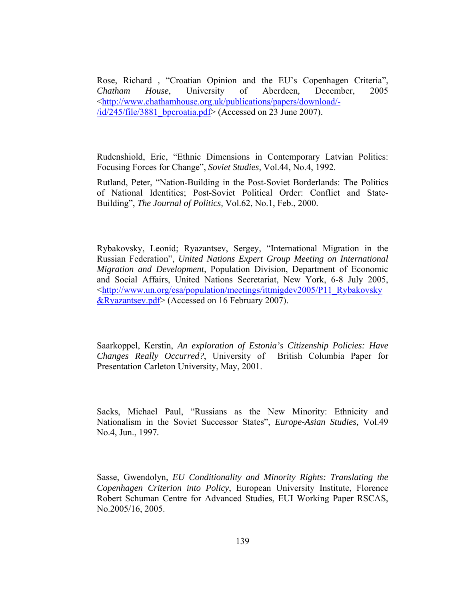Rose, Richard *,* "Croatian Opinion and the EU's Copenhagen Criteria", *Chatham House*, University of Aberdeen*,* December, 2005 <http://www.chathamhouse.org.uk/publications/papers/download/-  $\frac{\text{di} \cdot 245 \cdot \text{file}}{3881}$  bpcroatia.pdf> (Accessed on 23 June 2007).

Rudenshiold, Eric, "Ethnic Dimensions in Contemporary Latvian Politics: Focusing Forces for Change", *Soviet Studies,* Vol.44, No.4, 1992.

Rutland, Peter, "Nation-Building in the Post-Soviet Borderlands: The Politics of National Identities; Post-Soviet Political Order: Conflict and State-Building", *The Journal of Politics,* Vol.62, No.1, Feb., 2000.

Rybakovsky, Leonid; Ryazantsev, Sergey, "International Migration in the Russian Federation", *United Nations Expert Group Meeting on International Migration and Development,* Population Division, Department of Economic and Social Affairs, United Nations Secretariat, New York, 6-8 July 2005, <http://www.un.org/esa/population/meetings/ittmigdev2005/P11\_Rybakovsky &Ryazantsev.pdf> (Accessed on 16 February 2007).

Saarkoppel, Kerstin, *An exploration of Estonia's Citizenship Policies: Have Changes Really Occurred?*, University of British Columbia Paper for Presentation Carleton University, May, 2001.

Sacks, Michael Paul, "Russians as the New Minority: Ethnicity and Nationalism in the Soviet Successor States", *Europe-Asian Studies,* Vol.49 No.4, Jun., 1997*.* 

Sasse, Gwendolyn, *EU Conditionality and Minority Rights: Translating the Copenhagen Criterion into Policy*, European University Institute, Florence Robert Schuman Centre for Advanced Studies, EUI Working Paper RSCAS, No.2005/16, 2005.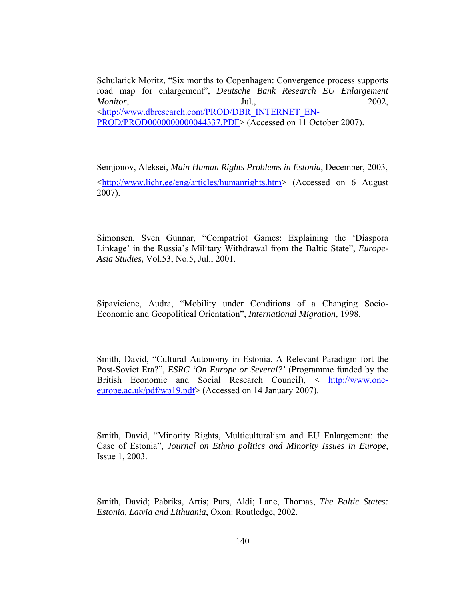Schularick Moritz, "Six months to Copenhagen: Convergence process supports road map for enlargement", *Deutsche Bank Research EU Enlargement Monitor*, Jul., 2002, <http://www.dbresearch.com/PROD/DBR\_INTERNET\_EN-PROD/PROD0000000000044337.PDF> (Accessed on 11 October 2007).

Semjonov, Aleksei, *Main Human Rights Problems in Estonia*, December, 2003, <http://www.lichr.ee/eng/articles/humanrights.htm> (Accessed on 6 August 2007).

Simonsen, Sven Gunnar, "Compatriot Games: Explaining the 'Diaspora Linkage' in the Russia's Military Withdrawal from the Baltic State", *Europe-Asia Studies,* Vol.53, No.5, Jul., 2001.

Sipaviciene, Audra, "Mobility under Conditions of a Changing Socio-Economic and Geopolitical Orientation", *International Migration,* 1998.

Smith, David, "Cultural Autonomy in Estonia. A Relevant Paradigm fort the Post-Soviet Era?", *ESRC 'On Europe or Several?'* (Programme funded by the British Economic and Social Research Council), < http://www.oneeurope.ac.uk/pdf/wp19.pdf> (Accessed on 14 January 2007).

Smith, David, "Minority Rights, Multiculturalism and EU Enlargement: the Case of Estonia", *Journal on Ethno politics and Minority Issues in Europe,* Issue 1, 2003.

Smith, David; Pabriks, Artis; Purs, Aldi; Lane, Thomas, *The Baltic States: Estonia, Latvia and Lithuania*, Oxon: Routledge, 2002.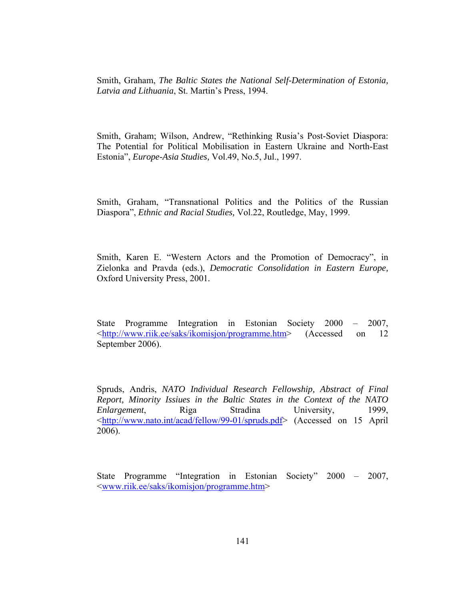Smith, Graham, *The Baltic States the National Self-Determination of Estonia, Latvia and Lithuania*, St. Martin's Press, 1994.

Smith, Graham; Wilson, Andrew, "Rethinking Rusia's Post-Soviet Diaspora: The Potential for Political Mobilisation in Eastern Ukraine and North-East Estonia", *Europe-Asia Studies,* Vol.49, No.5, Jul., 1997.

Smith, Graham, "Transnational Politics and the Politics of the Russian Diaspora", *Ethnic and Racial Studies,* Vol.22, Routledge, May, 1999.

Smith, Karen E. "Western Actors and the Promotion of Democracy", in Zielonka and Pravda (eds.), *Democratic Consolidation in Eastern Europe,* Oxford University Press, 2001*.*

State Programme Integration in Estonian Society 2000 – 2007, <http://www.riik.ee/saks/ikomisjon/programme.htm> (Accessed on 12 September 2006).

Spruds, Andris, *NATO Individual Research Fellowship, Abstract of Final Report, Minority Issiues in the Baltic States in the Context of the NATO Enlargement*, Riga Stradina University, 1999, <http://www.nato.int/acad/fellow/99-01/spruds.pdf> (Accessed on 15 April 2006).

State Programme "Integration in Estonian Society" 2000 – 2007, <www.riik.ee/saks/ikomisjon/programme.htm>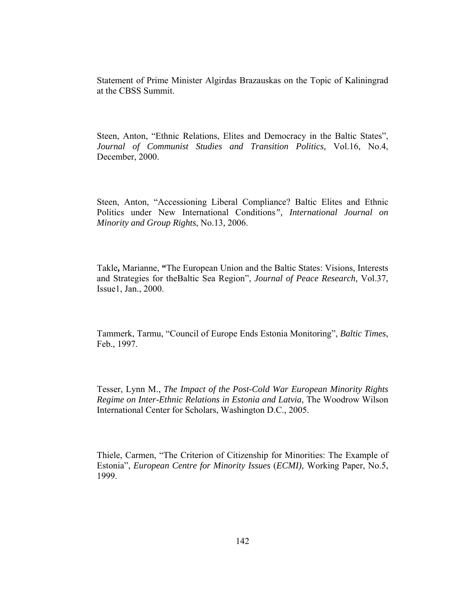Statement of Prime Minister Algirdas Brazauskas on the Topic of Kaliningrad at the CBSS Summit.

Steen, Anton, "Ethnic Relations, Elites and Democracy in the Baltic States", *Journal of Communist Studies and Transition Politics,* Vol.16, No.4, December, 2000.

Steen, Anton, "Accessioning Liberal Compliance? Baltic Elites and Ethnic Politics under New International Conditions*", International Journal on Minority and Group Rights*, No.13*,* 2006.

Takle**,** Marianne, **"**The European Union and the Baltic States: Visions, Interests and Strategies for theBaltic Sea Region", *Journal of Peace Research,* Vol.37, Issue1, Jan., 2000.

Tammerk, Tarmu, "Council of Europe Ends Estonia Monitoring", *Baltic Times*, Feb., 1997.

Tesser, Lynn M., *The Impact of the Post-Cold War European Minority Rights Regime on Inter-Ethnic Relations in Estonia and Latvia*, The Woodrow Wilson International Center for Scholars, Washington D.C.*,* 2005.

Thiele, Carmen, "The Criterion of Citizenship for Minorities: The Example of Estonia", *European Centre for Minority Issues* (*ECMI),* Working Paper, No.5, 1999.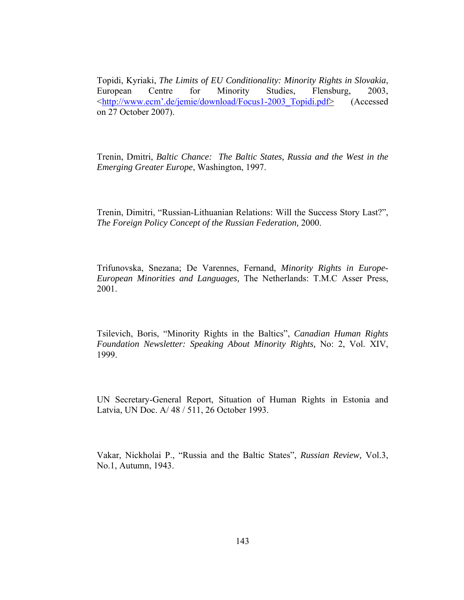Topidi, Kyriaki, *The Limits of EU Conditionality: Minority Rights in Slovakia*, European Centre for Minority Studies, Flensburg, 2003, <http://www.ecm'.de/jemie/download/Focus1-2003\_Topidi.pdf> (Accessed on 27 October 2007).

Trenin, Dmitri, *Baltic Chance: The Baltic States, Russia and the West in the Emerging Greater Europe*, Washington, 1997.

Trenin, Dimitri, "Russian-Lithuanian Relations: Will the Success Story Last?", *The Foreign Policy Concept of the Russian Federation,* 2000.

Trifunovska, Snezana; De Varennes, Fernand, *Minority Rights in Europe-European Minorities and Languages,* The Netherlands: T.M.C Asser Press, 2001.

Tsilevich, Boris, "Minority Rights in the Baltics", *Canadian Human Rights Foundation Newsletter: Speaking About Minority Rights,* No: 2, Vol. XIV, 1999.

UN Secretary-General Report, Situation of Human Rights in Estonia and Latvia, UN Doc. A/ 48 / 511, 26 October 1993.

Vakar, Nickholai P., "Russia and the Baltic States", *Russian Review,* Vol.3, No.1, Autumn, 1943.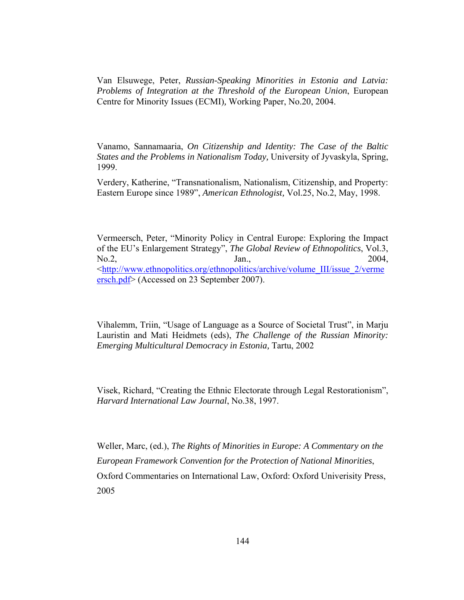Van Elsuwege, Peter, *Russian-Speaking Minorities in Estonia and Latvia: Problems of Integration at the Threshold of the European Union*, European Centre for Minority Issues (ECMI)*,* Working Paper, No.20, 2004.

Vanamo, Sannamaaria, *On Citizenship and Identity: The Case of the Baltic States and the Problems in Nationalism Today,* University of Jyvaskyla, Spring, 1999.

Verdery, Katherine, "Transnationalism, Nationalism, Citizenship, and Property: Eastern Europe since 1989", *American Ethnologist,* Vol.25, No.2, May, 1998.

Vermeersch, Peter, "Minority Policy in Central Europe: Exploring the Impact of the EU's Enlargement Strategy", *The Global Review of Ethnopolitics*, Vol.3,  $\text{No.2},$  Jan.,  $\text{Jan.},$  2004, <http://www.ethnopolitics.org/ethnopolitics/archive/volume\_III/issue\_2/verme ersch.pdf> (Accessed on 23 September 2007).

Vihalemm, Triin, "Usage of Language as a Source of Societal Trust", in Marju Lauristin and Mati Heidmets (eds), *The Challenge of the Russian Minority: Emerging Multicultural Democracy in Estonia,* Tartu, 2002

Visek, Richard, "Creating the Ethnic Electorate through Legal Restorationism", *Harvard International Law Journal*, No.38, 1997.

Weller, Marc, (ed.), *The Rights of Minorities in Europe: A Commentary on the European Framework Convention for the Protection of National Minorities*, Oxford Commentaries on International Law, Oxford: Oxford Univerisity Press, 2005